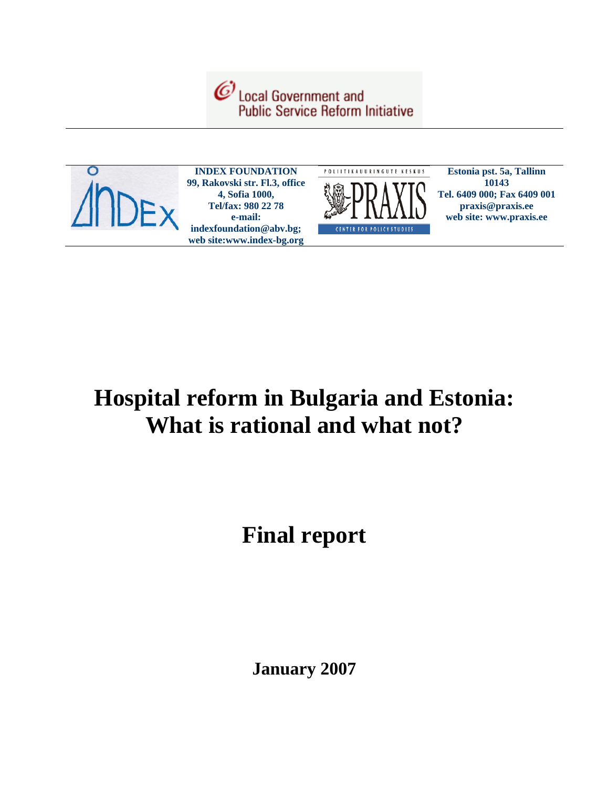



**INDEX FOUNDATION 99, Rakovski str. Fl.3, office 4, Sofia 1000, Tel/fax: 980 22 78 e-mail: indexfoundation@abv.bg; web site:www.index-bg.org** 



**Estonia pst. 5a, Tallinn 10143 Tel. 6409 000; Fax 6409 001 praxis@praxis.ee web site: www.praxis.ee**

# **Hospital reform in Bulgaria and Estonia: What is rational and what not?**

# **Final report**

**January 2007**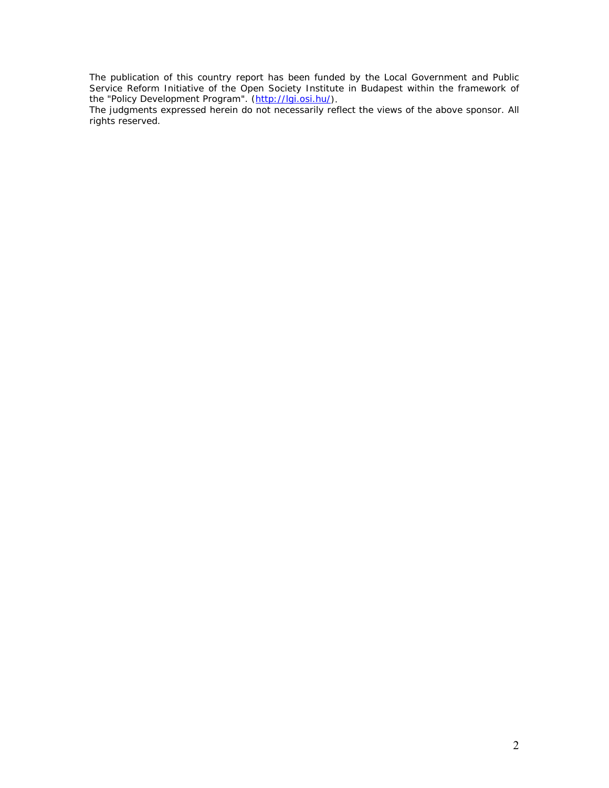The publication of this country report has been funded by the Local Government and Public Service Reform Initiative of the Open Society Institute in Budapest within the framework of the "Policy Development Program". (http://lgi.osi.hu/).

The judgments expressed herein do not necessarily reflect the views of the above sponsor. All rights reserved.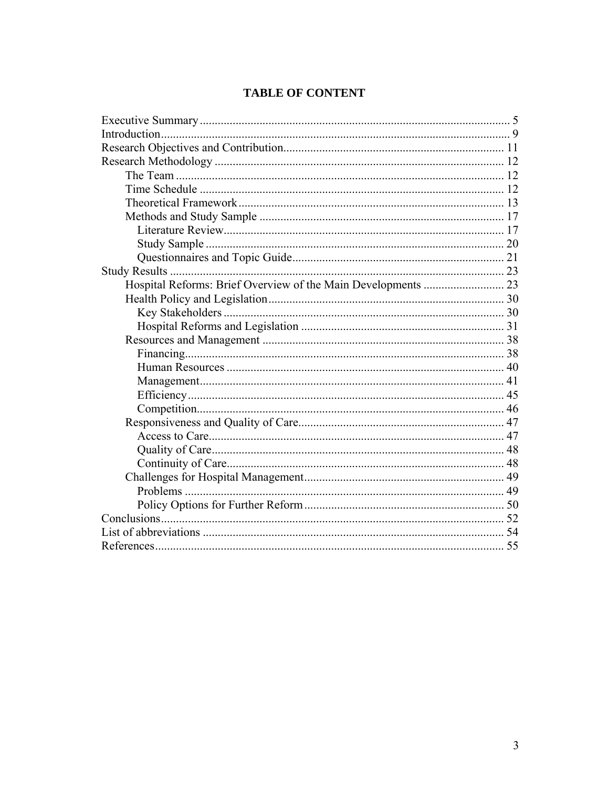|  | <b>TABLE OF CONTENT</b> |
|--|-------------------------|
|--|-------------------------|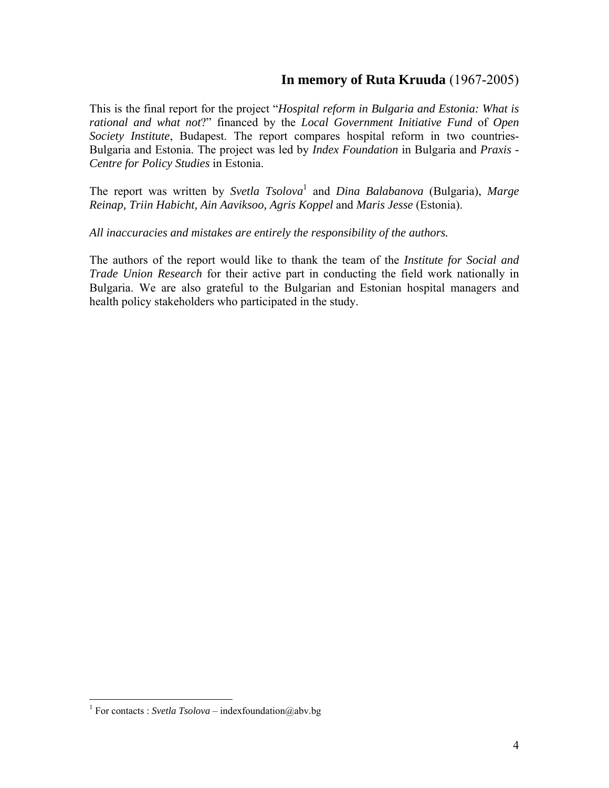# **In memory of Ruta Kruuda** (1967-2005)

This is the final report for the project "*Hospital reform in Bulgaria and Estonia: What is rational and what not*?" financed by the *Local Government Initiative Fund* of *Open Society Institute*, Budapest. The report compares hospital reform in two countries-Bulgaria and Estonia. The project was led by *Index Foundation* in Bulgaria and *Praxis - Centre for Policy Studies* in Estonia.

The report was written by *Svetla Tsolova*<sup>1</sup> and *Dina Balabanova* (Bulgaria), Marge *Reinap, Triin Habicht, Ain Aaviksoo, Agris Koppel* and *Maris Jesse* (Estonia).

*All inaccuracies and mistakes are entirely the responsibility of the authors.* 

The authors of the report would like to thank the team of the *Institute for Social and Trade Union Research* for their active part in conducting the field work nationally in Bulgaria. We are also grateful to the Bulgarian and Estonian hospital managers and health policy stakeholders who participated in the study.

<sup>&</sup>lt;sup>1</sup> For contacts : *Svetla Tsolova* – indexfoundation@abv.bg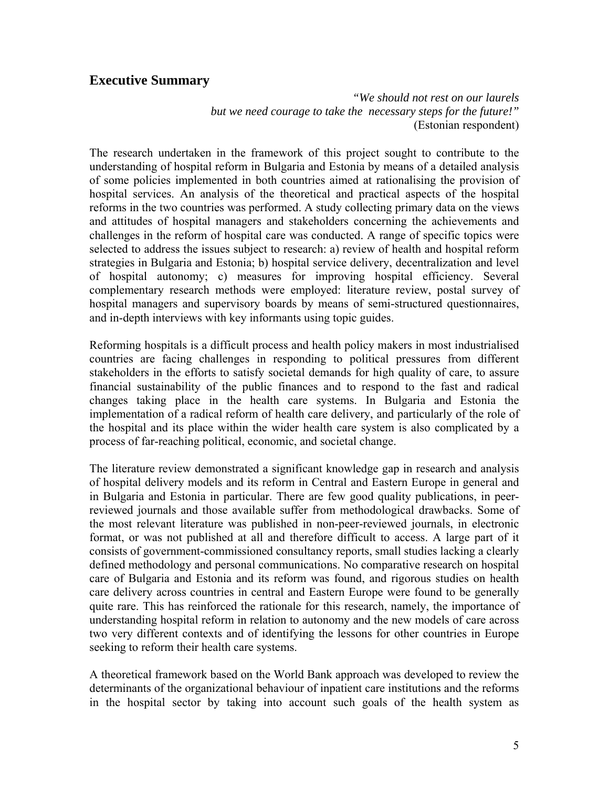# **Executive Summary**

*"We should not rest on our laurels but we need courage to take the necessary steps for the future!"*  (Estonian respondent)

The research undertaken in the framework of this project sought to contribute to the understanding of hospital reform in Bulgaria and Estonia by means of a detailed analysis of some policies implemented in both countries aimed at rationalising the provision of hospital services. An analysis of the theoretical and practical aspects of the hospital reforms in the two countries was performed. A study collecting primary data on the views and attitudes of hospital managers and stakeholders concerning the achievements and challenges in the reform of hospital care was conducted. A range of specific topics were selected to address the issues subject to research: a) review of health and hospital reform strategies in Bulgaria and Estonia; b) hospital service delivery, decentralization and level of hospital autonomy; c) measures for improving hospital efficiency. Several complementary research methods were employed: literature review, postal survey of hospital managers and supervisory boards by means of semi-structured questionnaires, and in-depth interviews with key informants using topic guides.

Reforming hospitals is a difficult process and health policy makers in most industrialised countries are facing challenges in responding to political pressures from different stakeholders in the efforts to satisfy societal demands for high quality of care, to assure financial sustainability of the public finances and to respond to the fast and radical changes taking place in the health care systems. In Bulgaria and Estonia the implementation of a radical reform of health care delivery, and particularly of the role of the hospital and its place within the wider health care system is also complicated by a process of far-reaching political, economic, and societal change.

The literature review demonstrated a significant knowledge gap in research and analysis of hospital delivery models and its reform in Central and Eastern Europe in general and in Bulgaria and Estonia in particular. There are few good quality publications, in peerreviewed journals and those available suffer from methodological drawbacks. Some of the most relevant literature was published in non-peer-reviewed journals, in electronic format, or was not published at all and therefore difficult to access. A large part of it consists of government-commissioned consultancy reports, small studies lacking a clearly defined methodology and personal communications. No comparative research on hospital care of Bulgaria and Estonia and its reform was found, and rigorous studies on health care delivery across countries in central and Eastern Europe were found to be generally quite rare. This has reinforced the rationale for this research, namely, the importance of understanding hospital reform in relation to autonomy and the new models of care across two very different contexts and of identifying the lessons for other countries in Europe seeking to reform their health care systems.

A theoretical framework based on the World Bank approach was developed to review the determinants of the organizational behaviour of inpatient care institutions and the reforms in the hospital sector by taking into account such goals of the health system as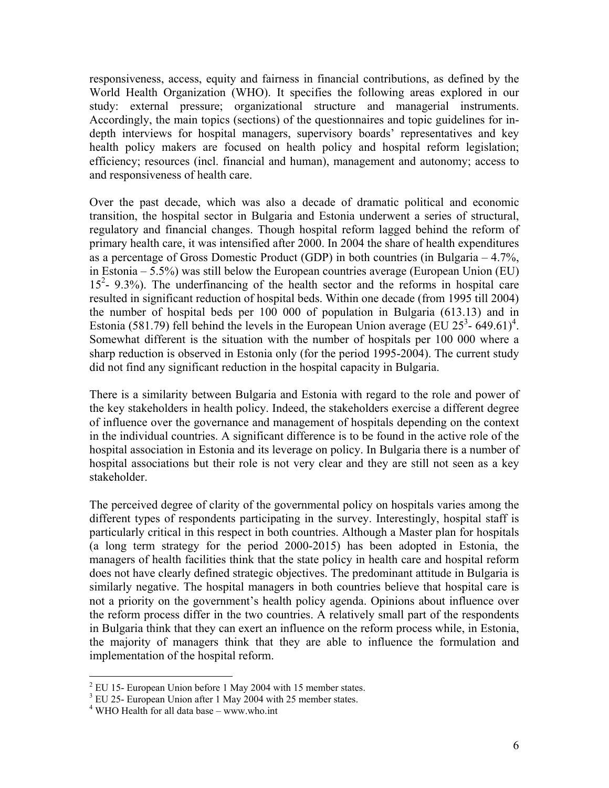responsiveness, access, equity and fairness in financial contributions, as defined by the World Health Organization (WHO). It specifies the following areas explored in our study: external pressure; organizational structure and managerial instruments. Accordingly, the main topics (sections) of the questionnaires and topic guidelines for indepth interviews for hospital managers, supervisory boards' representatives and key health policy makers are focused on health policy and hospital reform legislation; efficiency; resources (incl. financial and human), management and autonomy; access to and responsiveness of health care.

Over the past decade, which was also a decade of dramatic political and economic transition, the hospital sector in Bulgaria and Estonia underwent a series of structural, regulatory and financial changes. Though hospital reform lagged behind the reform of primary health care, it was intensified after 2000. In 2004 the share of health expenditures as a percentage of Gross Domestic Product (GDP) in both countries (in Bulgaria – 4.7%, in Estonia – 5.5%) was still below the European countries average (European Union (EU) 15<sup>2</sup>- 9.3%). The underfinancing of the health sector and the reforms in hospital care resulted in significant reduction of hospital beds. Within one decade (from 1995 till 2004) the number of hospital beds per 100 000 of population in Bulgaria (613.13) and in Estonia (581.79) fell behind the levels in the European Union average (EU  $25^3$ - 649.61)<sup>4</sup>. Somewhat different is the situation with the number of hospitals per 100 000 where a sharp reduction is observed in Estonia only (for the period 1995-2004). The current study did not find any significant reduction in the hospital capacity in Bulgaria.

There is a similarity between Bulgaria and Estonia with regard to the role and power of the key stakeholders in health policy. Indeed, the stakeholders exercise a different degree of influence over the governance and management of hospitals depending on the context in the individual countries. A significant difference is to be found in the active role of the hospital association in Estonia and its leverage on policy. In Bulgaria there is a number of hospital associations but their role is not very clear and they are still not seen as a key stakeholder.

The perceived degree of clarity of the governmental policy on hospitals varies among the different types of respondents participating in the survey. Interestingly, hospital staff is particularly critical in this respect in both countries. Although a Master plan for hospitals (a long term strategy for the period 2000-2015) has been adopted in Estonia, the managers of health facilities think that the state policy in health care and hospital reform does not have clearly defined strategic objectives. The predominant attitude in Bulgaria is similarly negative. The hospital managers in both countries believe that hospital care is not a priority on the government's health policy agenda. Opinions about influence over the reform process differ in the two countries. A relatively small part of the respondents in Bulgaria think that they can exert an influence on the reform process while, in Estonia, the majority of managers think that they are able to influence the formulation and implementation of the hospital reform.

1

 $2$  EU 15- European Union before 1 May 2004 with 15 member states.

<sup>&</sup>lt;sup>3</sup> EU 25- European Union after 1 May 2004 with 25 member states.

<sup>4</sup> WHO Health for all data base – www.who.int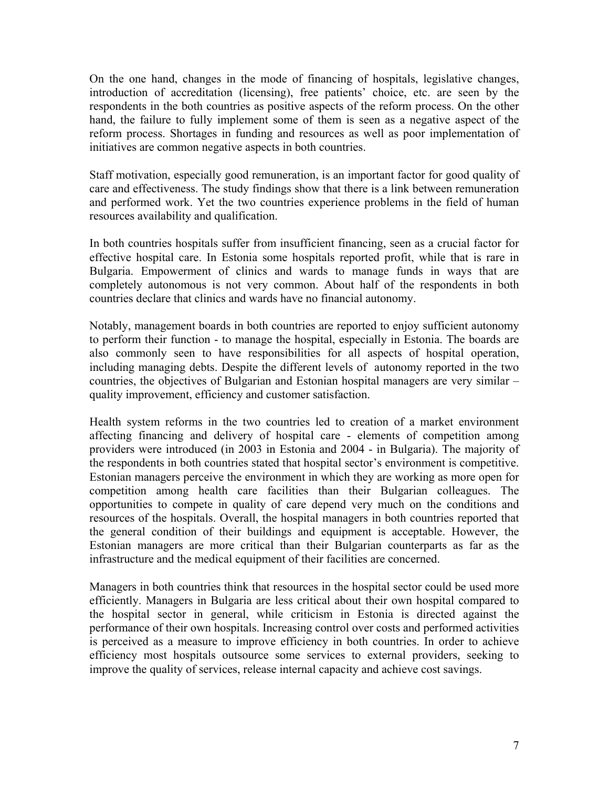On the one hand, changes in the mode of financing of hospitals, legislative changes, introduction of accreditation (licensing), free patients' choice, etc. are seen by the respondents in the both countries as positive aspects of the reform process. On the other hand, the failure to fully implement some of them is seen as a negative aspect of the reform process. Shortages in funding and resources as well as poor implementation of initiatives are common negative aspects in both countries.

Staff motivation, especially good remuneration, is an important factor for good quality of care and effectiveness. The study findings show that there is a link between remuneration and performed work. Yet the two countries experience problems in the field of human resources availability and qualification.

In both countries hospitals suffer from insufficient financing, seen as a crucial factor for effective hospital care. In Estonia some hospitals reported profit, while that is rare in Bulgaria. Empowerment of clinics and wards to manage funds in ways that are completely autonomous is not very common. About half of the respondents in both countries declare that clinics and wards have no financial autonomy.

Notably, management boards in both countries are reported to enjoy sufficient autonomy to perform their function - to manage the hospital, especially in Estonia. The boards are also commonly seen to have responsibilities for all aspects of hospital operation, including managing debts. Despite the different levels of autonomy reported in the two countries, the objectives of Bulgarian and Estonian hospital managers are very similar – quality improvement, efficiency and customer satisfaction.

Health system reforms in the two countries led to creation of a market environment affecting financing and delivery of hospital care - elements of competition among providers were introduced (in 2003 in Estonia and 2004 - in Bulgaria). The majority of the respondents in both countries stated that hospital sector's environment is competitive. Estonian managers perceive the environment in which they are working as more open for competition among health care facilities than their Bulgarian colleagues. The opportunities to compete in quality of care depend very much on the conditions and resources of the hospitals. Overall, the hospital managers in both countries reported that the general condition of their buildings and equipment is acceptable. However, the Estonian managers are more critical than their Bulgarian counterparts as far as the infrastructure and the medical equipment of their facilities are concerned.

Managers in both countries think that resources in the hospital sector could be used more efficiently. Managers in Bulgaria are less critical about their own hospital compared to the hospital sector in general, while criticism in Estonia is directed against the performance of their own hospitals. Increasing control over costs and performed activities is perceived as a measure to improve efficiency in both countries. In order to achieve efficiency most hospitals outsource some services to external providers, seeking to improve the quality of services, release internal capacity and achieve cost savings.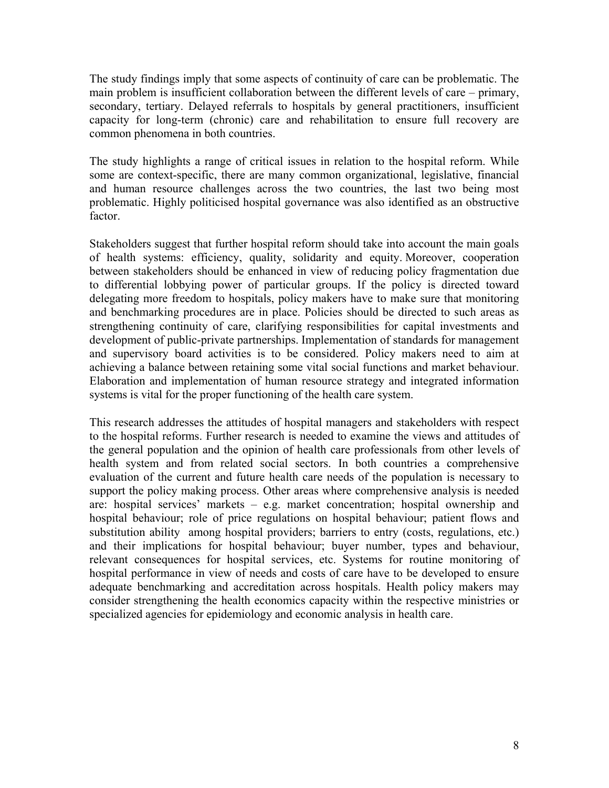The study findings imply that some aspects of continuity of care can be problematic. The main problem is insufficient collaboration between the different levels of care – primary, secondary, tertiary. Delayed referrals to hospitals by general practitioners, insufficient capacity for long-term (chronic) care and rehabilitation to ensure full recovery are common phenomena in both countries.

The study highlights a range of critical issues in relation to the hospital reform. While some are context-specific, there are many common organizational, legislative, financial and human resource challenges across the two countries, the last two being most problematic. Highly politicised hospital governance was also identified as an obstructive factor.

Stakeholders suggest that further hospital reform should take into account the main goals of health systems: efficiency, quality, solidarity and equity. Moreover, cooperation between stakeholders should be enhanced in view of reducing policy fragmentation due to differential lobbying power of particular groups. If the policy is directed toward delegating more freedom to hospitals, policy makers have to make sure that monitoring and benchmarking procedures are in place. Policies should be directed to such areas as strengthening continuity of care, clarifying responsibilities for capital investments and development of public-private partnerships. Implementation of standards for management and supervisory board activities is to be considered. Policy makers need to aim at achieving a balance between retaining some vital social functions and market behaviour. Elaboration and implementation of human resource strategy and integrated information systems is vital for the proper functioning of the health care system.

This research addresses the attitudes of hospital managers and stakeholders with respect to the hospital reforms. Further research is needed to examine the views and attitudes of the general population and the opinion of health care professionals from other levels of health system and from related social sectors. In both countries a comprehensive evaluation of the current and future health care needs of the population is necessary to support the policy making process. Other areas where comprehensive analysis is needed are: hospital services' markets – e.g. market concentration; hospital ownership and hospital behaviour; role of price regulations on hospital behaviour; patient flows and substitution ability among hospital providers; barriers to entry (costs, regulations, etc.) and their implications for hospital behaviour; buyer number, types and behaviour, relevant consequences for hospital services, etc. Systems for routine monitoring of hospital performance in view of needs and costs of care have to be developed to ensure adequate benchmarking and accreditation across hospitals. Health policy makers may consider strengthening the health economics capacity within the respective ministries or specialized agencies for epidemiology and economic analysis in health care.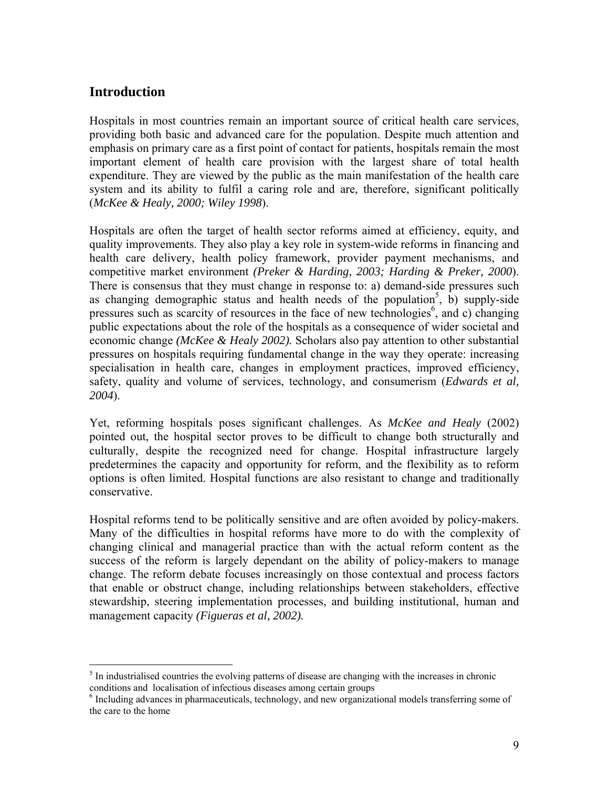# **Introduction**

 $\overline{a}$ 

Hospitals in most countries remain an important source of critical health care services, providing both basic and advanced care for the population. Despite much attention and emphasis on primary care as a first point of contact for patients, hospitals remain the most important element of health care provision with the largest share of total health expenditure. They are viewed by the public as the main manifestation of the health care system and its ability to fulfil a caring role and are, therefore, significant politically (*McKee & Healy, 2000; Wiley 1998*).

Hospitals are often the target of health sector reforms aimed at efficiency, equity, and quality improvements. They also play a key role in system-wide reforms in financing and health care delivery, health policy framework, provider payment mechanisms, and competitive market environment *(Preker & Harding, 2003; Harding & Preker, 2000*). There is consensus that they must change in response to: a) demand-side pressures such as changing demographic status and health needs of the population<sup>5</sup>, b) supply-side pressures such as scarcity of resources in the face of new technologies<sup>6</sup>, and c) changing public expectations about the role of the hospitals as a consequence of wider societal and economic change *(McKee & Healy 2002).* Scholars also pay attention to other substantial pressures on hospitals requiring fundamental change in the way they operate: increasing specialisation in health care, changes in employment practices, improved efficiency, safety, quality and volume of services, technology, and consumerism (*Edwards et al, 2004*).

Yet, reforming hospitals poses significant challenges. As *McKee and Healy* (2002) pointed out, the hospital sector proves to be difficult to change both structurally and culturally, despite the recognized need for change. Hospital infrastructure largely predetermines the capacity and opportunity for reform, and the flexibility as to reform options is often limited. Hospital functions are also resistant to change and traditionally conservative.

Hospital reforms tend to be politically sensitive and are often avoided by policy-makers. Many of the difficulties in hospital reforms have more to do with the complexity of changing clinical and managerial practice than with the actual reform content as the success of the reform is largely dependant on the ability of policy-makers to manage change. The reform debate focuses increasingly on those contextual and process factors that enable or obstruct change, including relationships between stakeholders, effective stewardship, steering implementation processes, and building institutional, human and management capacity *(Figueras et al, 2002).* 

 $<sup>5</sup>$  In industrialised countries the evolving patterns of disease are changing with the increases in chronic</sup> conditions and localisation of infectious diseases among certain groups

 $6$  Including advances in pharmaceuticals, technology, and new organizational models transferring some of the care to the home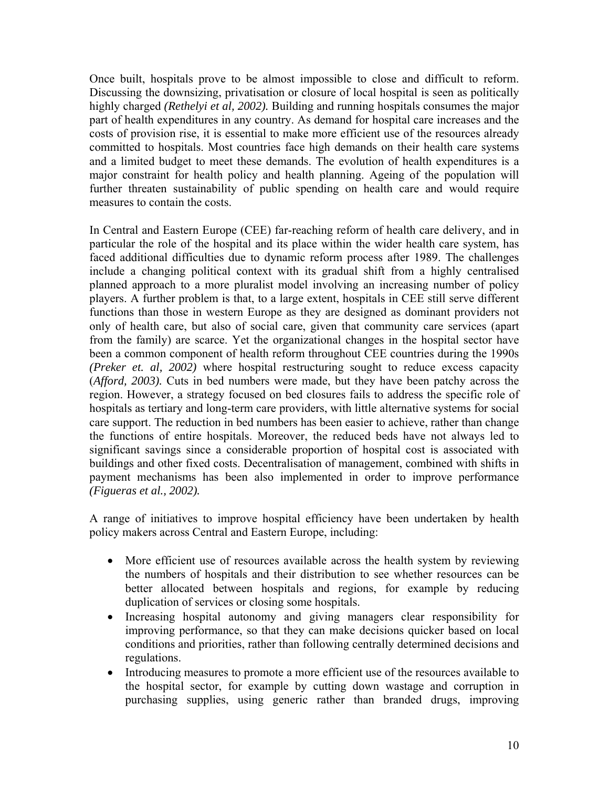Once built, hospitals prove to be almost impossible to close and difficult to reform. Discussing the downsizing, privatisation or closure of local hospital is seen as politically highly charged *(Rethelyi et al, 2002).* Building and running hospitals consumes the major part of health expenditures in any country. As demand for hospital care increases and the costs of provision rise, it is essential to make more efficient use of the resources already committed to hospitals. Most countries face high demands on their health care systems and a limited budget to meet these demands. The evolution of health expenditures is a major constraint for health policy and health planning. Ageing of the population will further threaten sustainability of public spending on health care and would require measures to contain the costs.

In Central and Eastern Europe (CEE) far-reaching reform of health care delivery, and in particular the role of the hospital and its place within the wider health care system, has faced additional difficulties due to dynamic reform process after 1989. The challenges include a changing political context with its gradual shift from a highly centralised planned approach to a more pluralist model involving an increasing number of policy players. A further problem is that, to a large extent, hospitals in CEE still serve different functions than those in western Europe as they are designed as dominant providers not only of health care, but also of social care, given that community care services (apart from the family) are scarce. Yet the organizational changes in the hospital sector have been a common component of health reform throughout CEE countries during the 1990s *(Preker et. al, 2002)* where hospital restructuring sought to reduce excess capacity (*Afford, 2003).* Cuts in bed numbers were made, but they have been patchy across the region. However, a strategy focused on bed closures fails to address the specific role of hospitals as tertiary and long-term care providers, with little alternative systems for social care support. The reduction in bed numbers has been easier to achieve, rather than change the functions of entire hospitals. Moreover, the reduced beds have not always led to significant savings since a considerable proportion of hospital cost is associated with buildings and other fixed costs. Decentralisation of management, combined with shifts in payment mechanisms has been also implemented in order to improve performance *(Figueras et al., 2002).*

A range of initiatives to improve hospital efficiency have been undertaken by health policy makers across Central and Eastern Europe, including:

- More efficient use of resources available across the health system by reviewing the numbers of hospitals and their distribution to see whether resources can be better allocated between hospitals and regions, for example by reducing duplication of services or closing some hospitals.
- Increasing hospital autonomy and giving managers clear responsibility for improving performance, so that they can make decisions quicker based on local conditions and priorities, rather than following centrally determined decisions and regulations.
- Introducing measures to promote a more efficient use of the resources available to the hospital sector, for example by cutting down wastage and corruption in purchasing supplies, using generic rather than branded drugs, improving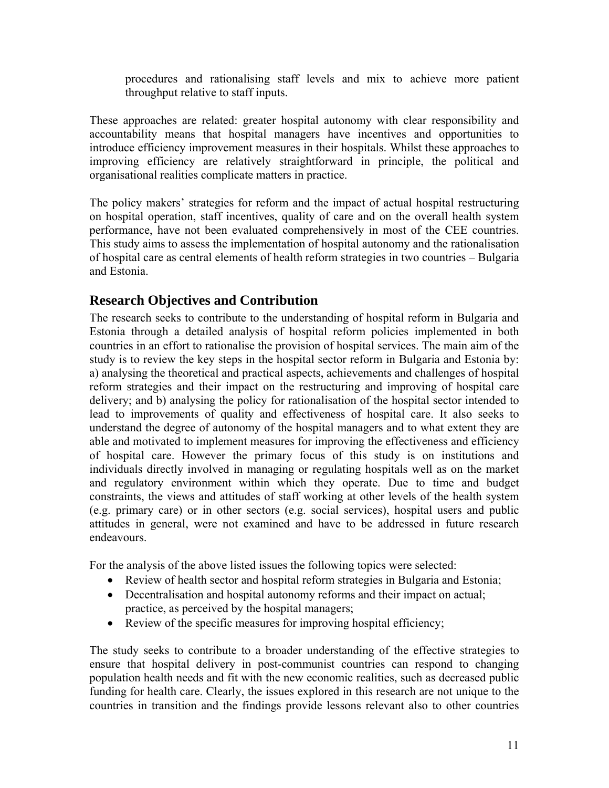procedures and rationalising staff levels and mix to achieve more patient throughput relative to staff inputs.

These approaches are related: greater hospital autonomy with clear responsibility and accountability means that hospital managers have incentives and opportunities to introduce efficiency improvement measures in their hospitals. Whilst these approaches to improving efficiency are relatively straightforward in principle, the political and organisational realities complicate matters in practice.

The policy makers' strategies for reform and the impact of actual hospital restructuring on hospital operation, staff incentives, quality of care and on the overall health system performance, have not been evaluated comprehensively in most of the CEE countries. This study aims to assess the implementation of hospital autonomy and the rationalisation of hospital care as central elements of health reform strategies in two countries – Bulgaria and Estonia.

# **Research Objectives and Contribution**

The research seeks to contribute to the understanding of hospital reform in Bulgaria and Estonia through a detailed analysis of hospital reform policies implemented in both countries in an effort to rationalise the provision of hospital services. The main aim of the study is to review the key steps in the hospital sector reform in Bulgaria and Estonia by: a) analysing the theoretical and practical aspects, achievements and challenges of hospital reform strategies and their impact on the restructuring and improving of hospital care delivery; and b) analysing the policy for rationalisation of the hospital sector intended to lead to improvements of quality and effectiveness of hospital care. It also seeks to understand the degree of autonomy of the hospital managers and to what extent they are able and motivated to implement measures for improving the effectiveness and efficiency of hospital care. However the primary focus of this study is on institutions and individuals directly involved in managing or regulating hospitals well as on the market and regulatory environment within which they operate. Due to time and budget constraints, the views and attitudes of staff working at other levels of the health system (e.g. primary care) or in other sectors (e.g. social services), hospital users and public attitudes in general, were not examined and have to be addressed in future research endeavours.

For the analysis of the above listed issues the following topics were selected:

- Review of health sector and hospital reform strategies in Bulgaria and Estonia;
- Decentralisation and hospital autonomy reforms and their impact on actual; practice, as perceived by the hospital managers;
- Review of the specific measures for improving hospital efficiency;

The study seeks to contribute to a broader understanding of the effective strategies to ensure that hospital delivery in post-communist countries can respond to changing population health needs and fit with the new economic realities, such as decreased public funding for health care. Clearly, the issues explored in this research are not unique to the countries in transition and the findings provide lessons relevant also to other countries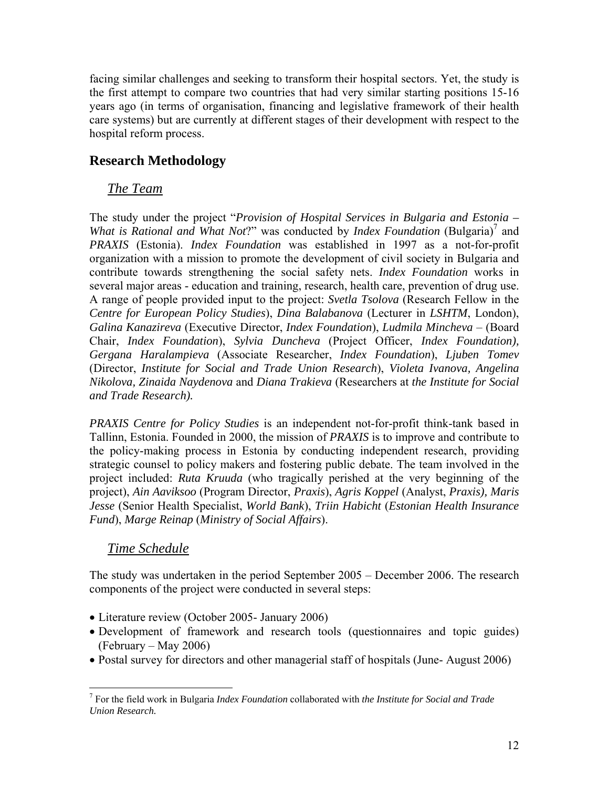facing similar challenges and seeking to transform their hospital sectors. Yet, the study is the first attempt to compare two countries that had very similar starting positions 15-16 years ago (in terms of organisation, financing and legislative framework of their health care systems) but are currently at different stages of their development with respect to the hospital reform process.

# **Research Methodology**

# *The Team*

The study under the project "*Provision of Hospital Services in Bulgaria and Estonia – What is Rational and What Not*?" was conducted by *Index Foundation* (Bulgaria)<sup>7</sup> and *PRAXIS* (Estonia). *Index Foundation* was established in 1997 as a not-for-profit organization with a mission to promote the development of civil society in Bulgaria and contribute towards strengthening the social safety nets. *Index Foundation* works in several major areas - education and training, research, health care, prevention of drug use. A range of people provided input to the project: *Svetla Tsolova* (Research Fellow in the *Centre for European Policy Studies*), *Dina Balabanova* (Lecturer in *LSHTM*, London), *Galina Kanazireva* (Executive Director, *Index Foundation*), *Ludmila Mincheva* – (Board Chair, *Index Foundation*), *Sylvia Duncheva* (Project Officer, *Index Foundation), Gergana Haralampieva* (Associate Researcher, *Index Foundation*), *Ljuben Tomev* (Director, *Institute for Social and Trade Union Research*), *Violeta Ivanova, Angelina Nikolova, Zinaida Naydenova* and *Diana Trakieva* (Researchers at *the Institute for Social and Trade Research).* 

*PRAXIS Centre for Policy Studies* is an independent not-for-profit think-tank based in Tallinn, Estonia. Founded in 2000, the mission of *PRAXIS* is to improve and contribute to the policy-making process in Estonia by conducting independent research, providing strategic counsel to policy makers and fostering public debate. The team involved in the project included: *Ruta Kruuda* (who tragically perished at the very beginning of the project), *Ain Aaviksoo* (Program Director, *Praxis*), *Agris Koppel* (Analyst, *Praxis), Maris Jesse* (Senior Health Specialist, *World Bank*), *Triin Habicht* (*Estonian Health Insurance Fund*), *Marge Reinap* (*Ministry of Social Affairs*).

# *Time Schedule*

The study was undertaken in the period September 2005 – December 2006. The research components of the project were conducted in several steps:

- Literature review (October 2005- January 2006)
- Development of framework and research tools (questionnaires and topic guides) (February – May 2006)
- Postal survey for directors and other managerial staff of hospitals (June- August 2006)

 7 For the field work in Bulgaria *Index Foundation* collaborated with *the Institute for Social and Trade Union Research.*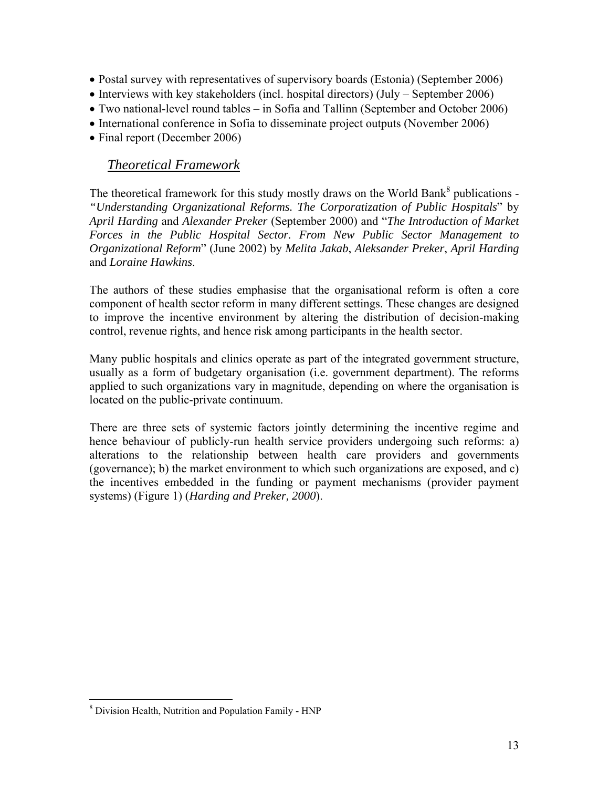- Postal survey with representatives of supervisory boards (Estonia) (September 2006)
- Interviews with key stakeholders (incl. hospital directors) (July September 2006)
- Two national-level round tables in Sofia and Tallinn (September and October 2006)
- International conference in Sofia to disseminate project outputs (November 2006)
- Final report (December 2006)

# *Theoretical Framework*

The theoretical framework for this study mostly draws on the World Bank<sup>8</sup> publications -*"Understanding Organizational Reforms. The Corporatization of Public Hospitals*" by *April Harding* and *Alexander Preker* (September 2000) and "*The Introduction of Market Forces in the Public Hospital Sector. From New Public Sector Management to Organizational Reform*" (June 2002) by *Melita Jakab*, *Aleksander Preker*, *April Harding* and *Loraine Hawkins*.

The authors of these studies emphasise that the organisational reform is often a core component of health sector reform in many different settings. These changes are designed to improve the incentive environment by altering the distribution of decision-making control, revenue rights, and hence risk among participants in the health sector.

Many public hospitals and clinics operate as part of the integrated government structure, usually as a form of budgetary organisation (i.e. government department). The reforms applied to such organizations vary in magnitude, depending on where the organisation is located on the public-private continuum.

There are three sets of systemic factors jointly determining the incentive regime and hence behaviour of publicly-run health service providers undergoing such reforms: a) alterations to the relationship between health care providers and governments (governance); b) the market environment to which such organizations are exposed, and c) the incentives embedded in the funding or payment mechanisms (provider payment systems) (Figure 1) (*Harding and Preker, 2000*).

 $\overline{a}$ 

<sup>8</sup> Division Health, Nutrition and Population Family - HNP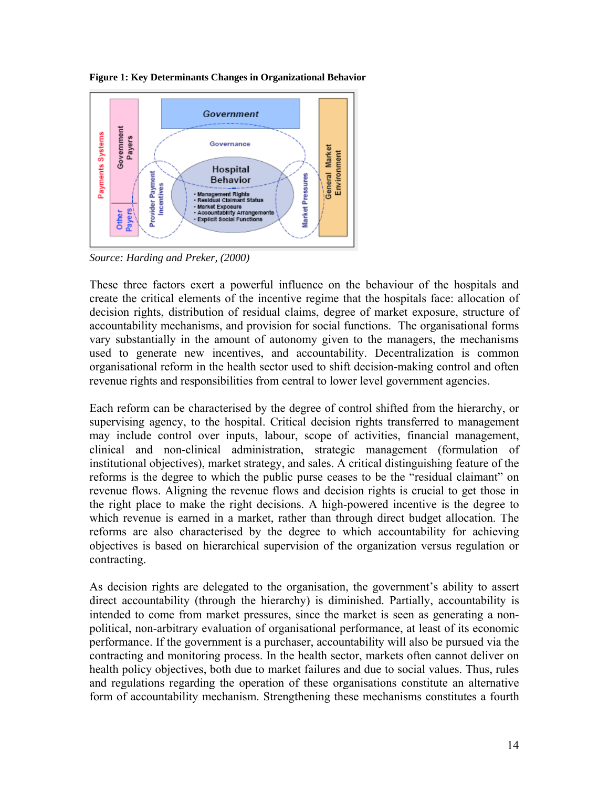**Figure 1: Key Determinants Changes in Organizational Behavior** 



*Source: Harding and Preker, (2000)* 

These three factors exert a powerful influence on the behaviour of the hospitals and create the critical elements of the incentive regime that the hospitals face: allocation of decision rights, distribution of residual claims, degree of market exposure, structure of accountability mechanisms, and provision for social functions. The organisational forms vary substantially in the amount of autonomy given to the managers, the mechanisms used to generate new incentives, and accountability. Decentralization is common organisational reform in the health sector used to shift decision-making control and often revenue rights and responsibilities from central to lower level government agencies.

Each reform can be characterised by the degree of control shifted from the hierarchy, or supervising agency, to the hospital. Critical decision rights transferred to management may include control over inputs, labour, scope of activities, financial management, clinical and non-clinical administration, strategic management (formulation of institutional objectives), market strategy, and sales. A critical distinguishing feature of the reforms is the degree to which the public purse ceases to be the "residual claimant" on revenue flows. Aligning the revenue flows and decision rights is crucial to get those in the right place to make the right decisions. A high-powered incentive is the degree to which revenue is earned in a market, rather than through direct budget allocation. The reforms are also characterised by the degree to which accountability for achieving objectives is based on hierarchical supervision of the organization versus regulation or contracting.

As decision rights are delegated to the organisation, the government's ability to assert direct accountability (through the hierarchy) is diminished. Partially, accountability is intended to come from market pressures, since the market is seen as generating a nonpolitical, non-arbitrary evaluation of organisational performance, at least of its economic performance. If the government is a purchaser, accountability will also be pursued via the contracting and monitoring process. In the health sector, markets often cannot deliver on health policy objectives, both due to market failures and due to social values. Thus, rules and regulations regarding the operation of these organisations constitute an alternative form of accountability mechanism. Strengthening these mechanisms constitutes a fourth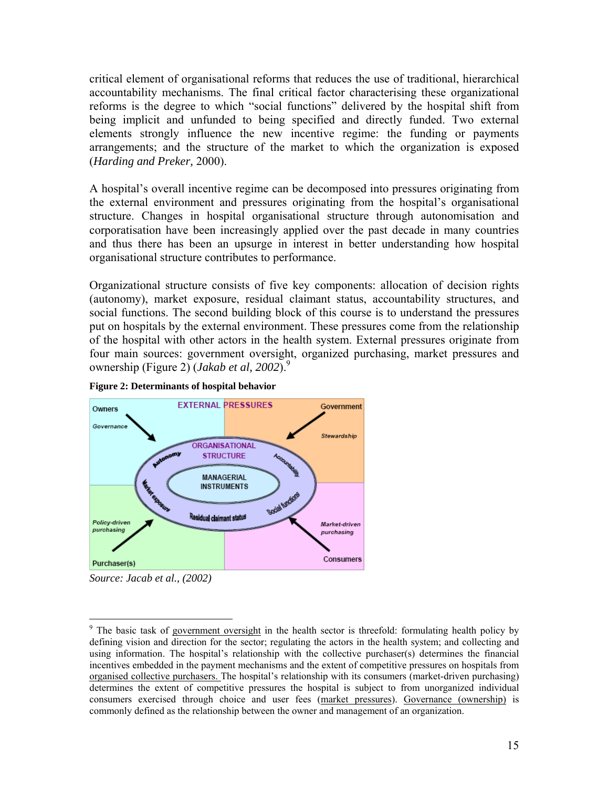critical element of organisational reforms that reduces the use of traditional, hierarchical accountability mechanisms. The final critical factor characterising these organizational reforms is the degree to which "social functions" delivered by the hospital shift from being implicit and unfunded to being specified and directly funded. Two external elements strongly influence the new incentive regime: the funding or payments arrangements; and the structure of the market to which the organization is exposed (*Harding and Preker,* 2000).

A hospital's overall incentive regime can be decomposed into pressures originating from the external environment and pressures originating from the hospital's organisational structure. Changes in hospital organisational structure through autonomisation and corporatisation have been increasingly applied over the past decade in many countries and thus there has been an upsurge in interest in better understanding how hospital organisational structure contributes to performance.

Organizational structure consists of five key components: allocation of decision rights (autonomy), market exposure, residual claimant status, accountability structures, and social functions. The second building block of this course is to understand the pressures put on hospitals by the external environment. These pressures come from the relationship of the hospital with other actors in the health system. External pressures originate from four main sources: government oversight, organized purchasing, market pressures and ownership (Figure 2) (*Jakab et al, 2002*).9





 $\overline{a}$ 

*Source: Jacab et al., (2002)* 

<sup>&</sup>lt;sup>9</sup> The basic task of government oversight in the health sector is threefold: formulating health policy by defining vision and direction for the sector; regulating the actors in the health system; and collecting and using information. The hospital's relationship with the collective purchaser(s) determines the financial incentives embedded in the payment mechanisms and the extent of competitive pressures on hospitals from organised collective purchasers. The hospital's relationship with its consumers (market-driven purchasing) determines the extent of competitive pressures the hospital is subject to from unorganized individual consumers exercised through choice and user fees (market pressures). Governance (ownership) is commonly defined as the relationship between the owner and management of an organization.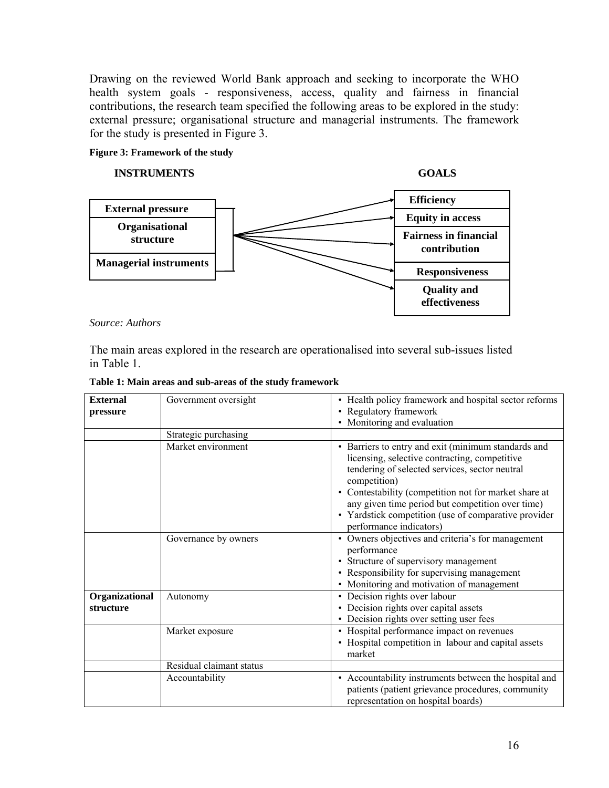Drawing on the reviewed World Bank approach and seeking to incorporate the WHO health system goals - responsiveness, access, quality and fairness in financial contributions, the research team specified the following areas to be explored in the study: external pressure; organisational structure and managerial instruments. The framework for the study is presented in Figure 3.

#### **Figure 3: Framework of the study**

#### **INSTRUMENTS GOALS**



#### *Source: Authors*

The main areas explored in the research are operationalised into several sub-issues listed in Table 1.

| <b>External</b><br>pressure | Government oversight     | • Health policy framework and hospital sector reforms<br>• Regulatory framework<br>• Monitoring and evaluation                                                                                                                                                                                                                                                         |  |
|-----------------------------|--------------------------|------------------------------------------------------------------------------------------------------------------------------------------------------------------------------------------------------------------------------------------------------------------------------------------------------------------------------------------------------------------------|--|
|                             | Strategic purchasing     |                                                                                                                                                                                                                                                                                                                                                                        |  |
|                             | Market environment       | • Barriers to entry and exit (minimum standards and<br>licensing, selective contracting, competitive<br>tendering of selected services, sector neutral<br>competition)<br>• Contestability (competition not for market share at<br>any given time period but competition over time)<br>• Yardstick competition (use of comparative provider<br>performance indicators) |  |
|                             | Governance by owners     | • Owners objectives and criteria's for management<br>performance<br>• Structure of supervisory management<br>• Responsibility for supervising management<br>• Monitoring and motivation of management                                                                                                                                                                  |  |
| Organizational<br>structure | Autonomy                 | • Decision rights over labour<br>• Decision rights over capital assets<br>• Decision rights over setting user fees                                                                                                                                                                                                                                                     |  |
|                             | Market exposure          | • Hospital performance impact on revenues<br>• Hospital competition in labour and capital assets<br>market                                                                                                                                                                                                                                                             |  |
|                             | Residual claimant status |                                                                                                                                                                                                                                                                                                                                                                        |  |
|                             | Accountability           | • Accountability instruments between the hospital and<br>patients (patient grievance procedures, community<br>representation on hospital boards)                                                                                                                                                                                                                       |  |

**Table 1: Main areas and sub-areas of the study framework**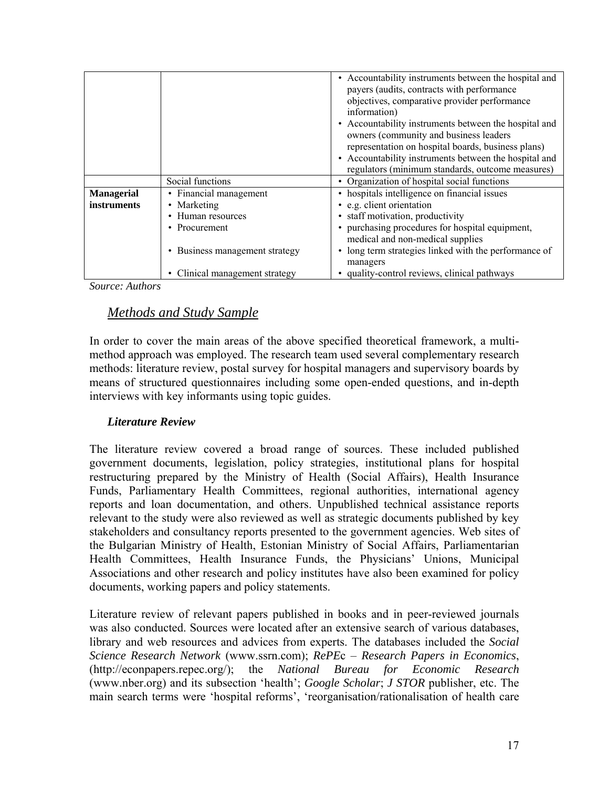|                    |                                | • Accountability instruments between the hospital and<br>payers (audits, contracts with performance<br>objectives, comparative provider performance<br>information)<br>• Accountability instruments between the hospital and<br>owners (community and business leaders<br>representation on hospital boards, business plans)<br>• Accountability instruments between the hospital and<br>regulators (minimum standards, outcome measures) |
|--------------------|--------------------------------|-------------------------------------------------------------------------------------------------------------------------------------------------------------------------------------------------------------------------------------------------------------------------------------------------------------------------------------------------------------------------------------------------------------------------------------------|
|                    | Social functions               | • Organization of hospital social functions                                                                                                                                                                                                                                                                                                                                                                                               |
| <b>Managerial</b>  | • Financial management         | • hospitals intelligence on financial issues                                                                                                                                                                                                                                                                                                                                                                                              |
| <i>instruments</i> | • Marketing                    | • e.g. client orientation                                                                                                                                                                                                                                                                                                                                                                                                                 |
|                    | Human resources                | • staff motivation, productivity                                                                                                                                                                                                                                                                                                                                                                                                          |
|                    | • Procurement                  | • purchasing procedures for hospital equipment,<br>medical and non-medical supplies                                                                                                                                                                                                                                                                                                                                                       |
|                    | • Business management strategy | • long term strategies linked with the performance of<br>managers                                                                                                                                                                                                                                                                                                                                                                         |
|                    | Clinical management strategy   | quality-control reviews, clinical pathways                                                                                                                                                                                                                                                                                                                                                                                                |

*Source: Authors* 

# *Methods and Study Sample*

In order to cover the main areas of the above specified theoretical framework, a multimethod approach was employed. The research team used several complementary research methods: literature review, postal survey for hospital managers and supervisory boards by means of structured questionnaires including some open-ended questions, and in-depth interviews with key informants using topic guides.

#### *Literature Review*

The literature review covered a broad range of sources. These included published government documents, legislation, policy strategies, institutional plans for hospital restructuring prepared by the Ministry of Health (Social Affairs), Health Insurance Funds, Parliamentary Health Committees, regional authorities, international agency reports and loan documentation, and others. Unpublished technical assistance reports relevant to the study were also reviewed as well as strategic documents published by key stakeholders and consultancy reports presented to the government agencies. Web sites of the Bulgarian Ministry of Health, Estonian Ministry of Social Affairs, Parliamentarian Health Committees, Health Insurance Funds, the Physicians' Unions, Municipal Associations and other research and policy institutes have also been examined for policy documents, working papers and policy statements.

Literature review of relevant papers published in books and in peer-reviewed journals was also conducted. Sources were located after an extensive search of various databases, library and web resources and advices from experts. The databases included the *Social Science Research Network* (www.ssrn.com); *RePE*c – *Research Papers in Economics*, (http://econpapers.repec.org/); the *National Bureau for Economic Research* (www.nber.org) and its subsection 'health'; *Google Scholar*; *J STOR* publisher, etc. The main search terms were 'hospital reforms', 'reorganisation/rationalisation of health care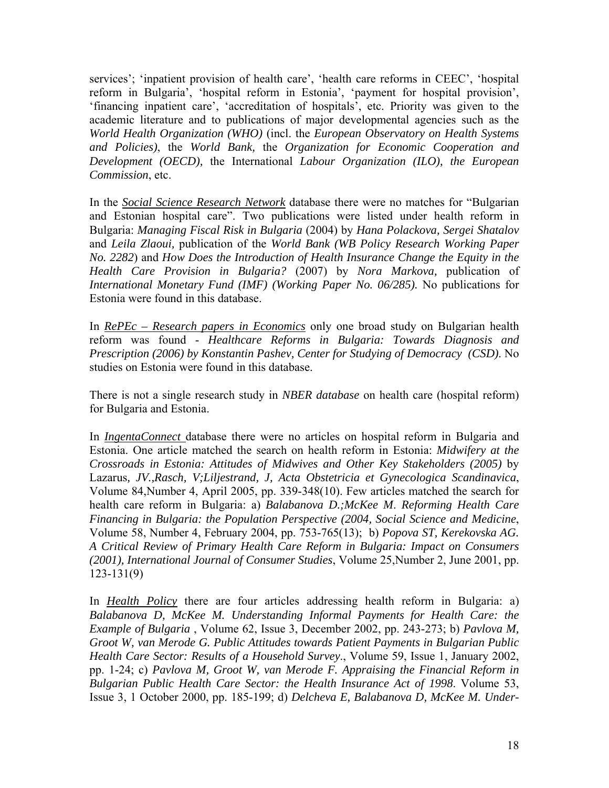services'; 'inpatient provision of health care', 'health care reforms in CEEC', 'hospital reform in Bulgaria', 'hospital reform in Estonia', 'payment for hospital provision', 'financing inpatient care', 'accreditation of hospitals', etc. Priority was given to the academic literature and to publications of major developmental agencies such as the *World Health Organization (WHO)* (incl. the *European Observatory on Health Systems and Policies)*, the *World Bank,* the *Organization for Economic Cooperation and Development (OECD),* the International *Labour Organization (ILO), the European Commission*, etc.

In the *Social Science Research Network* database there were no matches for "Bulgarian and Estonian hospital care". Two publications were listed under health reform in Bulgaria: *Managing Fiscal Risk in Bulgaria* (2004) by *Hana Polackova, Sergei Shatalov* and *Leila Zlaoui,* publication of the *World Bank (WB Policy Research Working Paper No. 2282*) and *How Does the Introduction of Health Insurance Change the Equity in the Health Care Provision in Bulgaria?* (2007) by *Nora Markova,* publication of *International Monetary Fund (IMF) (Working Paper No. 06/285).* No publications for Estonia were found in this database.

In *RePEc – Research papers in Economics* only one broad study on Bulgarian health reform was found - *Healthcare Reforms in Bulgaria: Towards Diagnosis and Prescription (2006) by Konstantin Pashev, Center for Studying of Democracy (CSD)*. No studies on Estonia were found in this database.

There is not a single research study in *NBER database* on health care (hospital reform) for Bulgaria and Estonia.

In *IngentaConnect* database there were no articles on hospital reform in Bulgaria and Estonia. One article matched the search on health reform in Estonia: *Midwifery at the Crossroads in Estonia: Attitudes of Midwives and Other Key Stakeholders (2005)* by Lazarus*, JV.,Rasch, V;Liljestrand, J, Acta Obstetricia et Gynecologica Scandinavica*, Volume 84,Number 4, April 2005, pp. 339-348(10). Few articles matched the search for health care reform in Bulgaria: a) *Balabanova D.;McKee M*. *Reforming Health Care Financing in Bulgaria: the Population Perspective (2004, Social Science and Medicine*, Volume 58, Number 4, February 2004, pp. 753-765(13); b) *Popova ST, Kerekovska AG. A Critical Review of Primary Health Care Reform in Bulgaria: Impact on Consumers (2001), International Journal of Consumer Studies*, Volume 25,Number 2, June 2001, pp. 123-131(9)

In *Health Policy* there are four articles addressing health reform in Bulgaria: a) *Balabanova D, McKee M. Understanding Informal Payments for Health Care: the Example of Bulgaria* , Volume 62, Issue 3, December 2002, pp. 243-273; b) *Pavlova M, Groot W, van Merode G. Public Attitudes towards Patient Payments in Bulgarian Public Health Care Sector: Results of a Household Survey*., Volume 59, Issue 1, January 2002, pp. 1-24; c) *Pavlova M, Groot W, van Merode F. Appraising the Financial Reform in Bulgarian Public Health Care Sector: the Health Insurance Act of 1998*. Volume 53, Issue 3, 1 October 2000, pp. 185-199; d) *Delcheva E, Balabanova D, McKee M. Under-*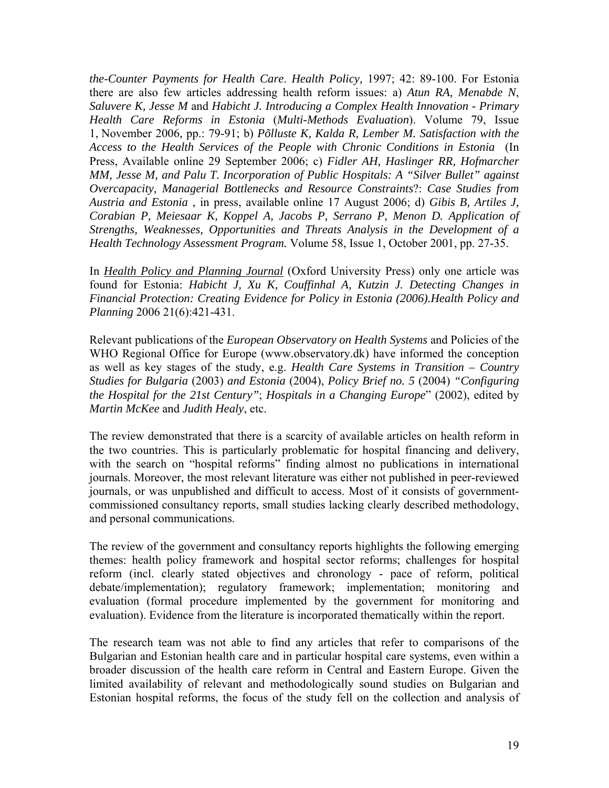*the-Counter Payments for Health Care*. *Health Policy,* 1997; 42: 89-100. For Estonia there are also few articles addressing health reform issues: a) *Atun RA, Menabde N*, *Saluvere K, Jesse M* and *Habicht J. Introducing a Complex Health Innovation - Primary Health Care Reforms in Estonia* (*Multi-Methods Evaluation*). Volume 79, Issue 1, November 2006, pp.: 79-91; b) *Põlluste K, Kalda R, Lember M. Satisfaction with the Access to the Health Services of the People with Chronic Conditions in Estonia* (In Press, Available online 29 September 2006; c) *Fidler AH, Haslinger RR, Hofmarcher MM, Jesse M, and Palu T. Incorporation of Public Hospitals: A "Silver Bullet" against Overcapacity, Managerial Bottlenecks and Resource Constraints*?: *Case Studies from Austria and Estonia* , in press, available online 17 August 2006; d) *Gibis B, Artiles J, Corabian P, Meiesaar K, Koppel A, Jacobs P, Serrano P, Menon D. Application of Strengths, Weaknesses, Opportunities and Threats Analysis in the Development of a Health Technology Assessment Program.* Volume 58, Issue 1, October 2001, pp. 27-35.

In *Health Policy and Planning Journal* (Oxford University Press) only one article was found for Estonia: *Habicht J, Xu K, Couffinhal A, Kutzin J. Detecting Changes in Financial Protection: Creating Evidence for Policy in Estonia (2006).Health Policy and Planning* 2006 21(6):421-431.

Relevant publications of the *European Observatory on Health Systems* and Policies of the WHO Regional Office for Europe (www.observatory.dk) have informed the conception as well as key stages of the study, e.g. *Health Care Systems in Transition – Country Studies for Bulgaria* (2003) *and Estonia* (2004), *Policy Brief no. 5* (2004) *"Configuring the Hospital for the 21st Century"*; *Hospitals in a Changing Europe*" (2002), edited by *Martin McKee* and *Judith Healy*, etc.

The review demonstrated that there is a scarcity of available articles on health reform in the two countries. This is particularly problematic for hospital financing and delivery, with the search on "hospital reforms" finding almost no publications in international journals. Moreover, the most relevant literature was either not published in peer-reviewed journals, or was unpublished and difficult to access. Most of it consists of governmentcommissioned consultancy reports, small studies lacking clearly described methodology, and personal communications.

The review of the government and consultancy reports highlights the following emerging themes: health policy framework and hospital sector reforms; challenges for hospital reform (incl. clearly stated objectives and chronology - pace of reform, political debate/implementation); regulatory framework; implementation; monitoring and evaluation (formal procedure implemented by the government for monitoring and evaluation). Evidence from the literature is incorporated thematically within the report.

The research team was not able to find any articles that refer to comparisons of the Bulgarian and Estonian health care and in particular hospital care systems, even within a broader discussion of the health care reform in Central and Eastern Europe. Given the limited availability of relevant and methodologically sound studies on Bulgarian and Estonian hospital reforms, the focus of the study fell on the collection and analysis of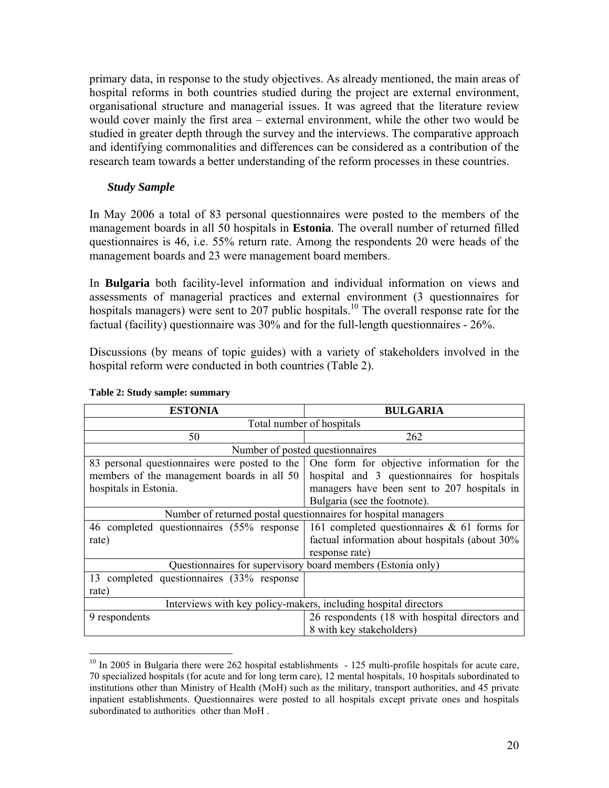primary data, in response to the study objectives. As already mentioned, the main areas of hospital reforms in both countries studied during the project are external environment, organisational structure and managerial issues. It was agreed that the literature review would cover mainly the first area – external environment, while the other two would be studied in greater depth through the survey and the interviews. The comparative approach and identifying commonalities and differences can be considered as a contribution of the research team towards a better understanding of the reform processes in these countries.

#### *Study Sample*

In May 2006 a total of 83 personal questionnaires were posted to the members of the management boards in all 50 hospitals in **Estonia**. The overall number of returned filled questionnaires is 46, i.e. 55% return rate. Among the respondents 20 were heads of the management boards and 23 were management board members.

In **Bulgaria** both facility-level information and individual information on views and assessments of managerial practices and external environment (3 questionnaires for hospitals managers) were sent to 207 public hospitals.<sup>10</sup> The overall response rate for the factual (facility) questionnaire was 30% and for the full-length questionnaires - 26%.

Discussions (by means of topic guides) with a variety of stakeholders involved in the hospital reform were conducted in both countries (Table 2).

| <b>ESTONIA</b>                                                  | <b>BULGARIA</b>                                |  |
|-----------------------------------------------------------------|------------------------------------------------|--|
| Total number of hospitals                                       |                                                |  |
| 50                                                              | 262                                            |  |
| Number of posted questionnaires                                 |                                                |  |
| 83 personal questionnaires were posted to the                   | One form for objective information for the     |  |
| members of the management boards in all 50                      | hospital and 3 questionnaires for hospitals    |  |
| hospitals in Estonia.                                           | managers have been sent to 207 hospitals in    |  |
|                                                                 | Bulgaria (see the footnote).                   |  |
| Number of returned postal questionnaires for hospital managers  |                                                |  |
| 46 completed questionnaires (55% response)                      | 161 completed questionnaires $\&$ 61 forms for |  |
| rate)                                                           | factual information about hospitals (about 30% |  |
|                                                                 | response rate)                                 |  |
| Questionnaires for supervisory board members (Estonia only)     |                                                |  |
| 13 completed questionnaires (33% response)                      |                                                |  |
| rate)                                                           |                                                |  |
| Interviews with key policy-makers, including hospital directors |                                                |  |
| 9 respondents                                                   | 26 respondents (18 with hospital directors and |  |
|                                                                 | 8 with key stakeholders)                       |  |

#### **Table 2: Study sample: summary**

 $\overline{a}$ 

<sup>&</sup>lt;sup>10</sup> In 2005 in Bulgaria there were 262 hospital establishments - 125 multi-profile hospitals for acute care, 70 specialized hospitals (for acute and for long term care), 12 mental hospitals, 10 hospitals subordinated to institutions other than Ministry of Health (MoH) such as the military, transport authorities, and 45 private inpatient establishments. Questionnaires were posted to all hospitals except private ones and hospitals subordinated to authorities other than MoH .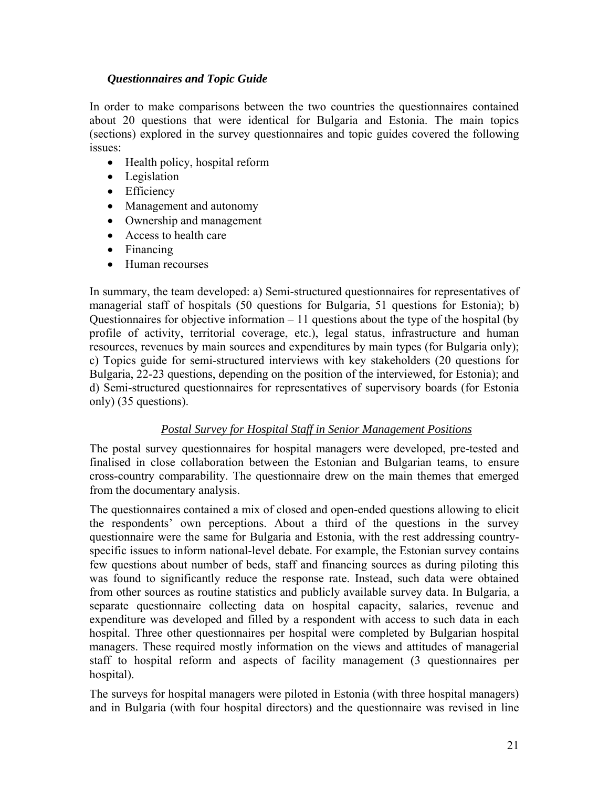#### *Questionnaires and Topic Guide*

In order to make comparisons between the two countries the questionnaires contained about 20 questions that were identical for Bulgaria and Estonia. The main topics (sections) explored in the survey questionnaires and topic guides covered the following issues:

- Health policy, hospital reform
- Legislation
- Efficiency
- Management and autonomy
- Ownership and management
- Access to health care
- Financing
- Human recourses

In summary, the team developed: a) Semi-structured questionnaires for representatives of managerial staff of hospitals (50 questions for Bulgaria, 51 questions for Estonia); b) Questionnaires for objective information  $-11$  questions about the type of the hospital (by profile of activity, territorial coverage, etc.), legal status, infrastructure and human resources, revenues by main sources and expenditures by main types (for Bulgaria only); c) Topics guide for semi-structured interviews with key stakeholders (20 questions for Bulgaria, 22-23 questions, depending on the position of the interviewed, for Estonia); and d) Semi-structured questionnaires for representatives of supervisory boards (for Estonia only) (35 questions).

#### *Postal Survey for Hospital Staff in Senior Management Positions*

The postal survey questionnaires for hospital managers were developed, pre-tested and finalised in close collaboration between the Estonian and Bulgarian teams, to ensure cross-country comparability. The questionnaire drew on the main themes that emerged from the documentary analysis.

The questionnaires contained a mix of closed and open-ended questions allowing to elicit the respondents' own perceptions. About a third of the questions in the survey questionnaire were the same for Bulgaria and Estonia, with the rest addressing countryspecific issues to inform national-level debate. For example, the Estonian survey contains few questions about number of beds, staff and financing sources as during piloting this was found to significantly reduce the response rate. Instead, such data were obtained from other sources as routine statistics and publicly available survey data. In Bulgaria, a separate questionnaire collecting data on hospital capacity, salaries, revenue and expenditure was developed and filled by a respondent with access to such data in each hospital. Three other questionnaires per hospital were completed by Bulgarian hospital managers. These required mostly information on the views and attitudes of managerial staff to hospital reform and aspects of facility management (3 questionnaires per hospital).

The surveys for hospital managers were piloted in Estonia (with three hospital managers) and in Bulgaria (with four hospital directors) and the questionnaire was revised in line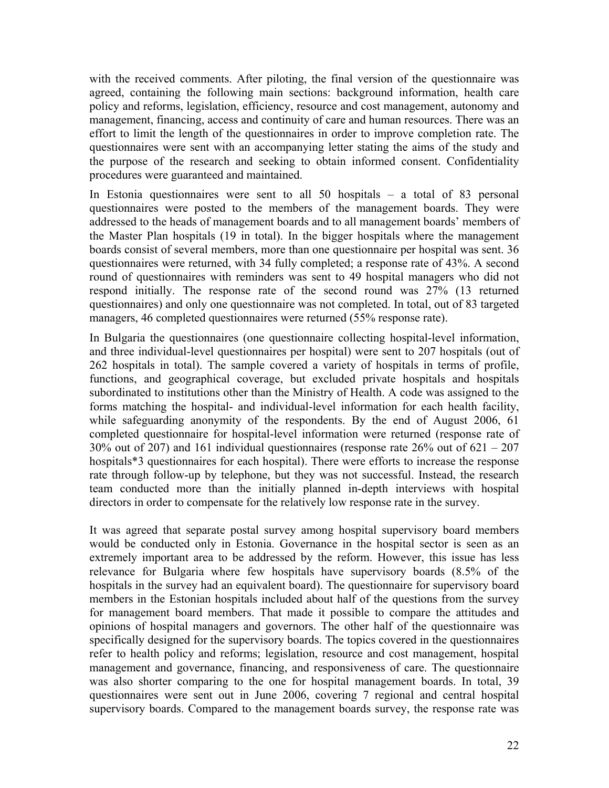with the received comments. After piloting, the final version of the questionnaire was agreed, containing the following main sections: background information, health care policy and reforms, legislation, efficiency, resource and cost management, autonomy and management, financing, access and continuity of care and human resources. There was an effort to limit the length of the questionnaires in order to improve completion rate. The questionnaires were sent with an accompanying letter stating the aims of the study and the purpose of the research and seeking to obtain informed consent. Confidentiality procedures were guaranteed and maintained.

In Estonia questionnaires were sent to all 50 hospitals – a total of 83 personal questionnaires were posted to the members of the management boards. They were addressed to the heads of management boards and to all management boards' members of the Master Plan hospitals (19 in total). In the bigger hospitals where the management boards consist of several members, more than one questionnaire per hospital was sent. 36 questionnaires were returned, with 34 fully completed; a response rate of 43%. A second round of questionnaires with reminders was sent to 49 hospital managers who did not respond initially. The response rate of the second round was 27% (13 returned questionnaires) and only one questionnaire was not completed. In total, out of 83 targeted managers, 46 completed questionnaires were returned (55% response rate).

In Bulgaria the questionnaires (one questionnaire collecting hospital-level information, and three individual-level questionnaires per hospital) were sent to 207 hospitals (out of 262 hospitals in total). The sample covered a variety of hospitals in terms of profile, functions, and geographical coverage, but excluded private hospitals and hospitals subordinated to institutions other than the Ministry of Health. A code was assigned to the forms matching the hospital- and individual-level information for each health facility, while safeguarding anonymity of the respondents. By the end of August 2006, 61 completed questionnaire for hospital-level information were returned (response rate of 30% out of 207) and 161 individual questionnaires (response rate 26% out of 621 – 207 hospitals<sup>\*</sup>3 questionnaires for each hospital). There were efforts to increase the response rate through follow-up by telephone, but they was not successful. Instead, the research team conducted more than the initially planned in-depth interviews with hospital directors in order to compensate for the relatively low response rate in the survey.

It was agreed that separate postal survey among hospital supervisory board members would be conducted only in Estonia. Governance in the hospital sector is seen as an extremely important area to be addressed by the reform. However, this issue has less relevance for Bulgaria where few hospitals have supervisory boards (8.5% of the hospitals in the survey had an equivalent board). The questionnaire for supervisory board members in the Estonian hospitals included about half of the questions from the survey for management board members. That made it possible to compare the attitudes and opinions of hospital managers and governors. The other half of the questionnaire was specifically designed for the supervisory boards. The topics covered in the questionnaires refer to health policy and reforms; legislation, resource and cost management, hospital management and governance, financing, and responsiveness of care. The questionnaire was also shorter comparing to the one for hospital management boards. In total, 39 questionnaires were sent out in June 2006, covering 7 regional and central hospital supervisory boards. Compared to the management boards survey, the response rate was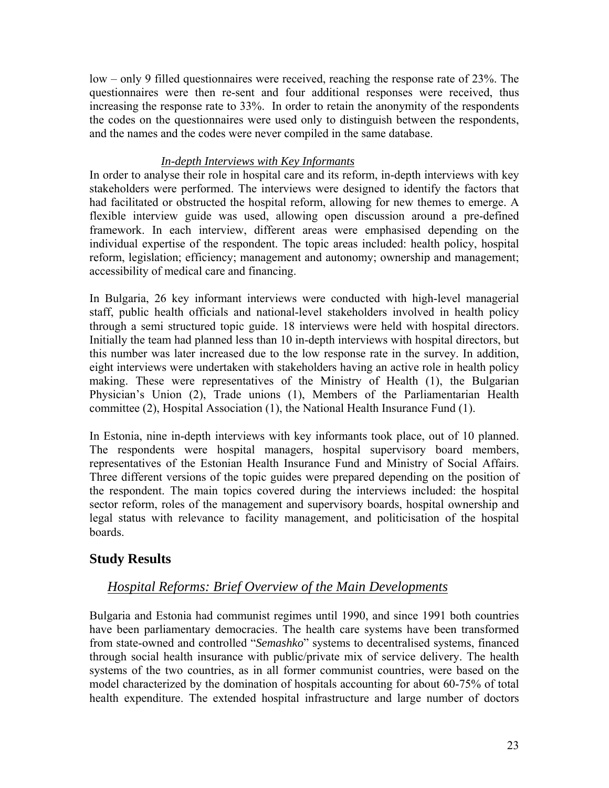low – only 9 filled questionnaires were received, reaching the response rate of 23%. The questionnaires were then re-sent and four additional responses were received, thus increasing the response rate to 33%. In order to retain the anonymity of the respondents the codes on the questionnaires were used only to distinguish between the respondents, and the names and the codes were never compiled in the same database.

#### *In-depth Interviews with Key Informants*

In order to analyse their role in hospital care and its reform, in-depth interviews with key stakeholders were performed. The interviews were designed to identify the factors that had facilitated or obstructed the hospital reform, allowing for new themes to emerge. A flexible interview guide was used, allowing open discussion around a pre-defined framework. In each interview, different areas were emphasised depending on the individual expertise of the respondent. The topic areas included: health policy, hospital reform, legislation; efficiency; management and autonomy; ownership and management; accessibility of medical care and financing.

In Bulgaria, 26 key informant interviews were conducted with high-level managerial staff, public health officials and national-level stakeholders involved in health policy through a semi structured topic guide. 18 interviews were held with hospital directors. Initially the team had planned less than 10 in-depth interviews with hospital directors, but this number was later increased due to the low response rate in the survey. In addition, eight interviews were undertaken with stakeholders having an active role in health policy making. These were representatives of the Ministry of Health (1), the Bulgarian Physician's Union (2), Trade unions (1), Members of the Parliamentarian Health committee (2), Hospital Association (1), the National Health Insurance Fund (1).

In Estonia, nine in-depth interviews with key informants took place, out of 10 planned. The respondents were hospital managers, hospital supervisory board members, representatives of the Estonian Health Insurance Fund and Ministry of Social Affairs. Three different versions of the topic guides were prepared depending on the position of the respondent. The main topics covered during the interviews included: the hospital sector reform, roles of the management and supervisory boards, hospital ownership and legal status with relevance to facility management, and politicisation of the hospital boards.

# **Study Results**

# *Hospital Reforms: Brief Overview of the Main Developments*

Bulgaria and Estonia had communist regimes until 1990, and since 1991 both countries have been parliamentary democracies. The health care systems have been transformed from state-owned and controlled "*Semashko*" systems to decentralised systems, financed through social health insurance with public/private mix of service delivery. The health systems of the two countries, as in all former communist countries, were based on the model characterized by the domination of hospitals accounting for about 60-75% of total health expenditure. The extended hospital infrastructure and large number of doctors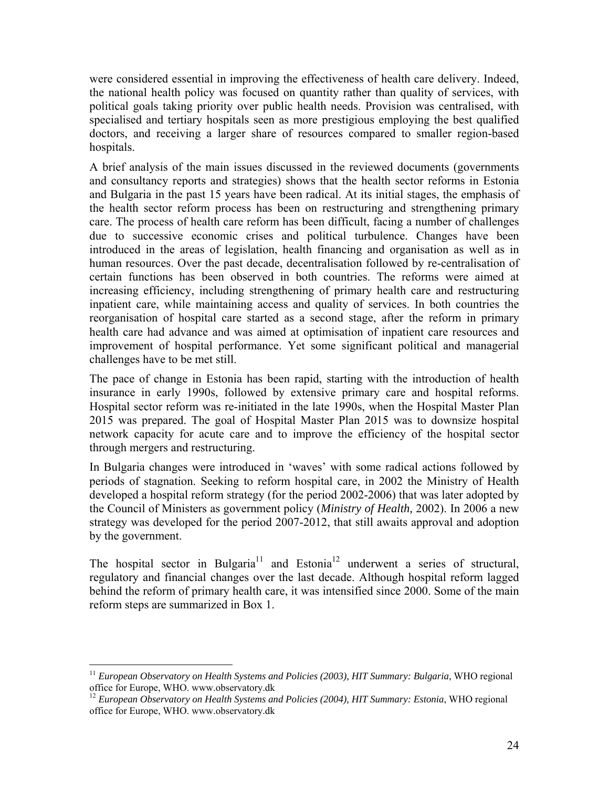were considered essential in improving the effectiveness of health care delivery. Indeed, the national health policy was focused on quantity rather than quality of services, with political goals taking priority over public health needs. Provision was centralised, with specialised and tertiary hospitals seen as more prestigious employing the best qualified doctors, and receiving a larger share of resources compared to smaller region-based hospitals.

A brief analysis of the main issues discussed in the reviewed documents (governments and consultancy reports and strategies) shows that the health sector reforms in Estonia and Bulgaria in the past 15 years have been radical. At its initial stages, the emphasis of the health sector reform process has been on restructuring and strengthening primary care. The process of health care reform has been difficult, facing a number of challenges due to successive economic crises and political turbulence. Changes have been introduced in the areas of legislation, health financing and organisation as well as in human resources. Over the past decade, decentralisation followed by re-centralisation of certain functions has been observed in both countries. The reforms were aimed at increasing efficiency, including strengthening of primary health care and restructuring inpatient care, while maintaining access and quality of services. In both countries the reorganisation of hospital care started as a second stage, after the reform in primary health care had advance and was aimed at optimisation of inpatient care resources and improvement of hospital performance. Yet some significant political and managerial challenges have to be met still.

The pace of change in Estonia has been rapid, starting with the introduction of health insurance in early 1990s, followed by extensive primary care and hospital reforms. Hospital sector reform was re-initiated in the late 1990s, when the Hospital Master Plan 2015 was prepared. The goal of Hospital Master Plan 2015 was to downsize hospital network capacity for acute care and to improve the efficiency of the hospital sector through mergers and restructuring.

In Bulgaria changes were introduced in 'waves' with some radical actions followed by periods of stagnation. Seeking to reform hospital care, in 2002 the Ministry of Health developed a hospital reform strategy (for the period 2002-2006) that was later adopted by the Council of Ministers as government policy (*Ministry of Health,* 2002). In 2006 a new strategy was developed for the period 2007-2012, that still awaits approval and adoption by the government.

The hospital sector in Bulgaria<sup>11</sup> and Estonia<sup>12</sup> underwent a series of structural, regulatory and financial changes over the last decade. Although hospital reform lagged behind the reform of primary health care, it was intensified since 2000. Some of the main reform steps are summarized in Box 1.

<u>.</u>

<sup>&</sup>lt;sup>11</sup> *European Observatory on Health Systems and Policies (2003), HIT Summary: Bulgaria, WHO regional* office for Europe, WHO. www.observatory.dk

<sup>&</sup>lt;sup>12</sup> *European Observatory on Health Systems and Policies (2004), HIT Summary: Estonia, WHO regional* office for Europe, WHO. www.observatory.dk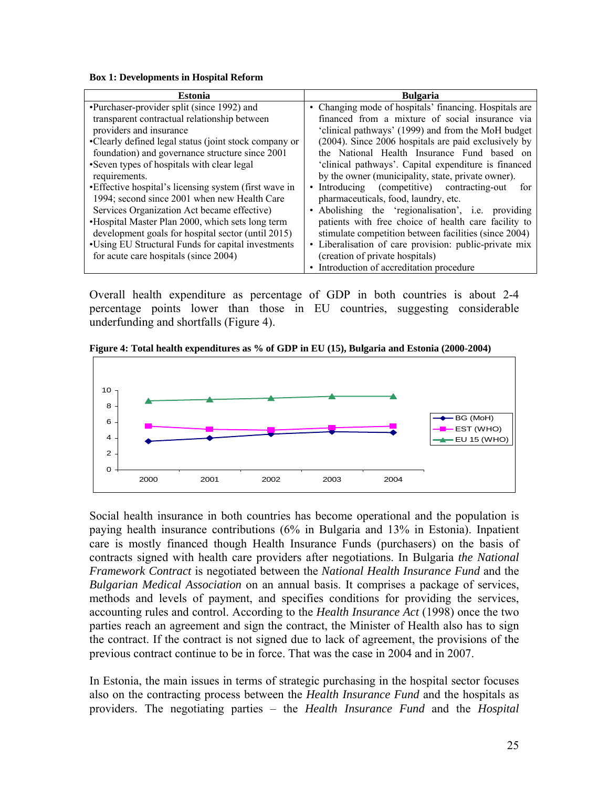**Box 1: Developments in Hospital Reform** 

| <b>Estonia</b>                                         | <b>Bulgaria</b>                                        |  |  |
|--------------------------------------------------------|--------------------------------------------------------|--|--|
| •Purchaser-provider split (since 1992) and             | • Changing mode of hospitals' financing. Hospitals are |  |  |
| transparent contractual relationship between           | financed from a mixture of social insurance via        |  |  |
| providers and insurance                                | 'clinical pathways' (1999) and from the MoH budget     |  |  |
| •Clearly defined legal status (joint stock company or  | (2004). Since 2006 hospitals are paid exclusively by   |  |  |
| foundation) and governance structure since 2001        | the National Health Insurance Fund based on            |  |  |
| •Seven types of hospitals with clear legal             | 'clinical pathways'. Capital expenditure is financed   |  |  |
| requirements.                                          | by the owner (municipality, state, private owner).     |  |  |
| • Effective hospital's licensing system (first wave in | • Introducing (competitive) contracting-out<br>for     |  |  |
| 1994; second since 2001 when new Health Care           | pharmaceuticals, food, laundry, etc.                   |  |  |
| Services Organization Act became effective)            | • Abolishing the 'regionalisation', i.e. providing     |  |  |
| •Hospital Master Plan 2000, which sets long term       | patients with free choice of health care facility to   |  |  |
| development goals for hospital sector (until 2015)     | stimulate competition between facilities (since 2004)  |  |  |
| •Using EU Structural Funds for capital investments     | • Liberalisation of care provision: public-private mix |  |  |
| for acute care hospitals (since 2004)                  | (creation of private hospitals)                        |  |  |
|                                                        | Introduction of accreditation procedure<br>$\bullet$   |  |  |

Overall health expenditure as percentage of GDP in both countries is about 2-4 percentage points lower than those in EU countries, suggesting considerable underfunding and shortfalls (Figure 4).

**Figure 4: Total health expenditures as % of GDP in EU (15), Bulgaria and Estonia (2000-2004)** 



Social health insurance in both countries has become operational and the population is paying health insurance contributions (6% in Bulgaria and 13% in Estonia). Inpatient care is mostly financed though Health Insurance Funds (purchasers) on the basis of contracts signed with health care providers after negotiations. In Bulgaria *the National Framework Contract* is negotiated between the *National Health Insurance Fund* and the *Bulgarian Medical Association* on an annual basis. It comprises a package of services, methods and levels of payment, and specifies conditions for providing the services, accounting rules and control. According to the *Health Insurance Act* (1998) once the two parties reach an agreement and sign the contract, the Minister of Health also has to sign the contract. If the contract is not signed due to lack of agreement, the provisions of the previous contract continue to be in force. That was the case in 2004 and in 2007.

In Estonia, the main issues in terms of strategic purchasing in the hospital sector focuses also on the contracting process between the *Health Insurance Fund* and the hospitals as providers. The negotiating parties – the *Health Insurance Fund* and the *Hospital*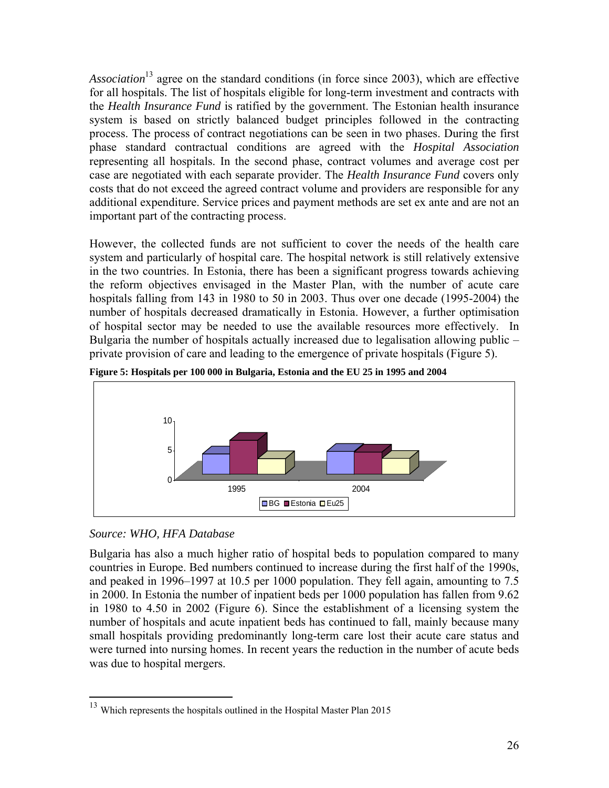*Association*13 agree on the standard conditions (in force since 2003), which are effective for all hospitals. The list of hospitals eligible for long-term investment and contracts with the *Health Insurance Fund* is ratified by the government. The Estonian health insurance system is based on strictly balanced budget principles followed in the contracting process. The process of contract negotiations can be seen in two phases. During the first phase standard contractual conditions are agreed with the *Hospital Association* representing all hospitals. In the second phase, contract volumes and average cost per case are negotiated with each separate provider. The *Health Insurance Fund* covers only costs that do not exceed the agreed contract volume and providers are responsible for any additional expenditure. Service prices and payment methods are set ex ante and are not an important part of the contracting process.

However, the collected funds are not sufficient to cover the needs of the health care system and particularly of hospital care. The hospital network is still relatively extensive in the two countries. In Estonia, there has been a significant progress towards achieving the reform objectives envisaged in the Master Plan, with the number of acute care hospitals falling from 143 in 1980 to 50 in 2003. Thus over one decade (1995-2004) the number of hospitals decreased dramatically in Estonia. However, a further optimisation of hospital sector may be needed to use the available resources more effectively. In Bulgaria the number of hospitals actually increased due to legalisation allowing public – private provision of care and leading to the emergence of private hospitals (Figure 5).



**Figure 5: Hospitals per 100 000 in Bulgaria, Estonia and the EU 25 in 1995 and 2004** 

#### *Source: WHO, HFA Database*

<u>.</u>

Bulgaria has also a much higher ratio of hospital beds to population compared to many countries in Europe. Bed numbers continued to increase during the first half of the 1990s, and peaked in 1996–1997 at 10.5 per 1000 population. They fell again, amounting to 7.5 in 2000. In Estonia the number of inpatient beds per 1000 population has fallen from 9.62 in 1980 to 4.50 in 2002 (Figure 6). Since the establishment of a licensing system the number of hospitals and acute inpatient beds has continued to fall, mainly because many small hospitals providing predominantly long-term care lost their acute care status and were turned into nursing homes. In recent years the reduction in the number of acute beds was due to hospital mergers.

 $13$  Which represents the hospitals outlined in the Hospital Master Plan 2015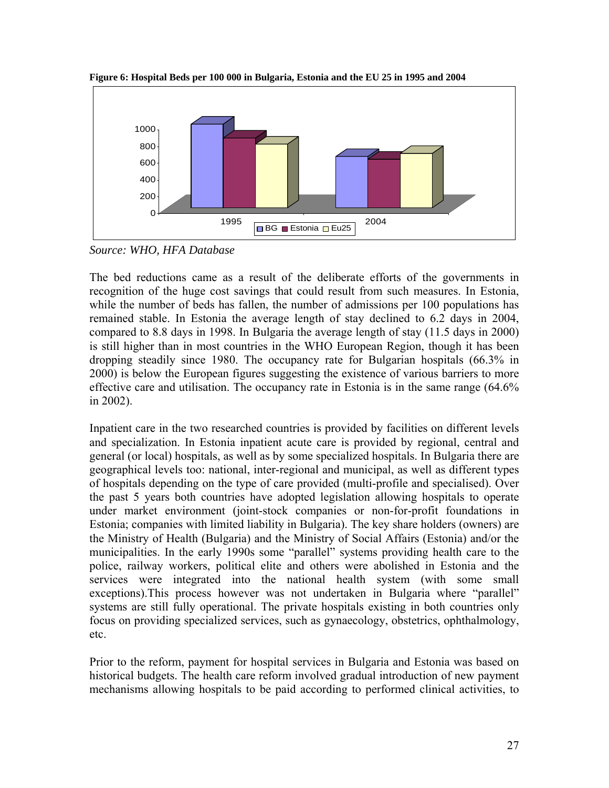

**Figure 6: Hospital Beds per 100 000 in Bulgaria, Estonia and the EU 25 in 1995 and 2004** 

*Source: WHO, HFA Database* 

The bed reductions came as a result of the deliberate efforts of the governments in recognition of the huge cost savings that could result from such measures. In Estonia, while the number of beds has fallen, the number of admissions per 100 populations has remained stable. In Estonia the average length of stay declined to 6.2 days in 2004, compared to 8.8 days in 1998. In Bulgaria the average length of stay (11.5 days in 2000) is still higher than in most countries in the WHO European Region, though it has been dropping steadily since 1980. The occupancy rate for Bulgarian hospitals (66.3% in 2000) is below the European figures suggesting the existence of various barriers to more effective care and utilisation. The occupancy rate in Estonia is in the same range (64.6% in 2002).

Inpatient care in the two researched countries is provided by facilities on different levels and specialization. In Estonia inpatient acute care is provided by regional, central and general (or local) hospitals, as well as by some specialized hospitals. In Bulgaria there are geographical levels too: national, inter-regional and municipal, as well as different types of hospitals depending on the type of care provided (multi-profile and specialised). Over the past 5 years both countries have adopted legislation allowing hospitals to operate under market environment (joint-stock companies or non-for-profit foundations in Estonia; companies with limited liability in Bulgaria). The key share holders (owners) are the Ministry of Health (Bulgaria) and the Ministry of Social Affairs (Estonia) and/or the municipalities. In the early 1990s some "parallel" systems providing health care to the police, railway workers, political elite and others were abolished in Estonia and the services were integrated into the national health system (with some small exceptions).This process however was not undertaken in Bulgaria where "parallel" systems are still fully operational. The private hospitals existing in both countries only focus on providing specialized services, such as gynaecology, obstetrics, ophthalmology, etc.

Prior to the reform, payment for hospital services in Bulgaria and Estonia was based on historical budgets. The health care reform involved gradual introduction of new payment mechanisms allowing hospitals to be paid according to performed clinical activities, to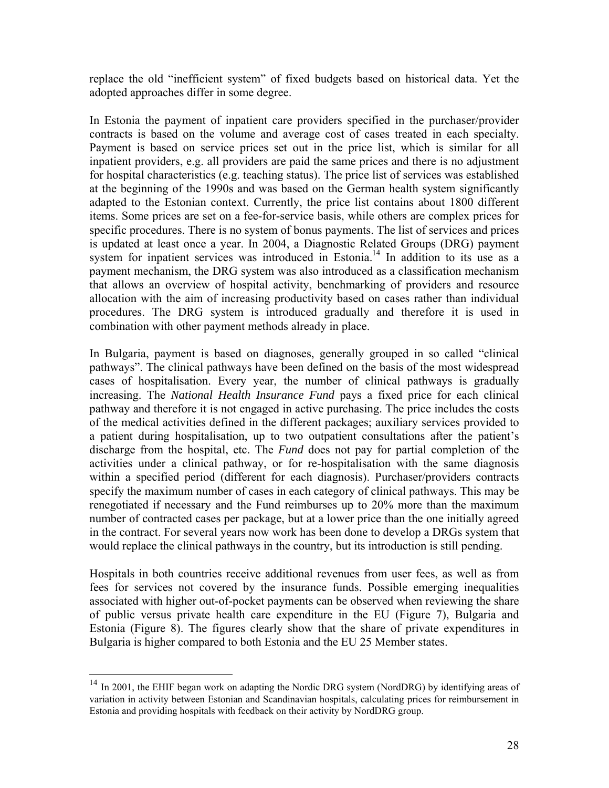replace the old "inefficient system" of fixed budgets based on historical data. Yet the adopted approaches differ in some degree.

In Estonia the payment of inpatient care providers specified in the purchaser/provider contracts is based on the volume and average cost of cases treated in each specialty. Payment is based on service prices set out in the price list, which is similar for all inpatient providers, e.g. all providers are paid the same prices and there is no adjustment for hospital characteristics (e.g. teaching status). The price list of services was established at the beginning of the 1990s and was based on the German health system significantly adapted to the Estonian context. Currently, the price list contains about 1800 different items. Some prices are set on a fee-for-service basis, while others are complex prices for specific procedures. There is no system of bonus payments. The list of services and prices is updated at least once a year. In 2004, a Diagnostic Related Groups (DRG) payment system for inpatient services was introduced in Estonia.<sup>14</sup> In addition to its use as a payment mechanism, the DRG system was also introduced as a classification mechanism that allows an overview of hospital activity, benchmarking of providers and resource allocation with the aim of increasing productivity based on cases rather than individual procedures. The DRG system is introduced gradually and therefore it is used in combination with other payment methods already in place.

In Bulgaria, payment is based on diagnoses, generally grouped in so called "clinical pathways". The clinical pathways have been defined on the basis of the most widespread cases of hospitalisation. Every year, the number of clinical pathways is gradually increasing. The *National Health Insurance Fund* pays a fixed price for each clinical pathway and therefore it is not engaged in active purchasing. The price includes the costs of the medical activities defined in the different packages; auxiliary services provided to a patient during hospitalisation, up to two outpatient consultations after the patient's discharge from the hospital, etc. The *Fund* does not pay for partial completion of the activities under a clinical pathway, or for re-hospitalisation with the same diagnosis within a specified period (different for each diagnosis). Purchaser/providers contracts specify the maximum number of cases in each category of clinical pathways. This may be renegotiated if necessary and the Fund reimburses up to 20% more than the maximum number of contracted cases per package, but at a lower price than the one initially agreed in the contract. For several years now work has been done to develop a DRGs system that would replace the clinical pathways in the country, but its introduction is still pending.

Hospitals in both countries receive additional revenues from user fees, as well as from fees for services not covered by the insurance funds. Possible emerging inequalities associated with higher out-of-pocket payments can be observed when reviewing the share of public versus private health care expenditure in the EU (Figure 7), Bulgaria and Estonia (Figure 8). The figures clearly show that the share of private expenditures in Bulgaria is higher compared to both Estonia and the EU 25 Member states.

 $\overline{a}$ 

 $14$  In 2001, the EHIF began work on adapting the Nordic DRG system (NordDRG) by identifying areas of variation in activity between Estonian and Scandinavian hospitals, calculating prices for reimbursement in Estonia and providing hospitals with feedback on their activity by NordDRG group.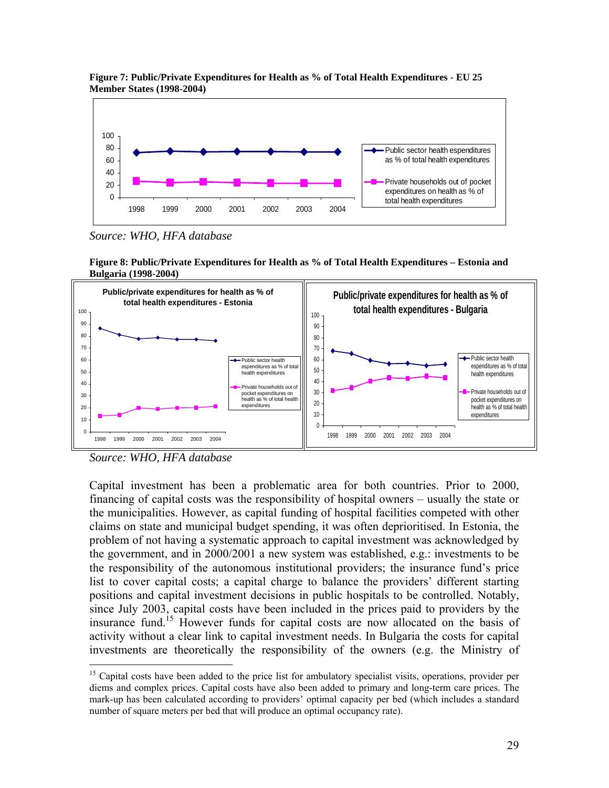

**Figure 7: Public/Private Expenditures for Health as % of Total Health Expenditures - EU 25 Member States (1998-2004)** 

*Source: WHO, HFA database* 





*Source: WHO, HFA database* 

 $\overline{a}$ 

Capital investment has been a problematic area for both countries. Prior to 2000, financing of capital costs was the responsibility of hospital owners – usually the state or the municipalities. However, as capital funding of hospital facilities competed with other claims on state and municipal budget spending, it was often deprioritised. In Estonia, the problem of not having a systematic approach to capital investment was acknowledged by the government, and in 2000/2001 a new system was established, e.g.: investments to be the responsibility of the autonomous institutional providers; the insurance fund's price list to cover capital costs; a capital charge to balance the providers' different starting positions and capital investment decisions in public hospitals to be controlled. Notably, since July 2003, capital costs have been included in the prices paid to providers by the insurance fund.<sup>15</sup> However funds for capital costs are now allocated on the basis of activity without a clear link to capital investment needs. In Bulgaria the costs for capital investments are theoretically the responsibility of the owners (e.g. the Ministry of

<sup>&</sup>lt;sup>15</sup> Capital costs have been added to the price list for ambulatory specialist visits, operations, provider per diems and complex prices. Capital costs have also been added to primary and long-term care prices. The mark-up has been calculated according to providers' optimal capacity per bed (which includes a standard number of square meters per bed that will produce an optimal occupancy rate).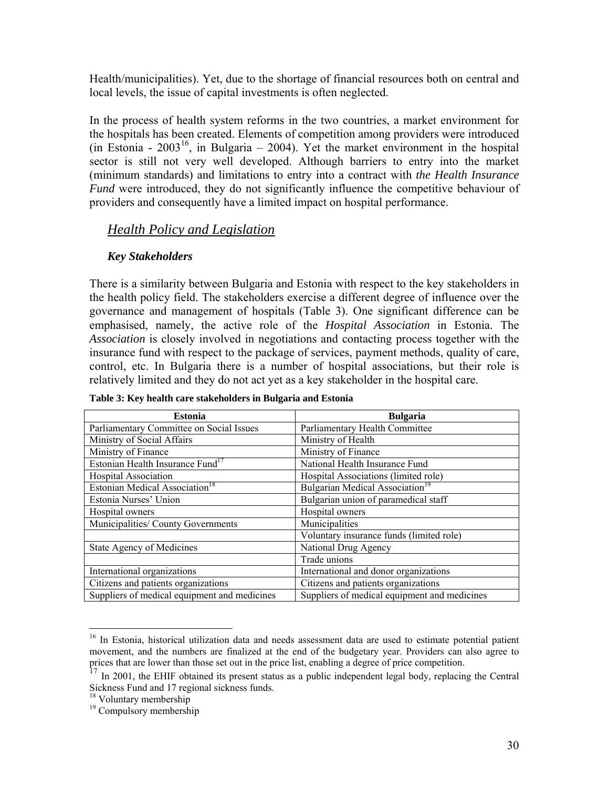Health/municipalities). Yet, due to the shortage of financial resources both on central and local levels, the issue of capital investments is often neglected.

In the process of health system reforms in the two countries, a market environment for the hospitals has been created. Elements of competition among providers were introduced (in Estonia -  $2003^{16}$ , in Bulgaria – 2004). Yet the market environment in the hospital sector is still not very well developed. Although barriers to entry into the market (minimum standards) and limitations to entry into a contract with *the Health Insurance Fund* were introduced, they do not significantly influence the competitive behaviour of providers and consequently have a limited impact on hospital performance.

# *Health Policy and Legislation*

#### *Key Stakeholders*

There is a similarity between Bulgaria and Estonia with respect to the key stakeholders in the health policy field. The stakeholders exercise a different degree of influence over the governance and management of hospitals (Table 3). One significant difference can be emphasised, namely, the active role of the *Hospital Association* in Estonia. The *Association* is closely involved in negotiations and contacting process together with the insurance fund with respect to the package of services, payment methods, quality of care, control, etc. In Bulgaria there is a number of hospital associations, but their role is relatively limited and they do not act yet as a key stakeholder in the hospital care.

| <b>Estonia</b>                               | <b>Bulgaria</b>                              |
|----------------------------------------------|----------------------------------------------|
| Parliamentary Committee on Social Issues     | Parliamentary Health Committee               |
| Ministry of Social Affairs                   | Ministry of Health                           |
| Ministry of Finance                          | Ministry of Finance                          |
| Estonian Health Insurance Fund <sup>17</sup> | National Health Insurance Fund               |
| <b>Hospital Association</b>                  | Hospital Associations (limited role)         |
| Estonian Medical Association <sup>18</sup>   | Bulgarian Medical Association <sup>19</sup>  |
| Estonia Nurses' Union                        | Bulgarian union of paramedical staff         |
| Hospital owners                              | Hospital owners                              |
| Municipalities/ County Governments           | Municipalities                               |
|                                              | Voluntary insurance funds (limited role)     |
| <b>State Agency of Medicines</b>             | National Drug Agency                         |
|                                              | Trade unions                                 |
| International organizations                  | International and donor organizations        |
| Citizens and patients organizations          | Citizens and patients organizations          |
| Suppliers of medical equipment and medicines | Suppliers of medical equipment and medicines |

**Table 3: Key health care stakeholders in Bulgaria and Estonia** 

 $\overline{a}$ 

<sup>&</sup>lt;sup>16</sup> In Estonia, historical utilization data and needs assessment data are used to estimate potential patient movement, and the numbers are finalized at the end of the budgetary year. Providers can also agree to prices that are lower than those set out in the price list, enabling a degree of price competition.

 $17$  In 2001, the EHIF obtained its present status as a public independent legal body, replacing the Central Sickness Fund and 17 regional sickness funds.

<sup>&</sup>lt;sup>18</sup> Voluntary membership

<sup>&</sup>lt;sup>19</sup> Compulsory membership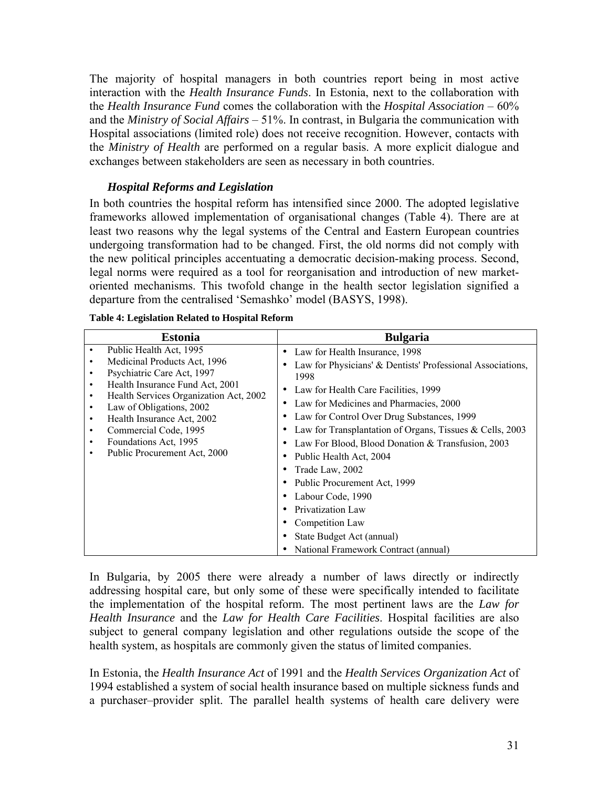The majority of hospital managers in both countries report being in most active interaction with the *Health Insurance Funds*. In Estonia, next to the collaboration with the *Health Insurance Fund* comes the collaboration with the *Hospital Association* – 60% and the *Ministry of Social Affairs* – 51%. In contrast, in Bulgaria the communication with Hospital associations (limited role) does not receive recognition. However, contacts with the *Ministry of Health* are performed on a regular basis. A more explicit dialogue and exchanges between stakeholders are seen as necessary in both countries.

#### *Hospital Reforms and Legislation*

In both countries the hospital reform has intensified since 2000. The adopted legislative frameworks allowed implementation of organisational changes (Table 4). There are at least two reasons why the legal systems of the Central and Eastern European countries undergoing transformation had to be changed. First, the old norms did not comply with the new political principles accentuating a democratic decision-making process. Second, legal norms were required as a tool for reorganisation and introduction of new marketoriented mechanisms. This twofold change in the health sector legislation signified a departure from the centralised 'Semashko' model (BASYS, 1998).

|        | <b>Estonia</b>                                                            | <b>Bulgaria</b>                                            |
|--------|---------------------------------------------------------------------------|------------------------------------------------------------|
| ٠      | Public Health Act, 1995                                                   | Law for Health Insurance, 1998                             |
|        | Medicinal Products Act, 1996<br>Psychiatric Care Act, 1997                | Law for Physicians' & Dentists' Professional Associations, |
| ٠<br>٠ | Health Insurance Fund Act, 2001<br>Health Services Organization Act, 2002 | 1998<br>Law for Health Care Facilities, 1999               |
|        | Law of Obligations, 2002                                                  | Law for Medicines and Pharmacies, 2000                     |
|        | Health Insurance Act, 2002                                                | Law for Control Over Drug Substances, 1999                 |
| ٠      | Commercial Code, 1995                                                     | Law for Transplantation of Organs, Tissues & Cells, 2003   |
| ٠      | Foundations Act, 1995                                                     | Law For Blood, Blood Donation & Transfusion, 2003          |
| ٠      | Public Procurement Act, 2000                                              | Public Health Act, 2004                                    |
|        |                                                                           | Trade Law, 2002                                            |
|        |                                                                           | Public Procurement Act, 1999                               |
|        |                                                                           | Labour Code, 1990                                          |
|        |                                                                           | Privatization Law                                          |
|        |                                                                           | Competition Law                                            |
|        |                                                                           | State Budget Act (annual)                                  |
|        |                                                                           | National Framework Contract (annual)                       |

#### **Table 4: Legislation Related to Hospital Reform**

In Bulgaria, by 2005 there were already a number of laws directly or indirectly addressing hospital care, but only some of these were specifically intended to facilitate the implementation of the hospital reform. The most pertinent laws are the *Law for Health Insurance* and the *Law for Health Care Facilities*. Hospital facilities are also subject to general company legislation and other regulations outside the scope of the health system, as hospitals are commonly given the status of limited companies.

In Estonia, the *Health Insurance Act* of 1991 and the *Health Services Organization Act* of 1994 established a system of social health insurance based on multiple sickness funds and a purchaser–provider split. The parallel health systems of health care delivery were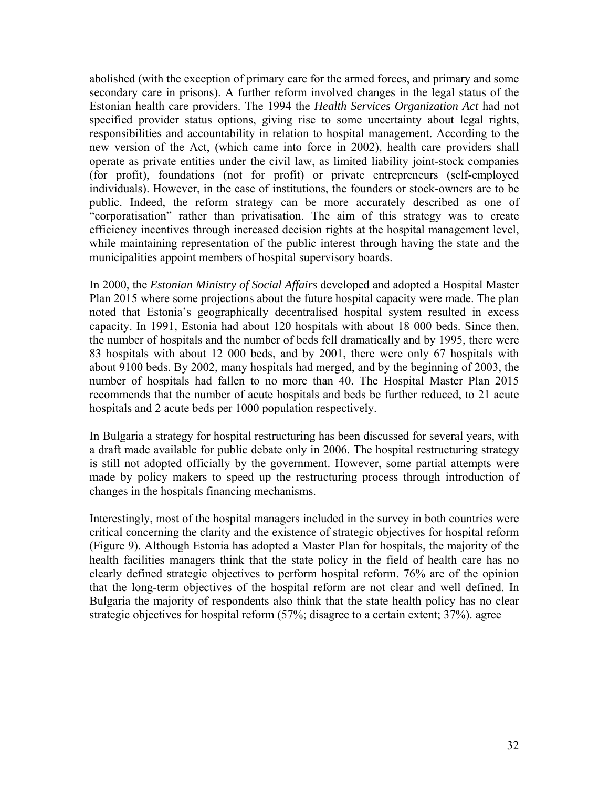abolished (with the exception of primary care for the armed forces, and primary and some secondary care in prisons). A further reform involved changes in the legal status of the Estonian health care providers. The 1994 the *Health Services Organization Act* had not specified provider status options, giving rise to some uncertainty about legal rights, responsibilities and accountability in relation to hospital management. According to the new version of the Act, (which came into force in 2002), health care providers shall operate as private entities under the civil law, as limited liability joint-stock companies (for profit), foundations (not for profit) or private entrepreneurs (self-employed individuals). However, in the case of institutions, the founders or stock-owners are to be public. Indeed, the reform strategy can be more accurately described as one of "corporatisation" rather than privatisation. The aim of this strategy was to create efficiency incentives through increased decision rights at the hospital management level, while maintaining representation of the public interest through having the state and the municipalities appoint members of hospital supervisory boards.

In 2000, the *Estonian Ministry of Social Affairs* developed and adopted a Hospital Master Plan 2015 where some projections about the future hospital capacity were made. The plan noted that Estonia's geographically decentralised hospital system resulted in excess capacity. In 1991, Estonia had about 120 hospitals with about 18 000 beds. Since then, the number of hospitals and the number of beds fell dramatically and by 1995, there were 83 hospitals with about 12 000 beds, and by 2001, there were only 67 hospitals with about 9100 beds. By 2002, many hospitals had merged, and by the beginning of 2003, the number of hospitals had fallen to no more than 40. The Hospital Master Plan 2015 recommends that the number of acute hospitals and beds be further reduced, to 21 acute hospitals and 2 acute beds per 1000 population respectively.

In Bulgaria a strategy for hospital restructuring has been discussed for several years, with a draft made available for public debate only in 2006. The hospital restructuring strategy is still not adopted officially by the government. However, some partial attempts were made by policy makers to speed up the restructuring process through introduction of changes in the hospitals financing mechanisms.

Interestingly, most of the hospital managers included in the survey in both countries were critical concerning the clarity and the existence of strategic objectives for hospital reform (Figure 9). Although Estonia has adopted a Master Plan for hospitals, the majority of the health facilities managers think that the state policy in the field of health care has no clearly defined strategic objectives to perform hospital reform. 76% are of the opinion that the long-term objectives of the hospital reform are not clear and well defined. In Bulgaria the majority of respondents also think that the state health policy has no clear strategic objectives for hospital reform (57%; disagree to a certain extent; 37%). agree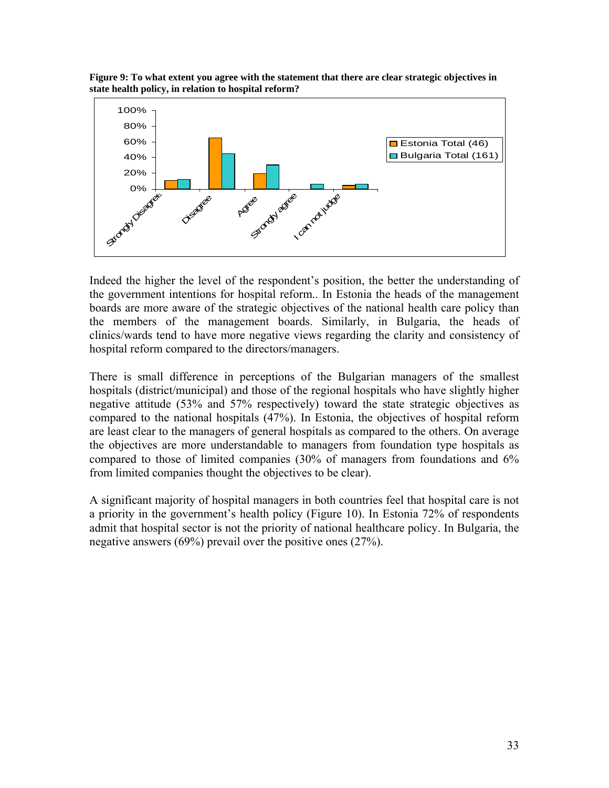**Figure 9: To what extent you agree with the statement that there are clear strategic objectives in state health policy, in relation to hospital reform?** 



Indeed the higher the level of the respondent's position, the better the understanding of the government intentions for hospital reform.. In Estonia the heads of the management boards are more aware of the strategic objectives of the national health care policy than the members of the management boards. Similarly, in Bulgaria, the heads of clinics/wards tend to have more negative views regarding the clarity and consistency of hospital reform compared to the directors/managers.

There is small difference in perceptions of the Bulgarian managers of the smallest hospitals (district/municipal) and those of the regional hospitals who have slightly higher negative attitude (53% and 57% respectively) toward the state strategic objectives as compared to the national hospitals (47%). In Estonia, the objectives of hospital reform are least clear to the managers of general hospitals as compared to the others. On average the objectives are more understandable to managers from foundation type hospitals as compared to those of limited companies (30% of managers from foundations and 6% from limited companies thought the objectives to be clear).

A significant majority of hospital managers in both countries feel that hospital care is not a priority in the government's health policy (Figure 10). In Estonia 72% of respondents admit that hospital sector is not the priority of national healthcare policy. In Bulgaria, the negative answers (69%) prevail over the positive ones (27%).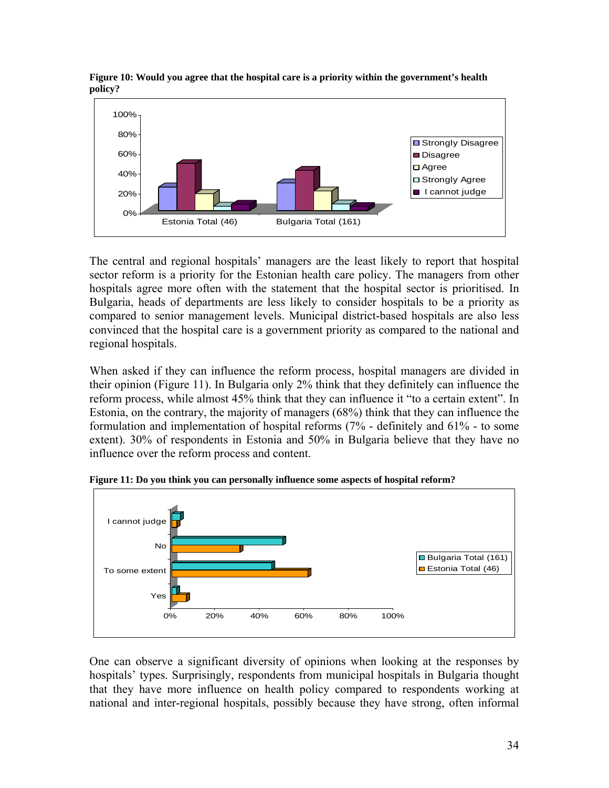

**Figure 10: Would you agree that the hospital care is a priority within the government's health policy?** 

The central and regional hospitals' managers are the least likely to report that hospital sector reform is a priority for the Estonian health care policy. The managers from other hospitals agree more often with the statement that the hospital sector is prioritised. In Bulgaria, heads of departments are less likely to consider hospitals to be a priority as compared to senior management levels. Municipal district-based hospitals are also less convinced that the hospital care is a government priority as compared to the national and regional hospitals.

When asked if they can influence the reform process, hospital managers are divided in their opinion (Figure 11). In Bulgaria only 2% think that they definitely can influence the reform process, while almost 45% think that they can influence it "to a certain extent". In Estonia, on the contrary, the majority of managers (68%) think that they can influence the formulation and implementation of hospital reforms (7% - definitely and 61% - to some extent). 30% of respondents in Estonia and 50% in Bulgaria believe that they have no influence over the reform process and content.



**Figure 11: Do you think you can personally influence some aspects of hospital reform?** 

One can observe a significant diversity of opinions when looking at the responses by hospitals' types. Surprisingly, respondents from municipal hospitals in Bulgaria thought that they have more influence on health policy compared to respondents working at national and inter-regional hospitals, possibly because they have strong, often informal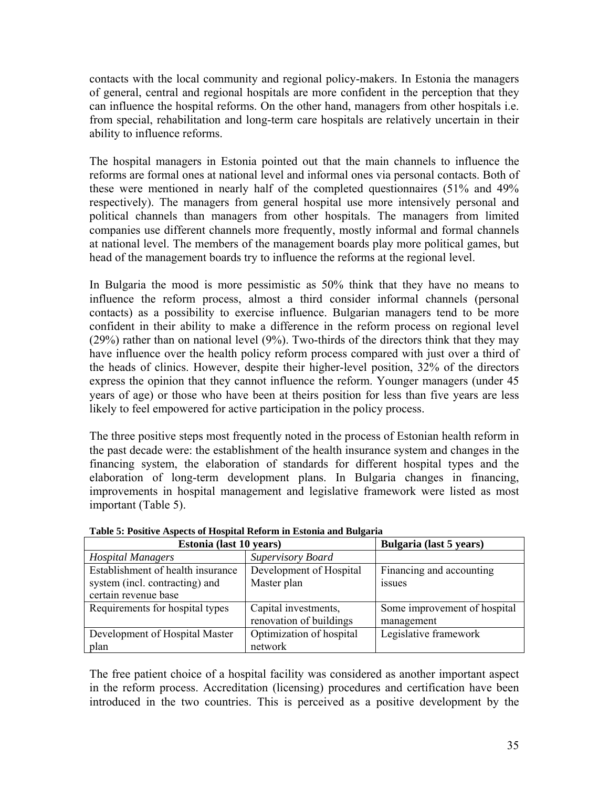contacts with the local community and regional policy-makers. In Estonia the managers of general, central and regional hospitals are more confident in the perception that they can influence the hospital reforms. On the other hand, managers from other hospitals i.e. from special, rehabilitation and long-term care hospitals are relatively uncertain in their ability to influence reforms.

The hospital managers in Estonia pointed out that the main channels to influence the reforms are formal ones at national level and informal ones via personal contacts. Both of these were mentioned in nearly half of the completed questionnaires (51% and 49% respectively). The managers from general hospital use more intensively personal and political channels than managers from other hospitals. The managers from limited companies use different channels more frequently, mostly informal and formal channels at national level. The members of the management boards play more political games, but head of the management boards try to influence the reforms at the regional level.

In Bulgaria the mood is more pessimistic as 50% think that they have no means to influence the reform process, almost a third consider informal channels (personal contacts) as a possibility to exercise influence. Bulgarian managers tend to be more confident in their ability to make a difference in the reform process on regional level (29%) rather than on national level (9%). Two-thirds of the directors think that they may have influence over the health policy reform process compared with just over a third of the heads of clinics. However, despite their higher-level position, 32% of the directors express the opinion that they cannot influence the reform. Younger managers (under 45 years of age) or those who have been at theirs position for less than five years are less likely to feel empowered for active participation in the policy process.

The three positive steps most frequently noted in the process of Estonian health reform in the past decade were: the establishment of the health insurance system and changes in the financing system, the elaboration of standards for different hospital types and the elaboration of long-term development plans. In Bulgaria changes in financing, improvements in hospital management and legislative framework were listed as most important (Table 5).

| Estonia (last 10 years)           |                          | Bulgaria (last 5 years)      |
|-----------------------------------|--------------------------|------------------------------|
| <b>Hospital Managers</b>          | <b>Supervisory Board</b> |                              |
| Establishment of health insurance | Development of Hospital  | Financing and accounting     |
| system (incl. contracting) and    | Master plan              | <i>ssues</i>                 |
| certain revenue base              |                          |                              |
| Requirements for hospital types   | Capital investments,     | Some improvement of hospital |
|                                   | renovation of buildings  | management                   |
| Development of Hospital Master    | Optimization of hospital | Legislative framework        |
| plan                              | network                  |                              |

**Table 5: Positive Aspects of Hospital Reform in Estonia and Bulgaria** 

The free patient choice of a hospital facility was considered as another important aspect in the reform process. Accreditation (licensing) procedures and certification have been introduced in the two countries. This is perceived as a positive development by the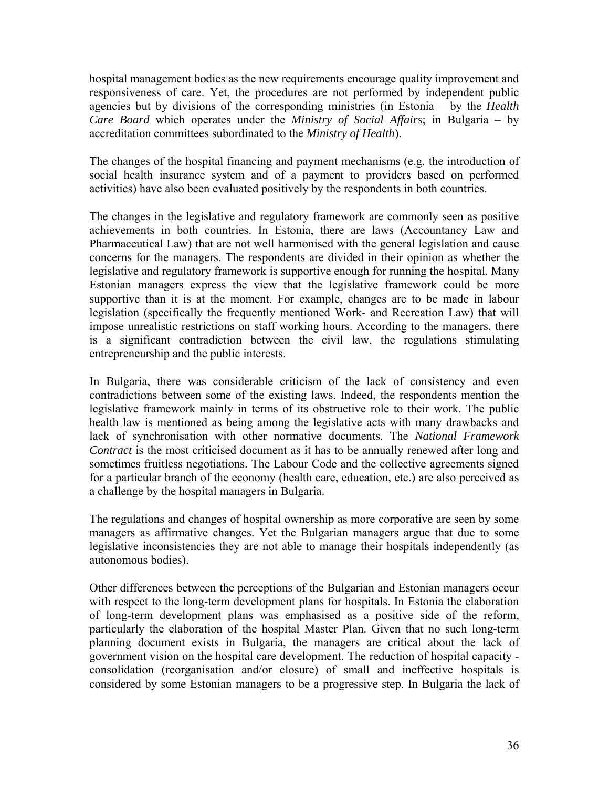hospital management bodies as the new requirements encourage quality improvement and responsiveness of care. Yet, the procedures are not performed by independent public agencies but by divisions of the corresponding ministries (in Estonia – by the *Health Care Board* which operates under the *Ministry of Social Affairs*; in Bulgaria – by accreditation committees subordinated to the *Ministry of Health*).

The changes of the hospital financing and payment mechanisms (e.g. the introduction of social health insurance system and of a payment to providers based on performed activities) have also been evaluated positively by the respondents in both countries.

The changes in the legislative and regulatory framework are commonly seen as positive achievements in both countries. In Estonia, there are laws (Accountancy Law and Pharmaceutical Law) that are not well harmonised with the general legislation and cause concerns for the managers. The respondents are divided in their opinion as whether the legislative and regulatory framework is supportive enough for running the hospital. Many Estonian managers express the view that the legislative framework could be more supportive than it is at the moment. For example, changes are to be made in labour legislation (specifically the frequently mentioned Work- and Recreation Law) that will impose unrealistic restrictions on staff working hours. According to the managers, there is a significant contradiction between the civil law, the regulations stimulating entrepreneurship and the public interests.

In Bulgaria, there was considerable criticism of the lack of consistency and even contradictions between some of the existing laws. Indeed, the respondents mention the legislative framework mainly in terms of its obstructive role to their work. The public health law is mentioned as being among the legislative acts with many drawbacks and lack of synchronisation with other normative documents. The *National Framework Contract* is the most criticised document as it has to be annually renewed after long and sometimes fruitless negotiations. The Labour Code and the collective agreements signed for a particular branch of the economy (health care, education, etc.) are also perceived as a challenge by the hospital managers in Bulgaria.

The regulations and changes of hospital ownership as more corporative are seen by some managers as affirmative changes. Yet the Bulgarian managers argue that due to some legislative inconsistencies they are not able to manage their hospitals independently (as autonomous bodies).

Other differences between the perceptions of the Bulgarian and Estonian managers occur with respect to the long-term development plans for hospitals. In Estonia the elaboration of long-term development plans was emphasised as a positive side of the reform, particularly the elaboration of the hospital Master Plan. Given that no such long-term planning document exists in Bulgaria, the managers are critical about the lack of government vision on the hospital care development. The reduction of hospital capacity consolidation (reorganisation and/or closure) of small and ineffective hospitals is considered by some Estonian managers to be a progressive step. In Bulgaria the lack of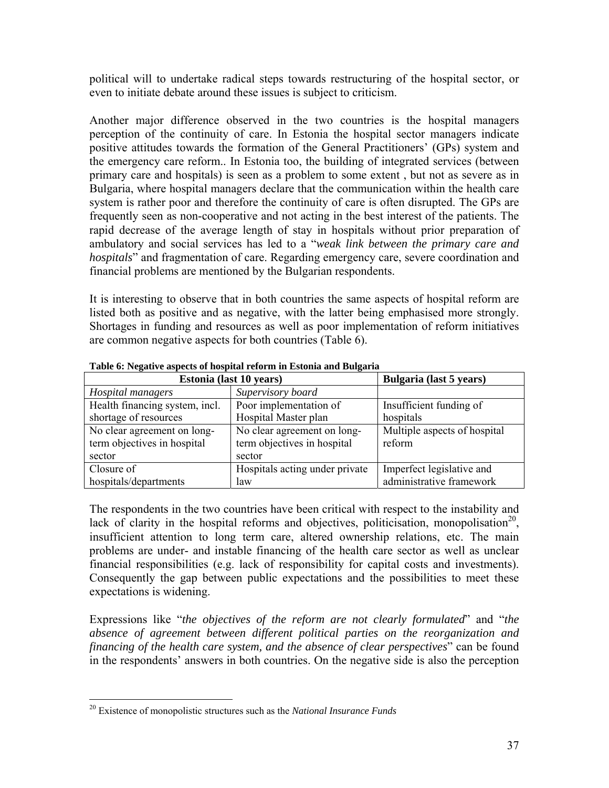political will to undertake radical steps towards restructuring of the hospital sector, or even to initiate debate around these issues is subject to criticism.

Another major difference observed in the two countries is the hospital managers perception of the continuity of care. In Estonia the hospital sector managers indicate positive attitudes towards the formation of the General Practitioners' (GPs) system and the emergency care reform.. In Estonia too, the building of integrated services (between primary care and hospitals) is seen as a problem to some extent , but not as severe as in Bulgaria, where hospital managers declare that the communication within the health care system is rather poor and therefore the continuity of care is often disrupted. The GPs are frequently seen as non-cooperative and not acting in the best interest of the patients. The rapid decrease of the average length of stay in hospitals without prior preparation of ambulatory and social services has led to a "*weak link between the primary care and hospitals*" and fragmentation of care. Regarding emergency care, severe coordination and financial problems are mentioned by the Bulgarian respondents.

It is interesting to observe that in both countries the same aspects of hospital reform are listed both as positive and as negative, with the latter being emphasised more strongly. Shortages in funding and resources as well as poor implementation of reform initiatives are common negative aspects for both countries (Table 6).

| Estonia (last 10 years)                       |                                | <b>Bulgaria</b> (last 5 years) |
|-----------------------------------------------|--------------------------------|--------------------------------|
| Hospital managers                             | Supervisory board              |                                |
| Health financing system, incl.                | Poor implementation of         | Insufficient funding of        |
| Hospital Master plan<br>shortage of resources |                                | hospitals                      |
| No clear agreement on long-                   | No clear agreement on long-    | Multiple aspects of hospital   |
| term objectives in hospital                   | term objectives in hospital    | reform                         |
| sector                                        | sector                         |                                |
| Closure of                                    | Hospitals acting under private | Imperfect legislative and      |
| hospitals/departments                         | law                            | administrative framework       |

**Table 6: Negative aspects of hospital reform in Estonia and Bulgaria** 

The respondents in the two countries have been critical with respect to the instability and lack of clarity in the hospital reforms and objectives, politicisation, monopolisation<sup>20</sup>, insufficient attention to long term care, altered ownership relations, etc. The main problems are under- and instable financing of the health care sector as well as unclear financial responsibilities (e.g. lack of responsibility for capital costs and investments). Consequently the gap between public expectations and the possibilities to meet these expectations is widening.

Expressions like "*the objectives of the reform are not clearly formulated*" and "*the absence of agreement between different political parties on the reorganization and financing of the health care system, and the absence of clear perspectives*" can be found in the respondents' answers in both countries. On the negative side is also the perception

<u>.</u>

<sup>20</sup> Existence of monopolistic structures such as the *National Insurance Funds*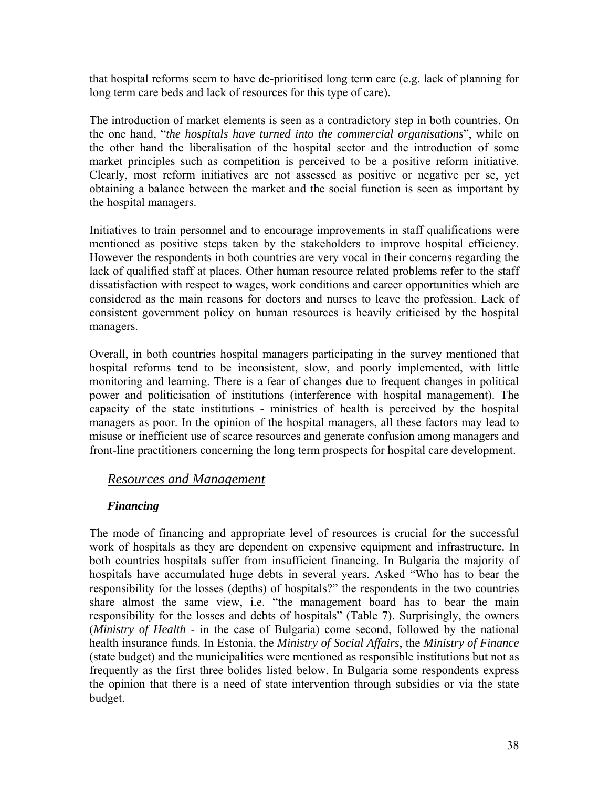that hospital reforms seem to have de-prioritised long term care (e.g. lack of planning for long term care beds and lack of resources for this type of care).

The introduction of market elements is seen as a contradictory step in both countries. On the one hand, "*the hospitals have turned into the commercial organisations*", while on the other hand the liberalisation of the hospital sector and the introduction of some market principles such as competition is perceived to be a positive reform initiative. Clearly, most reform initiatives are not assessed as positive or negative per se, yet obtaining a balance between the market and the social function is seen as important by the hospital managers.

Initiatives to train personnel and to encourage improvements in staff qualifications were mentioned as positive steps taken by the stakeholders to improve hospital efficiency. However the respondents in both countries are very vocal in their concerns regarding the lack of qualified staff at places. Other human resource related problems refer to the staff dissatisfaction with respect to wages, work conditions and career opportunities which are considered as the main reasons for doctors and nurses to leave the profession. Lack of consistent government policy on human resources is heavily criticised by the hospital managers.

Overall, in both countries hospital managers participating in the survey mentioned that hospital reforms tend to be inconsistent, slow, and poorly implemented, with little monitoring and learning. There is a fear of changes due to frequent changes in political power and politicisation of institutions (interference with hospital management). The capacity of the state institutions - ministries of health is perceived by the hospital managers as poor. In the opinion of the hospital managers, all these factors may lead to misuse or inefficient use of scarce resources and generate confusion among managers and front-line practitioners concerning the long term prospects for hospital care development.

#### *Resources and Management*

#### *Financing*

The mode of financing and appropriate level of resources is crucial for the successful work of hospitals as they are dependent on expensive equipment and infrastructure. In both countries hospitals suffer from insufficient financing. In Bulgaria the majority of hospitals have accumulated huge debts in several years. Asked "Who has to bear the responsibility for the losses (depths) of hospitals?" the respondents in the two countries share almost the same view, i.e. "the management board has to bear the main responsibility for the losses and debts of hospitals" (Table 7). Surprisingly, the owners (*Ministry of Health* - in the case of Bulgaria) come second, followed by the national health insurance funds. In Estonia, the *Ministry of Social Affairs*, the *Ministry of Finance* (state budget) and the municipalities were mentioned as responsible institutions but not as frequently as the first three bolides listed below. In Bulgaria some respondents express the opinion that there is a need of state intervention through subsidies or via the state budget.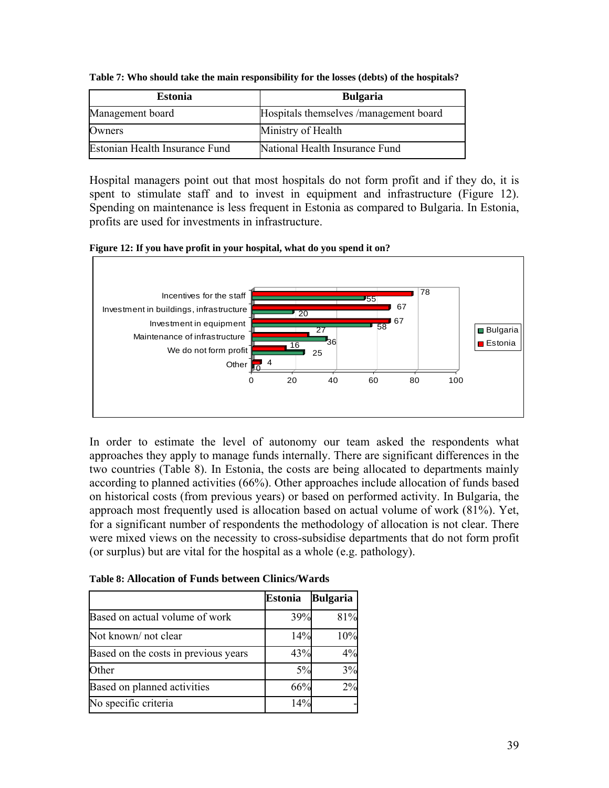| <b>Estonia</b>                 | <b>Bulgaria</b>                        |
|--------------------------------|----------------------------------------|
| Management board               | Hospitals themselves /management board |
| Owners                         | Ministry of Health                     |
| Estonian Health Insurance Fund | National Health Insurance Fund         |

**Table 7: Who should take the main responsibility for the losses (debts) of the hospitals?** 

Hospital managers point out that most hospitals do not form profit and if they do, it is spent to stimulate staff and to invest in equipment and infrastructure (Figure 12). Spending on maintenance is less frequent in Estonia as compared to Bulgaria. In Estonia, profits are used for investments in infrastructure.

**Figure 12: If you have profit in your hospital, what do you spend it on?** 



In order to estimate the level of autonomy our team asked the respondents what approaches they apply to manage funds internally. There are significant differences in the two countries (Table 8). In Estonia, the costs are being allocated to departments mainly according to planned activities (66%). Other approaches include allocation of funds based on historical costs (from previous years) or based on performed activity. In Bulgaria, the approach most frequently used is allocation based on actual volume of work (81%). Yet, for a significant number of respondents the methodology of allocation is not clear. There were mixed views on the necessity to cross-subsidise departments that do not form profit (or surplus) but are vital for the hospital as a whole (e.g. pathology).

**Table 8: Allocation of Funds between Clinics/Wards** 

|                                      | <b>Estonia</b> | <b>Bulgaria</b> |
|--------------------------------------|----------------|-----------------|
| Based on actual volume of work       | 39%            | 81%             |
| Not known/not clear                  | 14%            | 10%             |
| Based on the costs in previous years | 43%            | 4%              |
| Other                                | 5%             | 3%              |
| Based on planned activities          | 66%            | 2%              |
| No specific criteria                 | 14%            |                 |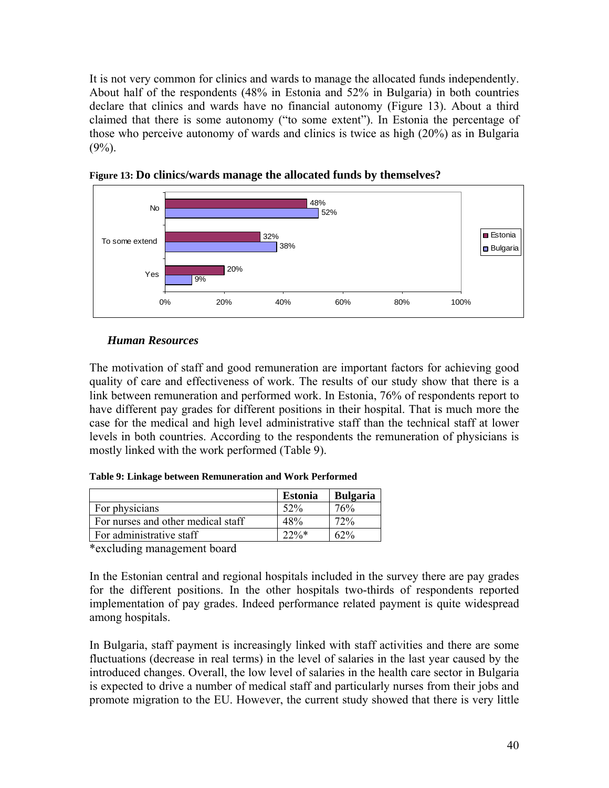It is not very common for clinics and wards to manage the allocated funds independently. About half of the respondents (48% in Estonia and 52% in Bulgaria) in both countries declare that clinics and wards have no financial autonomy (Figure 13). About a third claimed that there is some autonomy ("to some extent"). In Estonia the percentage of those who perceive autonomy of wards and clinics is twice as high (20%) as in Bulgaria  $(9\%)$ .



**Figure 13: Do clinics/wards manage the allocated funds by themselves?** 

#### *Human Resources*

The motivation of staff and good remuneration are important factors for achieving good quality of care and effectiveness of work. The results of our study show that there is a link between remuneration and performed work. In Estonia, 76% of respondents report to have different pay grades for different positions in their hospital. That is much more the case for the medical and high level administrative staff than the technical staff at lower levels in both countries. According to the respondents the remuneration of physicians is mostly linked with the work performed (Table 9).

|                                    | <b>Estonia</b> | <b>Bulgaria</b> |
|------------------------------------|----------------|-----------------|
| For physicians                     | 52%            | 76%             |
| For nurses and other medical staff | 48%            | 72%             |
| For administrative staff           | $22\%*$        | $62\%$          |

\*excluding management board

In the Estonian central and regional hospitals included in the survey there are pay grades for the different positions. In the other hospitals two-thirds of respondents reported implementation of pay grades. Indeed performance related payment is quite widespread among hospitals.

In Bulgaria, staff payment is increasingly linked with staff activities and there are some fluctuations (decrease in real terms) in the level of salaries in the last year caused by the introduced changes. Overall, the low level of salaries in the health care sector in Bulgaria is expected to drive a number of medical staff and particularly nurses from their jobs and promote migration to the EU. However, the current study showed that there is very little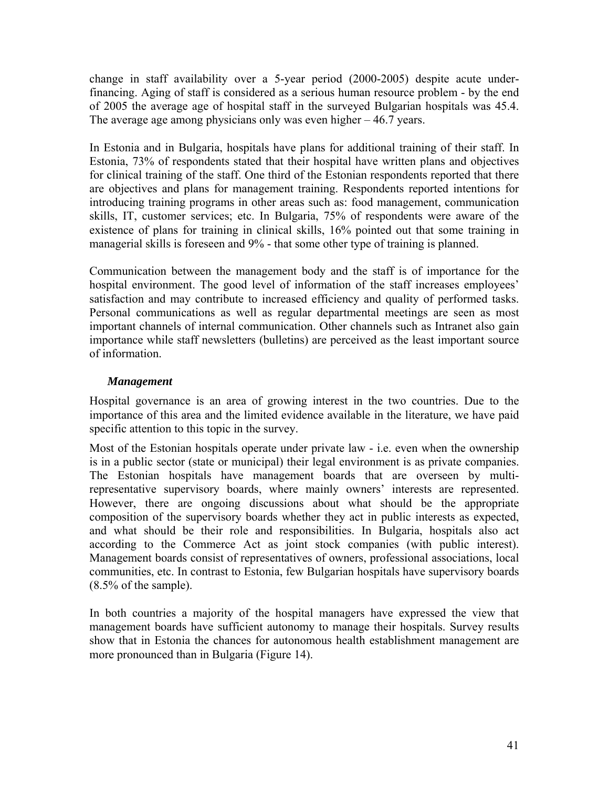change in staff availability over a 5-year period (2000-2005) despite acute underfinancing. Aging of staff is considered as a serious human resource problem - by the end of 2005 the average age of hospital staff in the surveyed Bulgarian hospitals was 45.4. The average age among physicians only was even higher – 46.7 years.

In Estonia and in Bulgaria, hospitals have plans for additional training of their staff. In Estonia, 73% of respondents stated that their hospital have written plans and objectives for clinical training of the staff. One third of the Estonian respondents reported that there are objectives and plans for management training. Respondents reported intentions for introducing training programs in other areas such as: food management, communication skills, IT, customer services; etc. In Bulgaria, 75% of respondents were aware of the existence of plans for training in clinical skills, 16% pointed out that some training in managerial skills is foreseen and 9% - that some other type of training is planned.

Communication between the management body and the staff is of importance for the hospital environment. The good level of information of the staff increases employees' satisfaction and may contribute to increased efficiency and quality of performed tasks. Personal communications as well as regular departmental meetings are seen as most important channels of internal communication. Other channels such as Intranet also gain importance while staff newsletters (bulletins) are perceived as the least important source of information.

#### *Management*

Hospital governance is an area of growing interest in the two countries. Due to the importance of this area and the limited evidence available in the literature, we have paid specific attention to this topic in the survey.

Most of the Estonian hospitals operate under private law - i.e. even when the ownership is in a public sector (state or municipal) their legal environment is as private companies. The Estonian hospitals have management boards that are overseen by multirepresentative supervisory boards, where mainly owners' interests are represented. However, there are ongoing discussions about what should be the appropriate composition of the supervisory boards whether they act in public interests as expected, and what should be their role and responsibilities. In Bulgaria, hospitals also act according to the Commerce Act as joint stock companies (with public interest). Management boards consist of representatives of owners, professional associations, local communities, etc. In contrast to Estonia, few Bulgarian hospitals have supervisory boards (8.5% of the sample).

In both countries a majority of the hospital managers have expressed the view that management boards have sufficient autonomy to manage their hospitals. Survey results show that in Estonia the chances for autonomous health establishment management are more pronounced than in Bulgaria (Figure 14).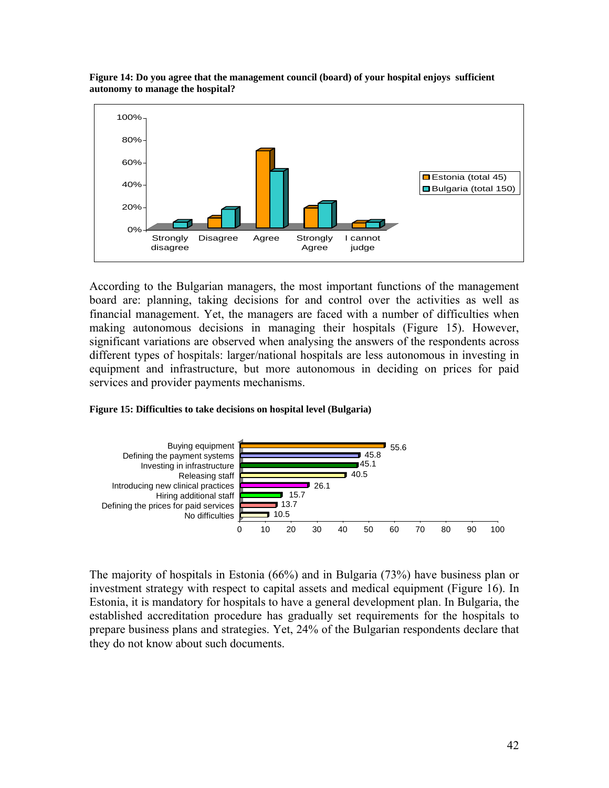

**Figure 14: Do you agree that the management council (board) of your hospital enjoys sufficient autonomy to manage the hospital?** 

According to the Bulgarian managers, the most important functions of the management board are: planning, taking decisions for and control over the activities as well as financial management. Yet, the managers are faced with a number of difficulties when making autonomous decisions in managing their hospitals (Figure 15). However, significant variations are observed when analysing the answers of the respondents across different types of hospitals: larger/national hospitals are less autonomous in investing in equipment and infrastructure, but more autonomous in deciding on prices for paid services and provider payments mechanisms.





The majority of hospitals in Estonia (66%) and in Bulgaria (73%) have business plan or investment strategy with respect to capital assets and medical equipment (Figure 16). In Estonia, it is mandatory for hospitals to have a general development plan. In Bulgaria, the established accreditation procedure has gradually set requirements for the hospitals to prepare business plans and strategies. Yet, 24% of the Bulgarian respondents declare that they do not know about such documents.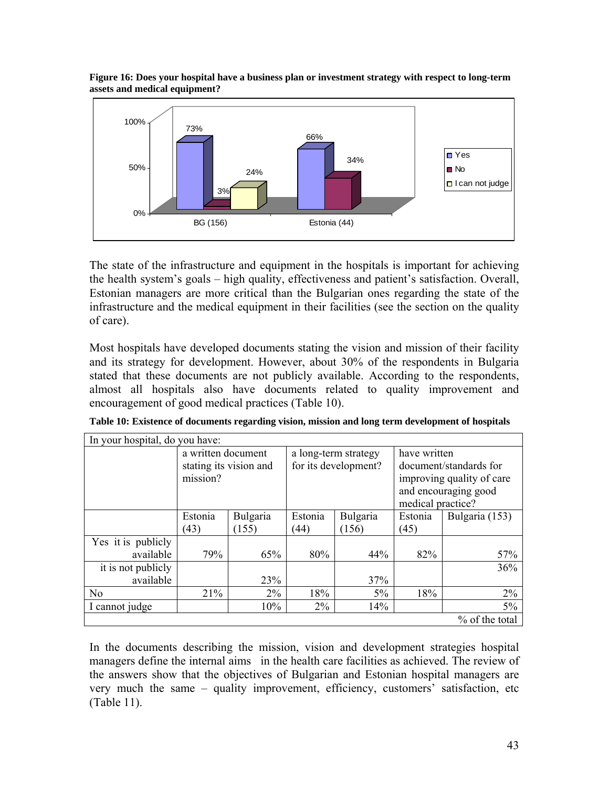

**Figure 16: Does your hospital have a business plan or investment strategy with respect to long-term assets and medical equipment?** 

The state of the infrastructure and equipment in the hospitals is important for achieving the health system's goals – high quality, effectiveness and patient's satisfaction. Overall, Estonian managers are more critical than the Bulgarian ones regarding the state of the infrastructure and the medical equipment in their facilities (see the section on the quality of care).

Most hospitals have developed documents stating the vision and mission of their facility and its strategy for development. However, about 30% of the respondents in Bulgaria stated that these documents are not publicly available. According to the respondents, almost all hospitals also have documents related to quality improvement and encouragement of good medical practices (Table 10).

| In your hospital, do you have:  |                                |                        |                                              |          |                                                                                                                  |                |  |  |
|---------------------------------|--------------------------------|------------------------|----------------------------------------------|----------|------------------------------------------------------------------------------------------------------------------|----------------|--|--|
|                                 | a written document<br>mission? | stating its vision and | a long-term strategy<br>for its development? |          | have written<br>document/standards for<br>improving quality of care<br>and encouraging good<br>medical practice? |                |  |  |
|                                 | Bulgaria<br>Estonia            |                        | Estonia                                      | Bulgaria | Estonia                                                                                                          | Bulgaria (153) |  |  |
|                                 | (43)<br>(155)                  |                        | (44)<br>(156)                                |          | (45)                                                                                                             |                |  |  |
| Yes it is publicly<br>available | 79%<br>65%                     |                        | 80%                                          | 44%      | 82%                                                                                                              | 57%            |  |  |
| it is not publicly              |                                |                        |                                              |          |                                                                                                                  | 36%            |  |  |
| available                       |                                | 23%                    |                                              | 37%      |                                                                                                                  |                |  |  |
| N <sub>o</sub>                  | 21%                            | $2\%$                  | 18%                                          | $5\%$    | 18%                                                                                                              | $2\%$          |  |  |
| I cannot judge                  | 10%                            |                        | $2\%$                                        | 14%      |                                                                                                                  | 5%             |  |  |
|                                 |                                |                        |                                              |          |                                                                                                                  | % of the total |  |  |

**Table 10: Existence of documents regarding vision, mission and long term development of hospitals** 

In the documents describing the mission, vision and development strategies hospital managers define the internal aims in the health care facilities as achieved. The review of the answers show that the objectives of Bulgarian and Estonian hospital managers are very much the same – quality improvement, efficiency, customers' satisfaction, etc (Table 11).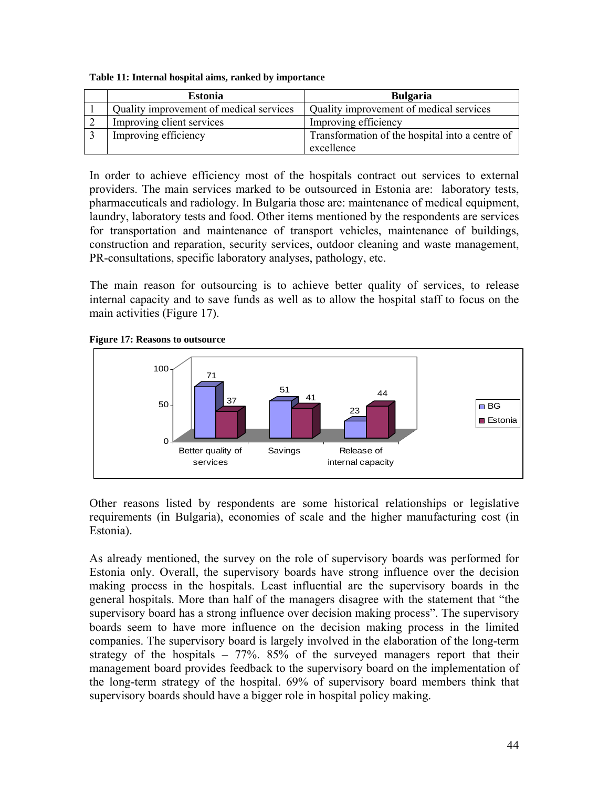| <b>Estonia</b>                          | <b>Bulgaria</b>                                 |  |  |  |
|-----------------------------------------|-------------------------------------------------|--|--|--|
| Quality improvement of medical services | Quality improvement of medical services         |  |  |  |
| Improving client services               | Improving efficiency                            |  |  |  |
| Improving efficiency                    | Transformation of the hospital into a centre of |  |  |  |
|                                         | excellence                                      |  |  |  |

In order to achieve efficiency most of the hospitals contract out services to external providers. The main services marked to be outsourced in Estonia are: laboratory tests, pharmaceuticals and radiology. In Bulgaria those are: maintenance of medical equipment, laundry, laboratory tests and food. Other items mentioned by the respondents are services for transportation and maintenance of transport vehicles, maintenance of buildings, construction and reparation, security services, outdoor cleaning and waste management, PR-consultations, specific laboratory analyses, pathology, etc.

The main reason for outsourcing is to achieve better quality of services, to release internal capacity and to save funds as well as to allow the hospital staff to focus on the main activities (Figure 17).





Other reasons listed by respondents are some historical relationships or legislative requirements (in Bulgaria), economies of scale and the higher manufacturing cost (in Estonia).

As already mentioned, the survey on the role of supervisory boards was performed for Estonia only. Overall, the supervisory boards have strong influence over the decision making process in the hospitals. Least influential are the supervisory boards in the general hospitals. More than half of the managers disagree with the statement that "the supervisory board has a strong influence over decision making process". The supervisory boards seem to have more influence on the decision making process in the limited companies. The supervisory board is largely involved in the elaboration of the long-term strategy of the hospitals  $-77\%$ . 85% of the surveyed managers report that their management board provides feedback to the supervisory board on the implementation of the long-term strategy of the hospital. 69% of supervisory board members think that supervisory boards should have a bigger role in hospital policy making.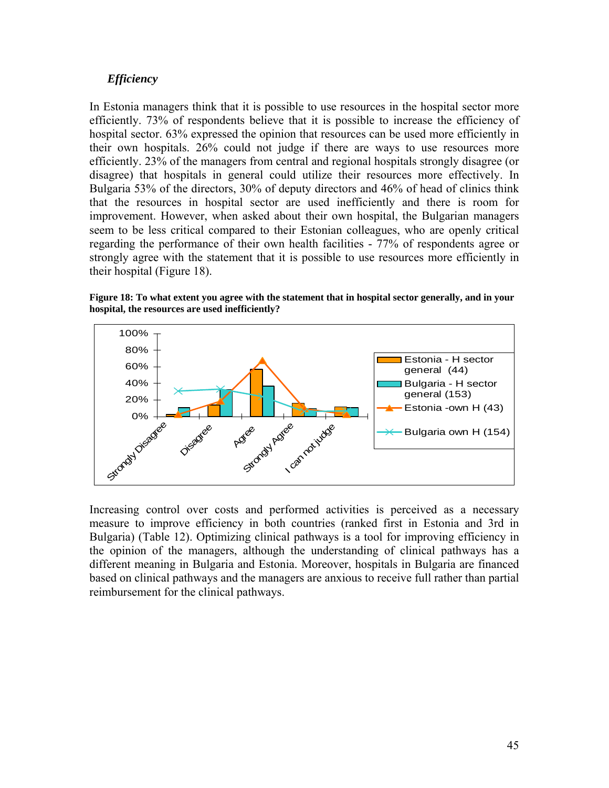#### *Efficiency*

In Estonia managers think that it is possible to use resources in the hospital sector more efficiently. 73% of respondents believe that it is possible to increase the efficiency of hospital sector. 63% expressed the opinion that resources can be used more efficiently in their own hospitals. 26% could not judge if there are ways to use resources more efficiently. 23% of the managers from central and regional hospitals strongly disagree (or disagree) that hospitals in general could utilize their resources more effectively. In Bulgaria 53% of the directors, 30% of deputy directors and 46% of head of clinics think that the resources in hospital sector are used inefficiently and there is room for improvement. However, when asked about their own hospital, the Bulgarian managers seem to be less critical compared to their Estonian colleagues, who are openly critical regarding the performance of their own health facilities - 77% of respondents agree or strongly agree with the statement that it is possible to use resources more efficiently in their hospital (Figure 18).

**Figure 18: To what extent you agree with the statement that in hospital sector generally, and in your hospital, the resources are used inefficiently?** 



Increasing control over costs and performed activities is perceived as a necessary measure to improve efficiency in both countries (ranked first in Estonia and 3rd in Bulgaria) (Table 12). Optimizing clinical pathways is a tool for improving efficiency in the opinion of the managers, although the understanding of clinical pathways has a different meaning in Bulgaria and Estonia. Moreover, hospitals in Bulgaria are financed based on clinical pathways and the managers are anxious to receive full rather than partial reimbursement for the clinical pathways.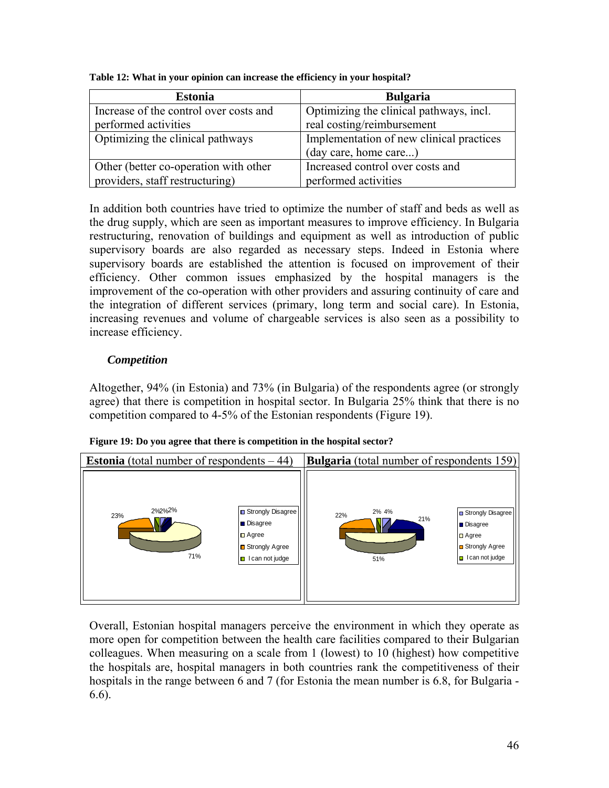| <b>Estonia</b>                         | <b>Bulgaria</b>                          |
|----------------------------------------|------------------------------------------|
| Increase of the control over costs and | Optimizing the clinical pathways, incl.  |
| performed activities                   | real costing/reimbursement               |
| Optimizing the clinical pathways       | Implementation of new clinical practices |
|                                        | (day care, home care)                    |
| Other (better co-operation with other  | Increased control over costs and         |
| providers, staff restructuring)        | performed activities                     |

**Table 12: What in your opinion can increase the efficiency in your hospital?** 

In addition both countries have tried to optimize the number of staff and beds as well as the drug supply, which are seen as important measures to improve efficiency. In Bulgaria restructuring, renovation of buildings and equipment as well as introduction of public supervisory boards are also regarded as necessary steps. Indeed in Estonia where supervisory boards are established the attention is focused on improvement of their efficiency. Other common issues emphasized by the hospital managers is the improvement of the co-operation with other providers and assuring continuity of care and the integration of different services (primary, long term and social care). In Estonia, increasing revenues and volume of chargeable services is also seen as a possibility to increase efficiency.

# *Competition*

Altogether, 94% (in Estonia) and 73% (in Bulgaria) of the respondents agree (or strongly agree) that there is competition in hospital sector. In Bulgaria 25% think that there is no competition compared to 4-5% of the Estonian respondents (Figure 19).

| <b>Estonia</b> (total number of respondents $-44$ ) |                                                                                                    | <b>Bulgaria</b> (total number of respondents 159) |                                                                                                  |
|-----------------------------------------------------|----------------------------------------------------------------------------------------------------|---------------------------------------------------|--------------------------------------------------------------------------------------------------|
| 2%2%2%<br>23%<br>71%                                | □ Strongly Disagree<br>Disagree<br>$\Box$ Agree<br><b>□</b> Strongly Agree<br>I can not judge<br>О | 2% 4%<br>22%<br>21%<br>51%                        | Strongly Disagree<br><b>Disagree</b><br>$\Box$ Agree<br>Strongly Agree<br>$\Box$ I can not judge |

**Figure 19: Do you agree that there is competition in the hospital sector?** 

Overall, Estonian hospital managers perceive the environment in which they operate as more open for competition between the health care facilities compared to their Bulgarian colleagues. When measuring on a scale from 1 (lowest) to 10 (highest) how competitive the hospitals are, hospital managers in both countries rank the competitiveness of their hospitals in the range between 6 and 7 (for Estonia the mean number is 6.8, for Bulgaria - 6.6).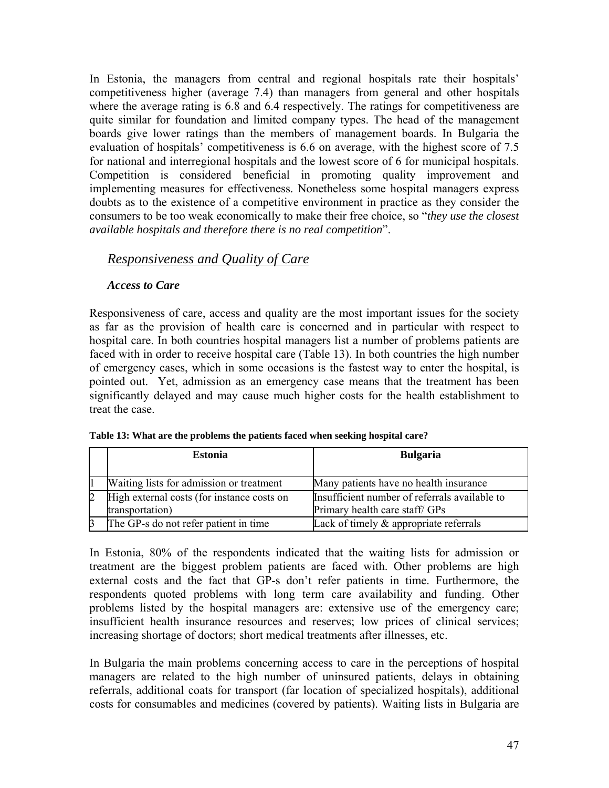In Estonia, the managers from central and regional hospitals rate their hospitals' competitiveness higher (average 7.4) than managers from general and other hospitals where the average rating is 6.8 and 6.4 respectively. The ratings for competitiveness are quite similar for foundation and limited company types. The head of the management boards give lower ratings than the members of management boards. In Bulgaria the evaluation of hospitals' competitiveness is 6.6 on average, with the highest score of 7.5 for national and interregional hospitals and the lowest score of 6 for municipal hospitals. Competition is considered beneficial in promoting quality improvement and implementing measures for effectiveness. Nonetheless some hospital managers express doubts as to the existence of a competitive environment in practice as they consider the consumers to be too weak economically to make their free choice, so "*they use the closest available hospitals and therefore there is no real competition*".

# *Responsiveness and Quality of Care*

#### *Access to Care*

Responsiveness of care, access and quality are the most important issues for the society as far as the provision of health care is concerned and in particular with respect to hospital care. In both countries hospital managers list a number of problems patients are faced with in order to receive hospital care (Table 13). In both countries the high number of emergency cases, which in some occasions is the fastest way to enter the hospital, is pointed out. Yet, admission as an emergency case means that the treatment has been significantly delayed and may cause much higher costs for the health establishment to treat the case.

|                | <b>Estonia</b>                                                | <b>Bulgaria</b>                                                                 |  |  |  |
|----------------|---------------------------------------------------------------|---------------------------------------------------------------------------------|--|--|--|
|                | Waiting lists for admission or treatment                      | Many patients have no health insurance                                          |  |  |  |
| $\overline{2}$ | High external costs (for instance costs on<br>transportation) | Insufficient number of referrals available to<br>Primary health care staff/ GPs |  |  |  |
|                | The GP-s do not refer patient in time                         | Lack of timely $\&$ appropriate referrals                                       |  |  |  |

| Table 13: What are the problems the patients faced when seeking hospital care? |  |  |
|--------------------------------------------------------------------------------|--|--|

In Estonia, 80% of the respondents indicated that the waiting lists for admission or treatment are the biggest problem patients are faced with. Other problems are high external costs and the fact that GP-s don't refer patients in time. Furthermore, the respondents quoted problems with long term care availability and funding. Other problems listed by the hospital managers are: extensive use of the emergency care; insufficient health insurance resources and reserves; low prices of clinical services; increasing shortage of doctors; short medical treatments after illnesses, etc.

In Bulgaria the main problems concerning access to care in the perceptions of hospital managers are related to the high number of uninsured patients, delays in obtaining referrals, additional coats for transport (far location of specialized hospitals), additional costs for consumables and medicines (covered by patients). Waiting lists in Bulgaria are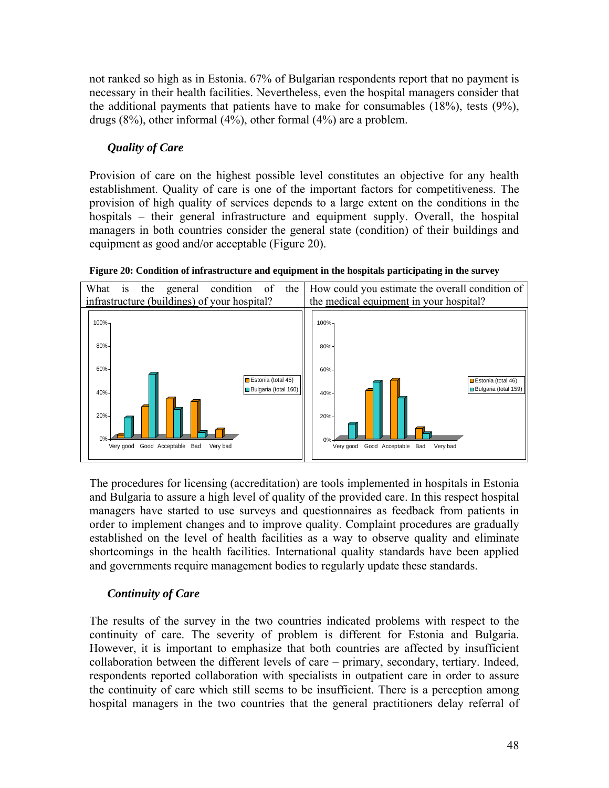not ranked so high as in Estonia. 67% of Bulgarian respondents report that no payment is necessary in their health facilities. Nevertheless, even the hospital managers consider that the additional payments that patients have to make for consumables (18%), tests (9%), drugs (8%), other informal (4%), other formal (4%) are a problem.

# *Quality of Care*

Provision of care on the highest possible level constitutes an objective for any health establishment. Quality of care is one of the important factors for competitiveness. The provision of high quality of services depends to a large extent on the conditions in the hospitals – their general infrastructure and equipment supply. Overall, the hospital managers in both countries consider the general state (condition) of their buildings and equipment as good and/or acceptable (Figure 20).



**Figure 20: Condition of infrastructure and equipment in the hospitals participating in the survey** 

The procedures for licensing (accreditation) are tools implemented in hospitals in Estonia and Bulgaria to assure a high level of quality of the provided care. In this respect hospital managers have started to use surveys and questionnaires as feedback from patients in order to implement changes and to improve quality. Complaint procedures are gradually established on the level of health facilities as a way to observe quality and eliminate shortcomings in the health facilities. International quality standards have been applied and governments require management bodies to regularly update these standards.

# *Continuity of Care*

The results of the survey in the two countries indicated problems with respect to the continuity of care. The severity of problem is different for Estonia and Bulgaria. However, it is important to emphasize that both countries are affected by insufficient collaboration between the different levels of care – primary, secondary, tertiary. Indeed, respondents reported collaboration with specialists in outpatient care in order to assure the continuity of care which still seems to be insufficient. There is a perception among hospital managers in the two countries that the general practitioners delay referral of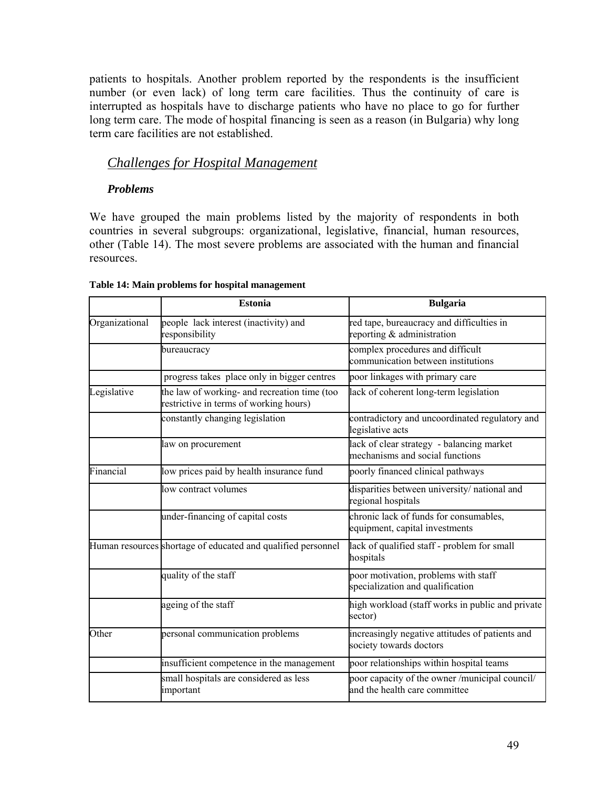patients to hospitals. Another problem reported by the respondents is the insufficient number (or even lack) of long term care facilities. Thus the continuity of care is interrupted as hospitals have to discharge patients who have no place to go for further long term care. The mode of hospital financing is seen as a reason (in Bulgaria) why long term care facilities are not established.

# *Challenges for Hospital Management*

#### *Problems*

We have grouped the main problems listed by the majority of respondents in both countries in several subgroups: organizational, legislative, financial, human resources, other (Table 14). The most severe problems are associated with the human and financial resources.

|                | <b>Estonia</b>                                                                         | <b>Bulgaria</b>                                                                 |  |  |  |
|----------------|----------------------------------------------------------------------------------------|---------------------------------------------------------------------------------|--|--|--|
| Organizational | people lack interest (inactivity) and<br>responsibility                                | red tape, bureaucracy and difficulties in<br>reporting & administration         |  |  |  |
|                | bureaucracy                                                                            | complex procedures and difficult<br>communication between institutions          |  |  |  |
|                | progress takes place only in bigger centres                                            | poor linkages with primary care                                                 |  |  |  |
| Legislative    | the law of working- and recreation time (too<br>restrictive in terms of working hours) | lack of coherent long-term legislation                                          |  |  |  |
|                | constantly changing legislation                                                        | contradictory and uncoordinated regulatory and<br>legislative acts              |  |  |  |
|                | law on procurement                                                                     | lack of clear strategy - balancing market<br>mechanisms and social functions    |  |  |  |
| Financial      | low prices paid by health insurance fund                                               | poorly financed clinical pathways                                               |  |  |  |
|                | low contract volumes                                                                   | disparities between university/ national and<br>regional hospitals              |  |  |  |
|                | under-financing of capital costs                                                       | chronic lack of funds for consumables,<br>equipment, capital investments        |  |  |  |
|                | Human resources shortage of educated and qualified personnel                           | lack of qualified staff - problem for small<br>hospitals                        |  |  |  |
|                | quality of the staff                                                                   | poor motivation, problems with staff<br>specialization and qualification        |  |  |  |
|                | ageing of the staff                                                                    | high workload (staff works in public and private<br>sector)                     |  |  |  |
| Other          | personal communication problems                                                        | increasingly negative attitudes of patients and<br>society towards doctors      |  |  |  |
|                | insufficient competence in the management                                              | poor relationships within hospital teams                                        |  |  |  |
|                | small hospitals are considered as less<br>important                                    | poor capacity of the owner /municipal council/<br>and the health care committee |  |  |  |

#### **Table 14: Main problems for hospital management**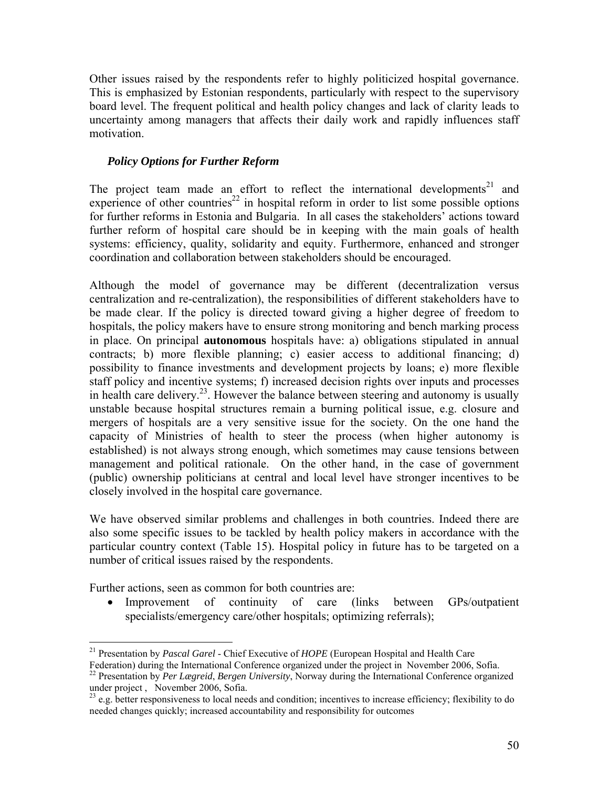Other issues raised by the respondents refer to highly politicized hospital governance. This is emphasized by Estonian respondents, particularly with respect to the supervisory board level. The frequent political and health policy changes and lack of clarity leads to uncertainty among managers that affects their daily work and rapidly influences staff motivation.

#### *Policy Options for Further Reform*

The project team made an effort to reflect the international developments<sup>21</sup> and experience of other countries<sup>22</sup> in hospital reform in order to list some possible options for further reforms in Estonia and Bulgaria. In all cases the stakeholders' actions toward further reform of hospital care should be in keeping with the main goals of health systems: efficiency, quality, solidarity and equity. Furthermore, enhanced and stronger coordination and collaboration between stakeholders should be encouraged.

Although the model of governance may be different (decentralization versus centralization and re-centralization), the responsibilities of different stakeholders have to be made clear. If the policy is directed toward giving a higher degree of freedom to hospitals, the policy makers have to ensure strong monitoring and bench marking process in place. On principal **autonomous** hospitals have: a) obligations stipulated in annual contracts; b) more flexible planning; c) easier access to additional financing; d) possibility to finance investments and development projects by loans; e) more flexible staff policy and incentive systems; f) increased decision rights over inputs and processes in health care delivery.23. However the balance between steering and autonomy is usually unstable because hospital structures remain a burning political issue, e.g. closure and mergers of hospitals are a very sensitive issue for the society. On the one hand the capacity of Ministries of health to steer the process (when higher autonomy is established) is not always strong enough, which sometimes may cause tensions between management and political rationale. On the other hand, in the case of government (public) ownership politicians at central and local level have stronger incentives to be closely involved in the hospital care governance.

We have observed similar problems and challenges in both countries. Indeed there are also some specific issues to be tackled by health policy makers in accordance with the particular country context (Table 15). Hospital policy in future has to be targeted on a number of critical issues raised by the respondents.

Further actions, seen as common for both countries are:

• Improvement of continuity of care (links between GPs/outpatient specialists/emergency care/other hospitals; optimizing referrals);

<sup>1</sup> 21 Presentation by *Pascal Garel* - Chief Executive of *HOPE* (European Hospital and Health Care

Federation) during the International Conference organized under the project in November 2006, Sofia. 22 Presentation by *Per Lægreid*, *Bergen University*, Norway during the International Conference organized

under project , November 2006, Sofia.

 $23$  e.g. better responsiveness to local needs and condition; incentives to increase efficiency; flexibility to do needed changes quickly; increased accountability and responsibility for outcomes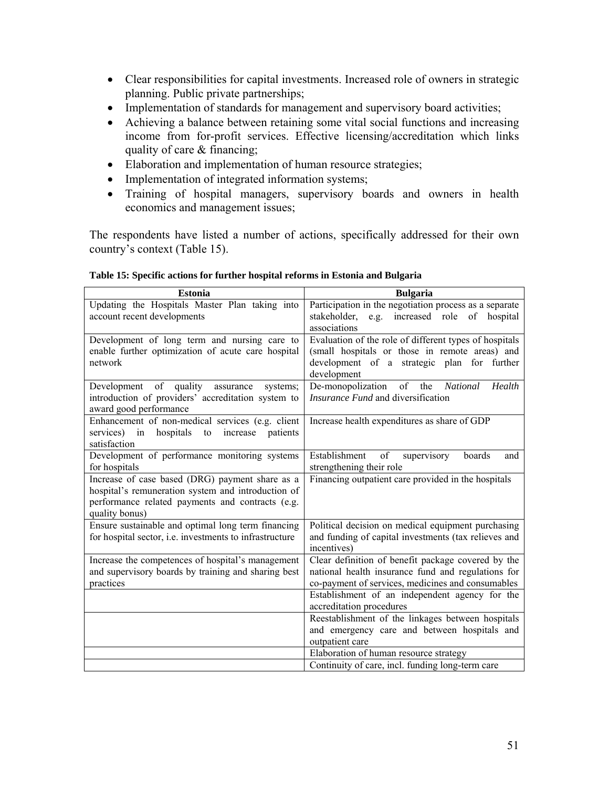- Clear responsibilities for capital investments. Increased role of owners in strategic planning. Public private partnerships;
- Implementation of standards for management and supervisory board activities;
- Achieving a balance between retaining some vital social functions and increasing income from for-profit services. Effective licensing/accreditation which links quality of care & financing;
- Elaboration and implementation of human resource strategies;
- Implementation of integrated information systems;
- Training of hospital managers, supervisory boards and owners in health economics and management issues;

The respondents have listed a number of actions, specifically addressed for their own country's context (Table 15).

| <b>Estonia</b>                                                                                                                                                              | <b>Bulgaria</b>                                                                                                                                                        |
|-----------------------------------------------------------------------------------------------------------------------------------------------------------------------------|------------------------------------------------------------------------------------------------------------------------------------------------------------------------|
| Updating the Hospitals Master Plan taking into<br>account recent developments                                                                                               | Participation in the negotiation process as a separate<br>stakeholder, e.g.<br>increased role<br>of hospital<br>associations                                           |
| Development of long term and nursing care to<br>enable further optimization of acute care hospital<br>network                                                               | Evaluation of the role of different types of hospitals<br>(small hospitals or those in remote areas) and<br>development of a strategic plan for further<br>development |
| Development of quality<br>assurance<br>systems:<br>introduction of providers' accreditation system to<br>award good performance                                             | De-monopolization<br>of<br>the<br><b>National</b><br>Health<br>Insurance Fund and diversification                                                                      |
| Enhancement of non-medical services (e.g. client<br>services) in hospitals<br>increase<br>to<br>patients<br>satisfaction                                                    | Increase health expenditures as share of GDP                                                                                                                           |
| Development of performance monitoring systems<br>for hospitals                                                                                                              | Establishment<br>of<br>supervisory<br>boards<br>and<br>strengthening their role                                                                                        |
| Increase of case based (DRG) payment share as a<br>hospital's remuneration system and introduction of<br>performance related payments and contracts (e.g.<br>quality bonus) | Financing outpatient care provided in the hospitals                                                                                                                    |
| Ensure sustainable and optimal long term financing<br>for hospital sector, <i>i.e.</i> investments to infrastructure                                                        | Political decision on medical equipment purchasing<br>and funding of capital investments (tax relieves and<br>incentives)                                              |
| Increase the competences of hospital's management<br>and supervisory boards by training and sharing best<br>practices                                                       | Clear definition of benefit package covered by the<br>national health insurance fund and regulations for<br>co-payment of services, medicines and consumables          |
|                                                                                                                                                                             | Establishment of an independent agency for the<br>accreditation procedures                                                                                             |
|                                                                                                                                                                             | Reestablishment of the linkages between hospitals<br>and emergency care and between hospitals and<br>outpatient care                                                   |
|                                                                                                                                                                             | Elaboration of human resource strategy                                                                                                                                 |
|                                                                                                                                                                             | Continuity of care, incl. funding long-term care                                                                                                                       |

|  |  |  |  | Table 15: Specific actions for further hospital reforms in Estonia and Bulgaria |
|--|--|--|--|---------------------------------------------------------------------------------|
|  |  |  |  |                                                                                 |
|  |  |  |  |                                                                                 |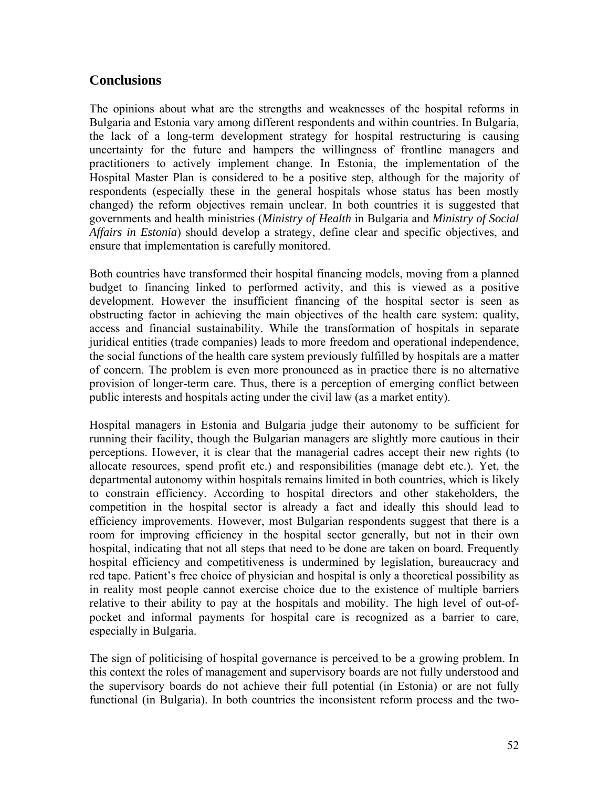# **Conclusions**

The opinions about what are the strengths and weaknesses of the hospital reforms in Bulgaria and Estonia vary among different respondents and within countries. In Bulgaria, the lack of a long-term development strategy for hospital restructuring is causing uncertainty for the future and hampers the willingness of frontline managers and practitioners to actively implement change. In Estonia, the implementation of the Hospital Master Plan is considered to be a positive step, although for the majority of respondents (especially these in the general hospitals whose status has been mostly changed) the reform objectives remain unclear. In both countries it is suggested that governments and health ministries (*Ministry of Health* in Bulgaria and *Ministry of Social Affairs in Estonia*) should develop a strategy, define clear and specific objectives, and ensure that implementation is carefully monitored.

Both countries have transformed their hospital financing models, moving from a planned budget to financing linked to performed activity, and this is viewed as a positive development. However the insufficient financing of the hospital sector is seen as obstructing factor in achieving the main objectives of the health care system: quality, access and financial sustainability. While the transformation of hospitals in separate juridical entities (trade companies) leads to more freedom and operational independence, the social functions of the health care system previously fulfilled by hospitals are a matter of concern. The problem is even more pronounced as in practice there is no alternative provision of longer-term care. Thus, there is a perception of emerging conflict between public interests and hospitals acting under the civil law (as a market entity).

Hospital managers in Estonia and Bulgaria judge their autonomy to be sufficient for running their facility, though the Bulgarian managers are slightly more cautious in their perceptions. However, it is clear that the managerial cadres accept their new rights (to allocate resources, spend profit etc.) and responsibilities (manage debt etc.). Yet, the departmental autonomy within hospitals remains limited in both countries, which is likely to constrain efficiency. According to hospital directors and other stakeholders, the competition in the hospital sector is already a fact and ideally this should lead to efficiency improvements. However, most Bulgarian respondents suggest that there is a room for improving efficiency in the hospital sector generally, but not in their own hospital, indicating that not all steps that need to be done are taken on board. Frequently hospital efficiency and competitiveness is undermined by legislation, bureaucracy and red tape. Patient's free choice of physician and hospital is only a theoretical possibility as in reality most people cannot exercise choice due to the existence of multiple barriers relative to their ability to pay at the hospitals and mobility. The high level of out-ofpocket and informal payments for hospital care is recognized as a barrier to care, especially in Bulgaria.

The sign of politicising of hospital governance is perceived to be a growing problem. In this context the roles of management and supervisory boards are not fully understood and the supervisory boards do not achieve their full potential (in Estonia) or are not fully functional (in Bulgaria). In both countries the inconsistent reform process and the two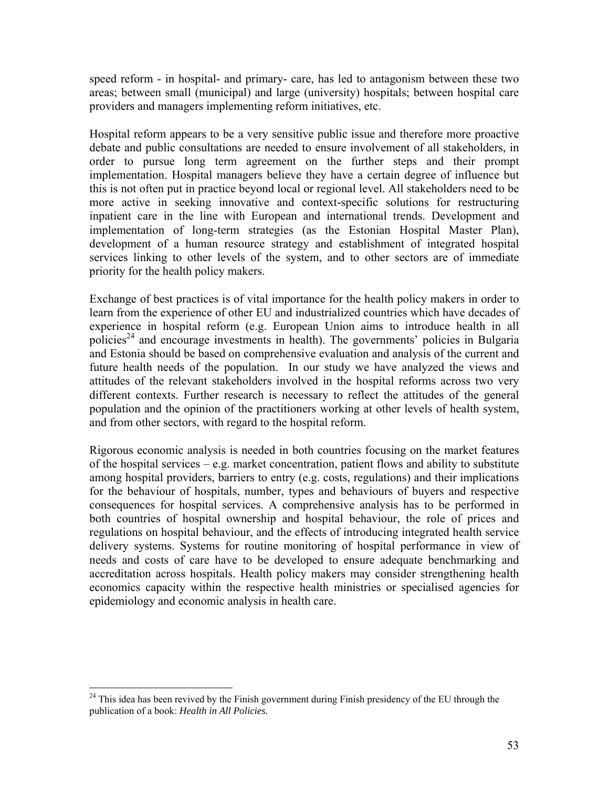speed reform - in hospital- and primary- care, has led to antagonism between these two areas; between small (municipal) and large (university) hospitals; between hospital care providers and managers implementing reform initiatives, etc.

Hospital reform appears to be a very sensitive public issue and therefore more proactive debate and public consultations are needed to ensure involvement of all stakeholders, in order to pursue long term agreement on the further steps and their prompt implementation. Hospital managers believe they have a certain degree of influence but this is not often put in practice beyond local or regional level. All stakeholders need to be more active in seeking innovative and context-specific solutions for restructuring inpatient care in the line with European and international trends. Development and implementation of long-term strategies (as the Estonian Hospital Master Plan), development of a human resource strategy and establishment of integrated hospital services linking to other levels of the system, and to other sectors are of immediate priority for the health policy makers.

Exchange of best practices is of vital importance for the health policy makers in order to learn from the experience of other EU and industrialized countries which have decades of experience in hospital reform (e.g. European Union aims to introduce health in all policies<sup>24</sup> and encourage investments in health). The governments' policies in Bulgaria and Estonia should be based on comprehensive evaluation and analysis of the current and future health needs of the population. In our study we have analyzed the views and attitudes of the relevant stakeholders involved in the hospital reforms across two very different contexts. Further research is necessary to reflect the attitudes of the general population and the opinion of the practitioners working at other levels of health system, and from other sectors, with regard to the hospital reform.

Rigorous economic analysis is needed in both countries focusing on the market features of the hospital services  $-e.g.$  market concentration, patient flows and ability to substitute among hospital providers, barriers to entry (e.g. costs, regulations) and their implications for the behaviour of hospitals, number, types and behaviours of buyers and respective consequences for hospital services. A comprehensive analysis has to be performed in both countries of hospital ownership and hospital behaviour, the role of prices and regulations on hospital behaviour, and the effects of introducing integrated health service delivery systems. Systems for routine monitoring of hospital performance in view of needs and costs of care have to be developed to ensure adequate benchmarking and accreditation across hospitals. Health policy makers may consider strengthening health economics capacity within the respective health ministries or specialised agencies for epidemiology and economic analysis in health care.

1

 $24$  This idea has been revived by the Finish government during Finish presidency of the EU through the publication of a book: *Health in All Policies.*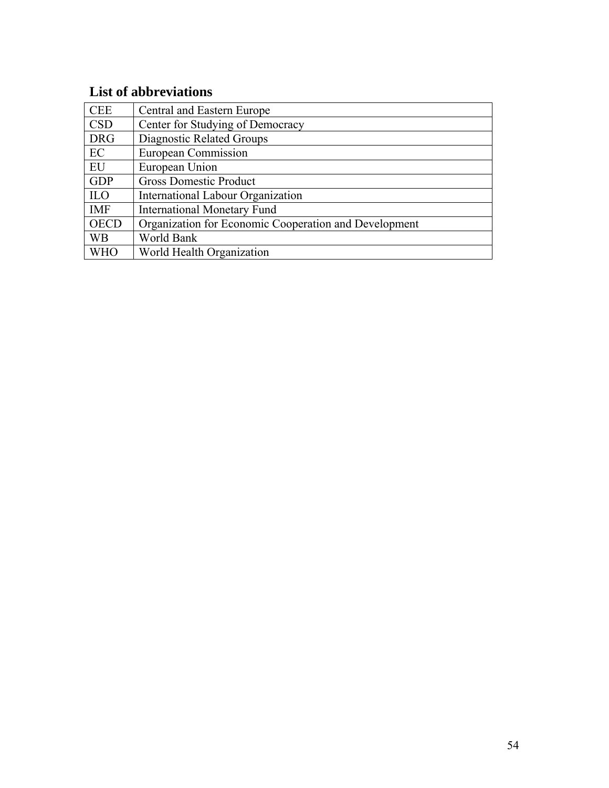# **List of abbreviations**

| <b>CEE</b>  | Central and Eastern Europe                            |
|-------------|-------------------------------------------------------|
| <b>CSD</b>  | Center for Studying of Democracy                      |
| <b>DRG</b>  | Diagnostic Related Groups                             |
| EC          | European Commission                                   |
| EU          | European Union                                        |
| <b>GDP</b>  | <b>Gross Domestic Product</b>                         |
| <b>ILO</b>  | <b>International Labour Organization</b>              |
| <b>IMF</b>  | <b>International Monetary Fund</b>                    |
| <b>OECD</b> | Organization for Economic Cooperation and Development |
| <b>WB</b>   | World Bank                                            |
| WHC         | World Health Organization                             |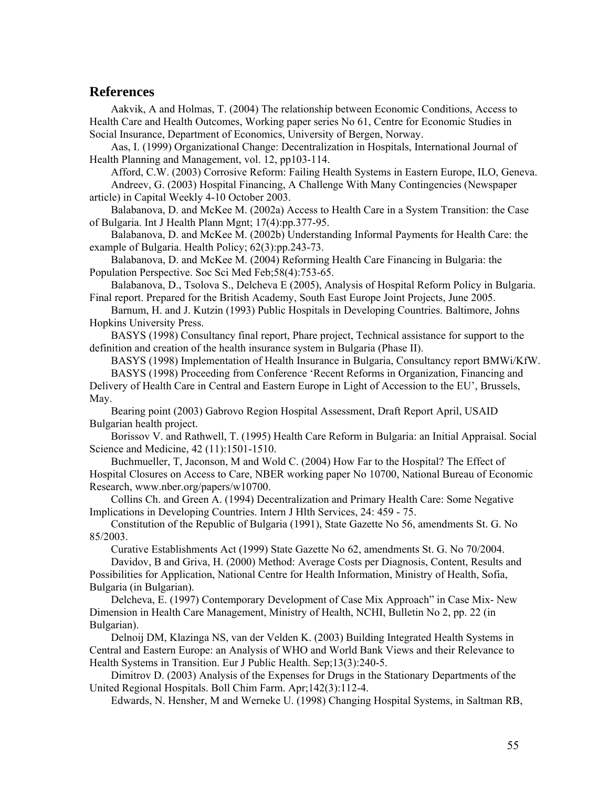#### **References**

Aakvik, A and Holmas, T. (2004) The relationship between Economic Conditions, Access to Health Care and Health Outcomes, Working paper series No 61, Centre for Economic Studies in Social Insurance, Department of Economics, University of Bergen, Norway.

Aas, I. (1999) Organizational Change: Decentralization in Hospitals, International Journal of Health Planning and Management, vol. 12, pp103-114.

Afford, C.W. (2003) Corrosive Reform: Failing Health Systems in Eastern Europe, ILO, Geneva. Andreev, G. (2003) Hospital Financing, A Challenge With Many Contingencies (Newspaper article) in Capital Weekly 4-10 October 2003.

Balabanova, D. and McKee M. (2002a) Access to Health Care in a System Transition: the Case of Bulgaria. Int J Health Plann Mgnt; 17(4):pp.377-95.

Balabanova, D. and McKee M. (2002b) Understanding Informal Payments for Health Care: the example of Bulgaria. Health Policy; 62(3):pp.243-73.

Balabanova, D. and McKee M. (2004) Reforming Health Care Financing in Bulgaria: the Population Perspective. Soc Sci Med Feb;58(4):753-65.

Balabanova, D., Tsolova S., Delcheva E (2005), Analysis of Hospital Reform Policy in Bulgaria. Final report. Prepared for the British Academy, South East Europe Joint Projects, June 2005.

Barnum, H. and J. Kutzin (1993) Public Hospitals in Developing Countries. Baltimore, Johns Hopkins University Press.

BASYS (1998) Consultancy final report, Phare project, Technical assistance for support to the definition and creation of the health insurance system in Bulgaria (Phase II).

BASYS (1998) Implementation of Health Insurance in Bulgaria, Consultancy report BMWi/KfW. BASYS (1998) Proceeding from Conference 'Recent Reforms in Organization, Financing and

Delivery of Health Care in Central and Eastern Europe in Light of Accession to the EU', Brussels, May.

Bearing point (2003) Gabrovo Region Hospital Assessment, Draft Report April, USAID Bulgarian health project.

Borissov V. and Rathwell, T. (1995) Health Care Reform in Bulgaria: an Initial Appraisal. Social Science and Medicine, 42 (11):1501-1510.

Buchmueller, T, Jaconson, M and Wold C. (2004) How Far to the Hospital? The Effect of Hospital Closures on Access to Care, NBER working paper No 10700, National Bureau of Economic Research, www.nber.org/papers/w10700.

Collins Ch. and Green A. (1994) Decentralization and Primary Health Care: Some Negative Implications in Developing Countries. Intern J Hlth Services, 24: 459 - 75.

Constitution of the Republic of Bulgaria (1991), State Gazette No 56, amendments St. G. No 85/2003.

Curative Establishments Act (1999) State Gazette No 62, amendments St. G. No 70/2004.

Davidov, B and Griva, H. (2000) Method: Average Costs per Diagnosis, Content, Results and Possibilities for Application, National Centre for Health Information, Ministry of Health, Sofia, Bulgaria (in Bulgarian).

Delcheva, E. (1997) Contemporary Development of Case Mix Approach" in Case Mix- New Dimension in Health Care Management, Ministry of Health, NCHI, Bulletin No 2, pp. 22 (in Bulgarian).

Delnoij DM, Klazinga NS, van der Velden K. (2003) Building Integrated Health Systems in Central and Eastern Europe: an Analysis of WHO and World Bank Views and their Relevance to Health Systems in Transition. Eur J Public Health. Sep;13(3):240-5.

Dimitrov D. (2003) Analysis of the Expenses for Drugs in the Stationary Departments of the United Regional Hospitals. Boll Chim Farm. Apr;142(3):112-4.

Edwards, N. Hensher, M and Werneke U. (1998) Changing Hospital Systems, in Saltman RB,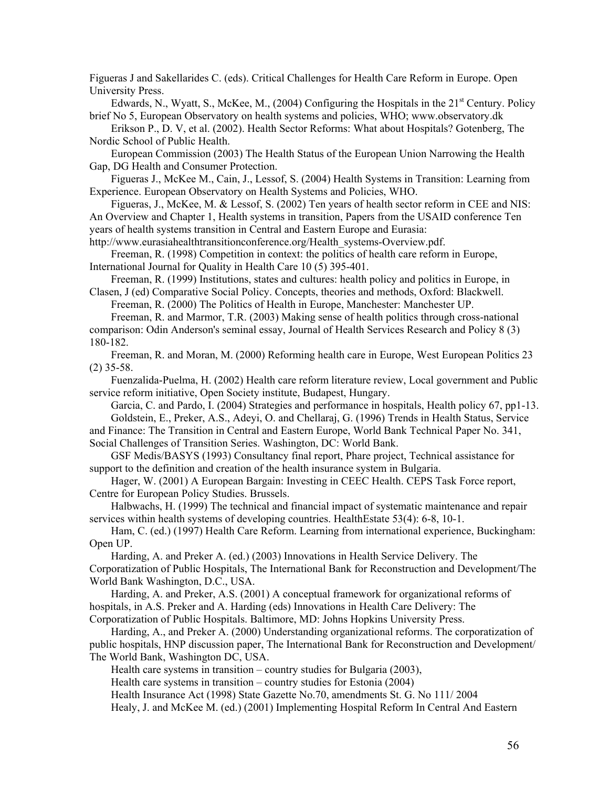Figueras J and Sakellarides C. (eds). Critical Challenges for Health Care Reform in Europe. Open University Press.

Edwards, N., Wyatt, S., McKee, M., (2004) Configuring the Hospitals in the  $21<sup>st</sup>$  Century. Policy brief No 5, European Observatory on health systems and policies, WHO; www.observatory.dk

Erikson P., D. V, et al. (2002). Health Sector Reforms: What about Hospitals? Gotenberg, The Nordic School of Public Health.

European Commission (2003) The Health Status of the European Union Narrowing the Health Gap, DG Health and Consumer Protection.

Figueras J., McKee M., Cain, J., Lessof, S. (2004) Health Systems in Transition: Learning from Experience. European Observatory on Health Systems and Policies, WHO.

Figueras, J., McKee, M. & Lessof, S. (2002) Ten years of health sector reform in CEE and NIS: An Overview and Chapter 1, Health systems in transition, Papers from the USAID conference Ten years of health systems transition in Central and Eastern Europe and Eurasia:

http://www.eurasiahealthtransitionconference.org/Health\_systems-Overview.pdf.

Freeman, R. (1998) Competition in context: the politics of health care reform in Europe, International Journal for Quality in Health Care 10 (5) 395-401.

Freeman, R. (1999) Institutions, states and cultures: health policy and politics in Europe, in Clasen, J (ed) Comparative Social Policy. Concepts, theories and methods, Oxford: Blackwell.

Freeman, R. (2000) The Politics of Health in Europe, Manchester: Manchester UP.

Freeman, R. and Marmor, T.R. (2003) Making sense of health politics through cross-national comparison: Odin Anderson's seminal essay, Journal of Health Services Research and Policy 8 (3) 180-182.

Freeman, R. and Moran, M. (2000) Reforming health care in Europe, West European Politics 23 (2) 35-58.

Fuenzalida-Puelma, H. (2002) Health care reform literature review, Local government and Public service reform initiative, Open Society institute, Budapest, Hungary.

Garcia, C. and Pardo, I. (2004) Strategies and performance in hospitals, Health policy 67, pp1-13. Goldstein, E., Preker, A.S., Adeyi, O. and Chellaraj, G. (1996) Trends in Health Status, Service

and Finance: The Transition in Central and Eastern Europe, World Bank Technical Paper No. 341, Social Challenges of Transition Series. Washington, DC: World Bank.

GSF Medis/BASYS (1993) Consultancy final report, Phare project, Technical assistance for support to the definition and creation of the health insurance system in Bulgaria.

Hager, W. (2001) A European Bargain: Investing in CEEC Health. CEPS Task Force report, Centre for European Policy Studies. Brussels.

Halbwachs, H. (1999) The technical and financial impact of systematic maintenance and repair services within health systems of developing countries. HealthEstate 53(4): 6-8, 10-1.

Ham, C. (ed.) (1997) Health Care Reform. Learning from international experience, Buckingham: Open UP.

Harding, A. and Preker A. (ed.) (2003) Innovations in Health Service Delivery. The Corporatization of Public Hospitals, The International Bank for Reconstruction and Development/The World Bank Washington, D.C., USA.

Harding, A. and Preker, A.S. (2001) A conceptual framework for organizational reforms of hospitals, in A.S. Preker and A. Harding (eds) Innovations in Health Care Delivery: The Corporatization of Public Hospitals. Baltimore, MD: Johns Hopkins University Press.

Harding, A., and Preker A. (2000) Understanding organizational reforms. The corporatization of public hospitals, HNP discussion paper, The International Bank for Reconstruction and Development/ The World Bank, Washington DC, USA.

Health care systems in transition – country studies for Bulgaria (2003),

Health care systems in transition – country studies for Estonia (2004)

Health Insurance Act (1998) State Gazette No.70, amendments St. G. No 111/ 2004

Healy, J. and McKee M. (ed.) (2001) Implementing Hospital Reform In Central And Eastern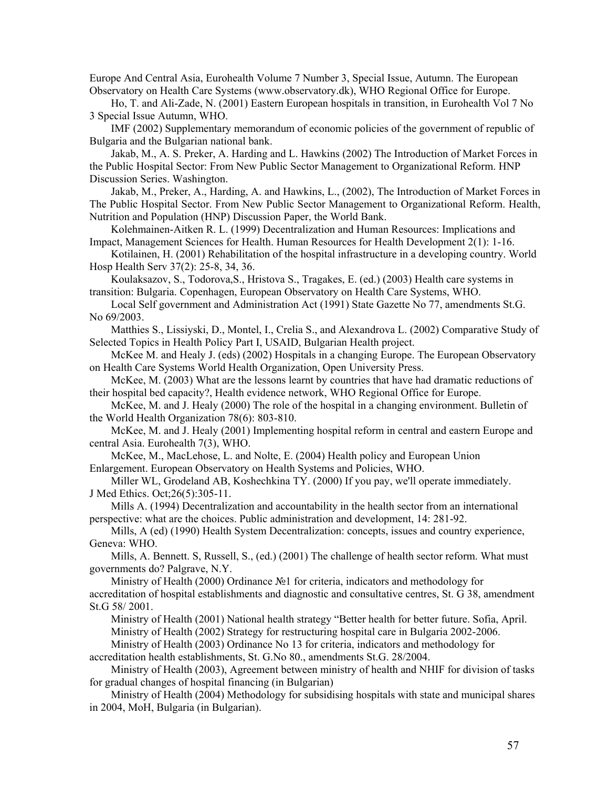Europe And Central Asia, Eurohealth Volume 7 Number 3, Special Issue, Autumn. The European Observatory on Health Care Systems (www.observatory.dk), WHO Regional Office for Europe.

Ho, T. and Ali-Zade, N. (2001) Eastern European hospitals in transition, in Eurohealth Vol 7 No 3 Special Issue Autumn, WHO.

IMF (2002) Supplementary memorandum of economic policies of the government of republic of Bulgaria and the Bulgarian national bank.

Jakab, M., A. S. Preker, A. Harding and L. Hawkins (2002) The Introduction of Market Forces in the Public Hospital Sector: From New Public Sector Management to Organizational Reform. HNP Discussion Series. Washington.

Jakab, M., Preker, A., Harding, A. and Hawkins, L., (2002), The Introduction of Market Forces in The Public Hospital Sector. From New Public Sector Management to Organizational Reform. Health, Nutrition and Population (HNP) Discussion Paper, the World Bank.

Kolehmainen-Aitken R. L. (1999) Decentralization and Human Resources: Implications and Impact, Management Sciences for Health. Human Resources for Health Development 2(1): 1-16.

Kotilainen, H. (2001) Rehabilitation of the hospital infrastructure in a developing country. World Hosp Health Serv 37(2): 25-8, 34, 36.

Koulaksazov, S., Todorova,S., Hristova S., Tragakes, E. (ed.) (2003) Health care systems in transition: Bulgaria. Copenhagen, European Observatory on Health Care Systems, WHO.

Local Self government and Administration Act (1991) State Gazette No 77, amendments St.G. No 69/2003.

Matthies S., Lissiyski, D., Montel, I., Crelia S., and Alexandrova L. (2002) Comparative Study of Selected Topics in Health Policy Part I, USAID, Bulgarian Health project.

McKee M. and Healy J. (eds) (2002) Hospitals in a changing Europe. The European Observatory on Health Care Systems World Health Organization, Open University Press.

McKee, M. (2003) What are the lessons learnt by countries that have had dramatic reductions of their hospital bed capacity?, Health evidence network, WHO Regional Office for Europe.

McKee, M. and J. Healy (2000) The role of the hospital in a changing environment. Bulletin of the World Health Organization 78(6): 803-810.

McKee, M. and J. Healy (2001) Implementing hospital reform in central and eastern Europe and central Asia. Eurohealth 7(3), WHO.

McKee, M., MacLehose, L. and Nolte, E. (2004) Health policy and European Union Enlargement. European Observatory on Health Systems and Policies, WHO.

Miller WL, Grodeland AB, Koshechkina TY. (2000) If you pay, we'll operate immediately. J Med Ethics. Oct;26(5):305-11.

Mills A. (1994) Decentralization and accountability in the health sector from an international perspective: what are the choices. Public administration and development, 14: 281-92.

Mills, A (ed) (1990) Health System Decentralization: concepts, issues and country experience, Geneva: WHO.

Mills, A. Bennett. S, Russell, S., (ed.) (2001) The challenge of health sector reform. What must governments do? Palgrave, N.Y.

Ministry of Health (2000) Ordinance №1 for criteria, indicators and methodology for accreditation of hospital establishments and diagnostic and consultative centres, St. G 38, amendment St.G 58/ 2001.

Ministry of Health (2001) National health strategy "Better health for better future. Sofia, April. Ministry of Health (2002) Strategy for restructuring hospital care in Bulgaria 2002-2006.

Ministry of Health (2003) Ordinance No 13 for criteria, indicators and methodology for

accreditation health establishments, St. G.No 80., amendments St.G. 28/2004.

Ministry of Health (2003), Agreement between ministry of health and NHIF for division of tasks for gradual changes of hospital financing (in Bulgarian)

Ministry of Health (2004) Methodology for subsidising hospitals with state and municipal shares in 2004, MoH, Bulgaria (in Bulgarian).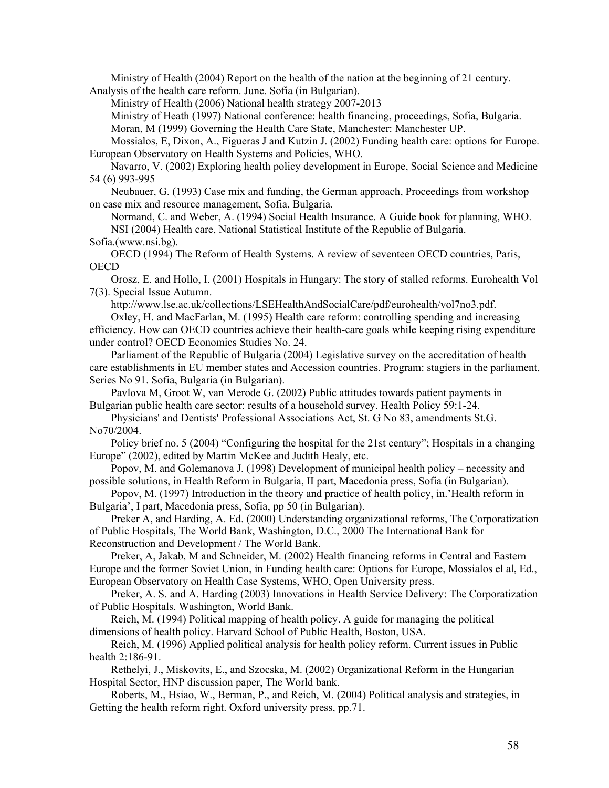Ministry of Health (2004) Report on the health of the nation at the beginning of 21 century. Analysis of the health care reform. June. Sofia (in Bulgarian).

Ministry of Health (2006) National health strategy 2007-2013

Ministry of Heath (1997) National conference: health financing, proceedings, Sofia, Bulgaria. Moran, M (1999) Governing the Health Care State, Manchester: Manchester UP.

Mossialos, E, Dixon, A., Figueras J and Kutzin J. (2002) Funding health care: options for Europe. European Observatory on Health Systems and Policies, WHO.

Navarro, V. (2002) Exploring health policy development in Europe, Social Science and Medicine 54 (6) 993-995

Neubauer, G. (1993) Case mix and funding, the German approach, Proceedings from workshop on case mix and resource management, Sofia, Bulgaria.

Normand, C. and Weber, A. (1994) Social Health Insurance. A Guide book for planning, WHO. NSI (2004) Health care, National Statistical Institute of the Republic of Bulgaria.

Sofia.(www.nsi.bg).

OECD (1994) The Reform of Health Systems. A review of seventeen OECD countries, Paris, **OECD** 

Orosz, E. and Hollo, I. (2001) Hospitals in Hungary: The story of stalled reforms. Eurohealth Vol 7(3). Special Issue Autumn.

http://www.lse.ac.uk/collections/LSEHealthAndSocialCare/pdf/eurohealth/vol7no3.pdf.

Oxley, H. and MacFarlan, M. (1995) Health care reform: controlling spending and increasing efficiency. How can OECD countries achieve their health-care goals while keeping rising expenditure under control? OECD Economics Studies No. 24.

Parliament of the Republic of Bulgaria (2004) Legislative survey on the accreditation of health care establishments in EU member states and Accession countries. Program: stagiers in the parliament, Series No 91. Sofia, Bulgaria (in Bulgarian).

Pavlova M, Groot W, van Merode G. (2002) Public attitudes towards patient payments in Bulgarian public health care sector: results of a household survey. Health Policy 59:1-24.

Physicians' and Dentists' Professional Associations Act, St. G No 83, amendments St.G. No70/2004.

Policy brief no. 5 (2004) "Configuring the hospital for the 21st century"; Hospitals in a changing Europe" (2002), edited by Martin McKee and Judith Healy, etc.

Popov, M. and Golemanova J. (1998) Development of municipal health policy – necessity and possible solutions, in Health Reform in Bulgaria, II part, Macedonia press, Sofia (in Bulgarian).

Popov, М. (1997) Introduction in the theory and practice of health policy, in.'Health reform in Bulgaria', I part, Macedonia press, Sofia, pp 50 (in Bulgarian).

Preker A, and Harding, A. Ed. (2000) Understanding organizational reforms, The Corporatization of Public Hospitals, The World Bank, Washington, D.C., 2000 The International Bank for Reconstruction and Development / The World Bank.

Preker, A, Jakab, M and Schneider, M. (2002) Health financing reforms in Central and Eastern Europe and the former Soviet Union, in Funding health care: Options for Europe, Mossialos el al, Ed., European Observatory on Health Case Systems, WHO, Open University press.

Preker, A. S. and A. Harding (2003) Innovations in Health Service Delivery: The Corporatization of Public Hospitals. Washington, World Bank.

Reich, M. (1994) Political mapping of health policy. A guide for managing the political dimensions of health policy. Harvard School of Public Health, Boston, USA.

Reich, M. (1996) Applied political analysis for health policy reform. Current issues in Public health 2:186-91.

Rethelyi, J., Miskovits, E., and Szocska, M. (2002) Organizational Reform in the Hungarian Hospital Sector, HNP discussion paper, The World bank.

Roberts, M., Hsiao, W., Berman, P., and Reich, M. (2004) Political analysis and strategies, in Getting the health reform right. Oxford university press, pp.71.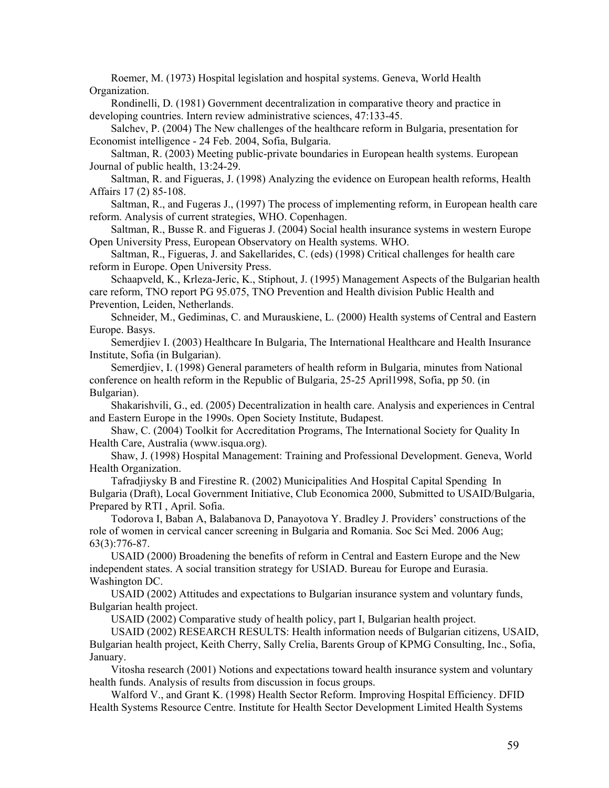Roemer, M. (1973) Hospital legislation and hospital systems. Geneva, World Health Organization.

Rondinelli, D. (1981) Government decentralization in comparative theory and practice in developing countries. Intern review administrative sciences, 47:133-45.

Salchev, P. (2004) The New challenges of the healthcare reform in Bulgaria, presentation for Economist intelligence - 24 Feb. 2004, Sofia, Bulgaria.

Saltman, R. (2003) Meeting public-private boundaries in European health systems. European Journal of public health, 13:24-29.

Saltman, R. and Figueras, J. (1998) Analyzing the evidence on European health reforms, Health Affairs 17 (2) 85-108.

Saltman, R., and Fugeras J., (1997) The process of implementing reform, in European health care reform. Analysis of current strategies, WHO. Copenhagen.

Saltman, R., Busse R. and Figueras J. (2004) Social health insurance systems in western Europe Open University Press, European Observatory on Health systems. WHO.

Saltman, R., Figueras, J. and Sakellarides, C. (eds) (1998) Critical challenges for health care reform in Europe. Open University Press.

Schaapveld, K., Krleza-Jeric, K., Stiphout, J. (1995) Management Aspects of the Bulgarian health care reform, TNO report PG 95.075, TNO Prevention and Health division Public Health and Prevention, Leiden, Netherlands.

Schneider, M., Gediminas, C. and Murauskiene, L. (2000) Health systems of Central and Eastern Europe. Basys.

Semerdjiev I. (2003) Healthcare In Bulgaria, The International Healthcare and Health Insurance Institute, Sofia (in Bulgarian).

Semerdjiev, I. (1998) General parameters of health reform in Bulgaria, minutes from National conference on health reform in the Republic of Bulgaria, 25-25 April1998, Sofia, pp 50. (in Bulgarian).

Shakarishvili, G., ed. (2005) Decentralization in health care. Analysis and experiences in Central and Eastern Europe in the 1990s. Open Society Institute, Budapest.

Shaw, C. (2004) Toolkit for Accreditation Programs, The International Society for Quality In Health Care, Australia (www.isqua.org).

Shaw, J. (1998) Hospital Management: Training and Professional Development. Geneva, World Health Organization.

Tafradjiysky B and Firestine R. (2002) Municipalities And Hospital Capital Spending In Bulgaria (Draft), Local Government Initiative, Club Economica 2000, Submitted to USAID/Bulgaria, Prepared by RTI , April. Sofia.

Todorova I, Baban A, Balabanova D, Panayotova Y. Bradley J. Providers' constructions of the role of women in cervical cancer screening in Bulgaria and Romania. Soc Sci Med. 2006 Aug; 63(3):776-87.

USAID (2000) Broadening the benefits of reform in Central and Eastern Europe and the New independent states. A social transition strategy for USIAD. Bureau for Europe and Eurasia. Washington DC.

USAID (2002) Attitudes and expectations to Bulgarian insurance system and voluntary funds, Bulgarian health project.

USAID (2002) Comparative study of health policy, part I, Bulgarian health project.

USAID (2002) RESEARCH RESULTS: Health information needs of Bulgarian citizens, USAID, Bulgarian health project, Keith Cherry, Sally Crelia, Barents Group of KPMG Consulting, Inc., Sofia, January.

Vitosha research (2001) Notions and expectations toward health insurance system and voluntary health funds. Analysis of results from discussion in focus groups.

Walford V., and Grant K. (1998) Health Sector Reform. Improving Hospital Efficiency. DFID Health Systems Resource Centre. Institute for Health Sector Development Limited Health Systems